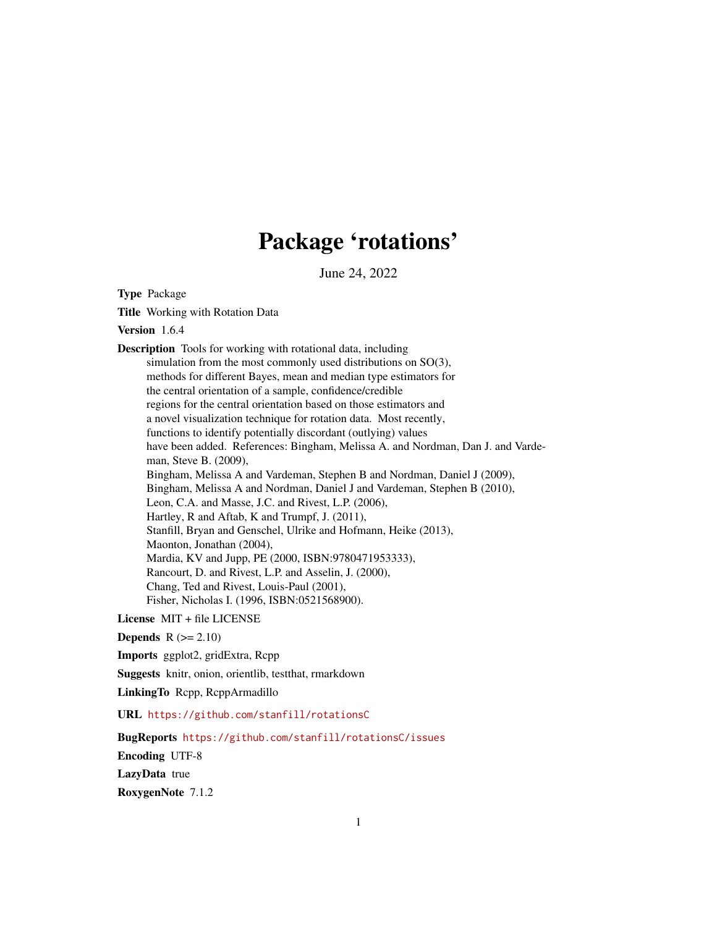## Package 'rotations'

June 24, 2022

<span id="page-0-0"></span>Type Package

Title Working with Rotation Data

Version 1.6.4

Description Tools for working with rotational data, including simulation from the most commonly used distributions on SO(3), methods for different Bayes, mean and median type estimators for the central orientation of a sample, confidence/credible regions for the central orientation based on those estimators and a novel visualization technique for rotation data. Most recently, functions to identify potentially discordant (outlying) values have been added. References: Bingham, Melissa A. and Nordman, Dan J. and Vardeman, Steve B. (2009), Bingham, Melissa A and Vardeman, Stephen B and Nordman, Daniel J (2009), Bingham, Melissa A and Nordman, Daniel J and Vardeman, Stephen B (2010), Leon, C.A. and Masse, J.C. and Rivest, L.P. (2006), Hartley, R and Aftab, K and Trumpf, J. (2011), Stanfill, Bryan and Genschel, Ulrike and Hofmann, Heike (2013), Maonton, Jonathan (2004), Mardia, KV and Jupp, PE (2000, ISBN:9780471953333), Rancourt, D. and Rivest, L.P. and Asselin, J. (2000), Chang, Ted and Rivest, Louis-Paul (2001), Fisher, Nicholas I. (1996, ISBN:0521568900).

License MIT + file LICENSE

Depends  $R$  ( $>= 2.10$ )

Imports ggplot2, gridExtra, Rcpp

Suggests knitr, onion, orientlib, testthat, rmarkdown

LinkingTo Rcpp, RcppArmadillo

URL <https://github.com/stanfill/rotationsC>

BugReports <https://github.com/stanfill/rotationsC/issues>

Encoding UTF-8

LazyData true

RoxygenNote 7.1.2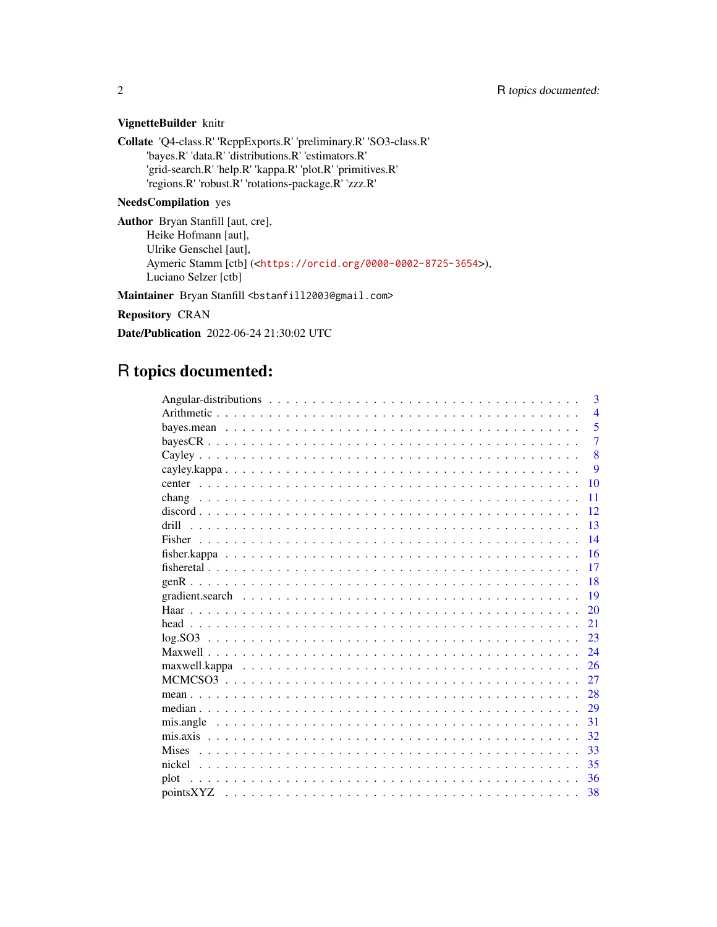## VignetteBuilder knitr

Collate 'Q4-class.R' 'RcppExports.R' 'preliminary.R' 'SO3-class.R' 'bayes.R' 'data.R' 'distributions.R' 'estimators.R' 'grid-search.R' 'help.R' 'kappa.R' 'plot.R' 'primitives.R' 'regions.R' 'robust.R' 'rotations-package.R' 'zzz.R'

## NeedsCompilation yes

Author Bryan Stanfill [aut, cre], Heike Hofmann [aut], Ulrike Genschel [aut], Aymeric Stamm [ctb] (<<https://orcid.org/0000-0002-8725-3654>>), Luciano Selzer [ctb]

Maintainer Bryan Stanfill <br/>bstanfill2003@gmail.com>

Repository CRAN

Date/Publication 2022-06-24 21:30:02 UTC

## R topics documented:

| 3              |
|----------------|
| $\overline{4}$ |
| 5              |
| $\overline{7}$ |
| $\mathbf{8}$   |
| 9              |
| 10             |
| 11             |
| 12             |
| 13<br>drill    |
| 14             |
| 16             |
| 17             |
| 18             |
| 19             |
| 20             |
| 21             |
| 23             |
| 24             |
| 26             |
| 27             |
| 28             |
| 29             |
| 31             |
| 32             |
| 33             |
| 35             |
| 36<br>plot     |
| 38             |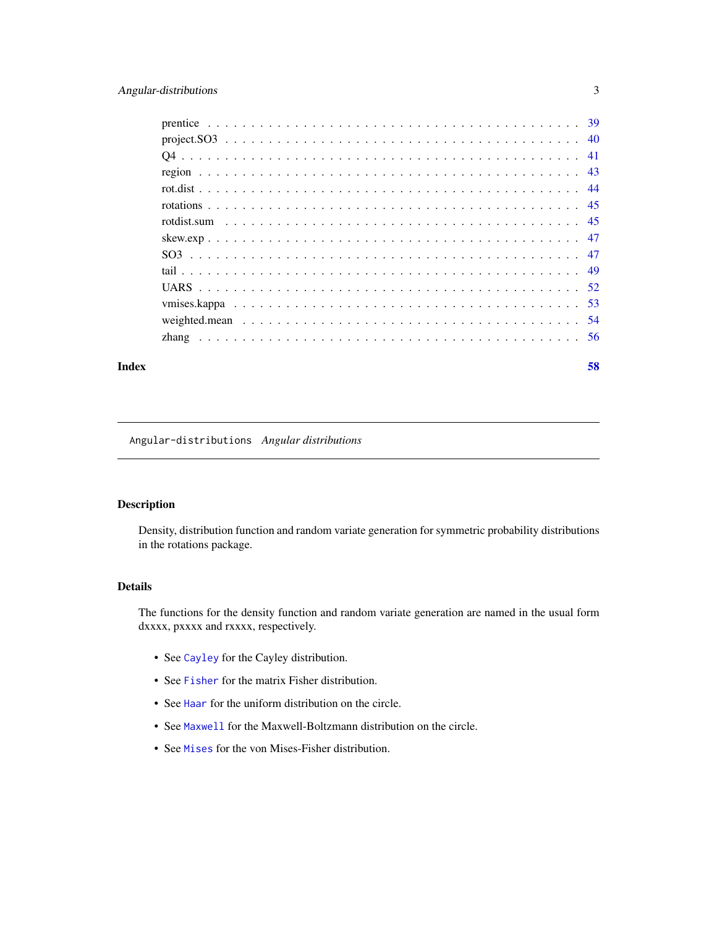## <span id="page-2-0"></span>Angular-distributions 3

## **Index [58](#page-57-0) Second Line Control Control Control Control Control Control Control Control Control Control Control Co**

## <span id="page-2-1"></span>Angular-distributions *Angular distributions*

## Description

Density, distribution function and random variate generation for symmetric probability distributions in the rotations package.

## Details

The functions for the density function and random variate generation are named in the usual form dxxxx, pxxxx and rxxxx, respectively.

- See [Cayley](#page-7-1) for the Cayley distribution.
- See [Fisher](#page-13-1) for the matrix Fisher distribution.
- See [Haar](#page-19-1) for the uniform distribution on the circle.
- See [Maxwell](#page-23-1) for the Maxwell-Boltzmann distribution on the circle.
- See [Mises](#page-32-1) for the von Mises-Fisher distribution.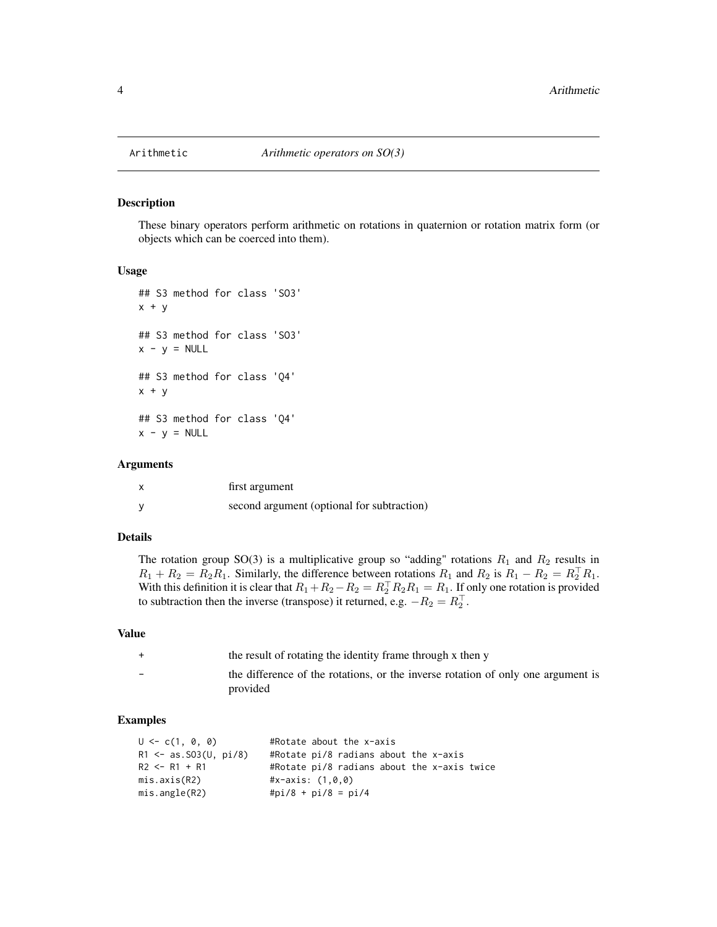<span id="page-3-0"></span>

These binary operators perform arithmetic on rotations in quaternion or rotation matrix form (or objects which can be coerced into them).

#### Usage

```
## S3 method for class 'SO3'
x + y## S3 method for class 'SO3'
x - y = NULL## S3 method for class 'Q4'
x + y## S3 method for class 'Q4'
x - y = NULL
```
## Arguments

| first argument                             |
|--------------------------------------------|
| second argument (optional for subtraction) |

## Details

The rotation group SO(3) is a multiplicative group so "adding" rotations  $R_1$  and  $R_2$  results in  $R_1 + R_2 = R_2 R_1$ . Similarly, the difference between rotations  $R_1$  and  $R_2$  is  $R_1 - R_2 = R_2^T R_1$ . With this definition it is clear that  $R_1+R_2-R_2 = R_2^{\top}R_2R_1 = R_1$ . If only one rotation is provided to subtraction then the inverse (transpose) it returned, e.g.  $-R_2 = R_2^T$ .

#### Value

| $+$                      | the result of rotating the identity frame through x then y                       |
|--------------------------|----------------------------------------------------------------------------------|
| $\overline{\phantom{0}}$ | the difference of the rotations, or the inverse rotation of only one argument is |
|                          | provided                                                                         |

## Examples

| $U \leq C(1, 0, 0)$       | #Rotate about the x-axis                    |
|---------------------------|---------------------------------------------|
| $R1 \le -as.S03(U, pi/8)$ | #Rotate $pi/8$ radians about the x-axis     |
| $R2 \le -R1 + R1$         | #Rotate pi/8 radians about the x-axis twice |
| mis. axis(R2)             | #x-axis: $(1, 0, 0)$                        |
| mis.angle(R2)             | #pi/8 + pi/8 = pi/4                         |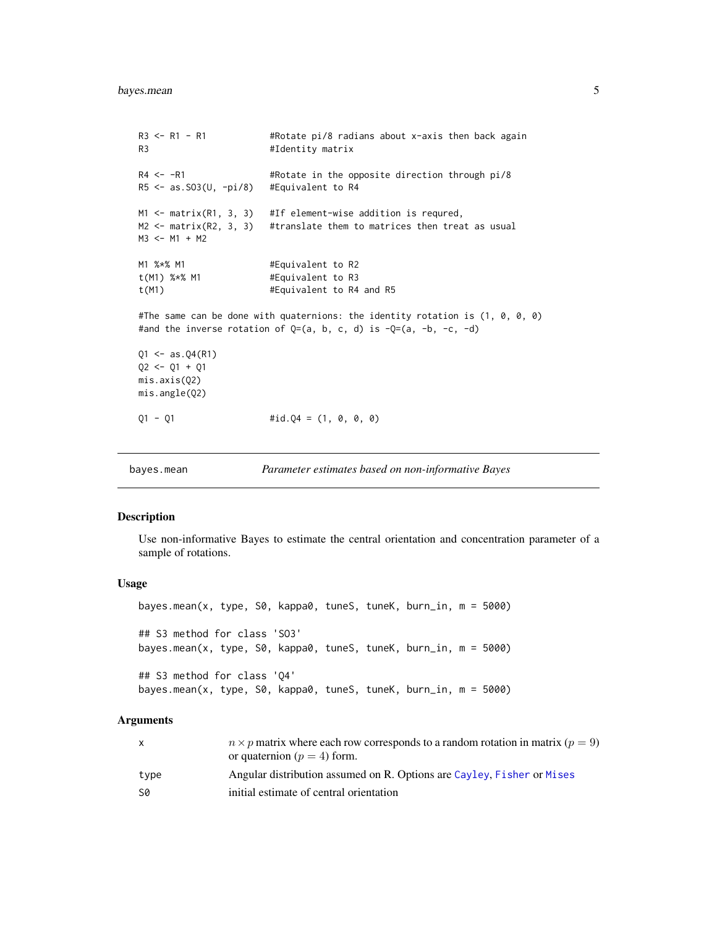```
R3 <- R1 - R1 #Rotate pi/8 radians about x-axis then back again
R3 #Identity matrix
R4 <- -R1 #Rotate in the opposite direction through pi/8
R5 <- as.SO3(U, -pi/8) #Equivalent to R4
M1 <- matrix(R1, 3, 3) #If element-wise addition is requred,
M2 \leq - matrix(R2, 3, 3) #translate them to matrices then treat as usual
M3 <- M1 + M2
M1 %*% M1 #Equivalent to R2
t(M1) %*% M1 #Equivalent to R3
t(M1) #Equivalent to R4 and R5
#The same can be done with quaternions: the identity rotation is (1, 0, 0, 0)
#and the inverse rotation of Q=(a, b, c, d) is -Q=(a, -b, -c, -d)
Q1 \le -as.Q4(R1)Q2 \le -Q1 + Q1mis.axis(Q2)
mis.angle(Q2)
Q1 - Q1 #id.Q4 = (1, 0, 0, 0)
```

```
bayes.mean Parameter estimates based on non-informative Bayes
```
Use non-informative Bayes to estimate the central orientation and concentration parameter of a sample of rotations.

#### Usage

bayes.mean(x, type, S0, kappa0, tuneS, tuneK, burn\_in, m = 5000) ## S3 method for class 'SO3' bayes.mean(x, type, S0, kappa0, tuneS, tuneK, burn\_in, m = 5000) ## S3 method for class 'Q4' bayes.mean(x, type, S0, kappa0, tuneS, tuneK, burn\_in, m = 5000)

## Arguments

|      | $n \times p$ matrix where each row corresponds to a random rotation in matrix ( $p = 9$ ) |
|------|-------------------------------------------------------------------------------------------|
|      | or quaternion ( $p = 4$ ) form.                                                           |
| type | Angular distribution assumed on R. Options are Cayley, Fisher or Mises                    |
| S0   | initial estimate of central orientation                                                   |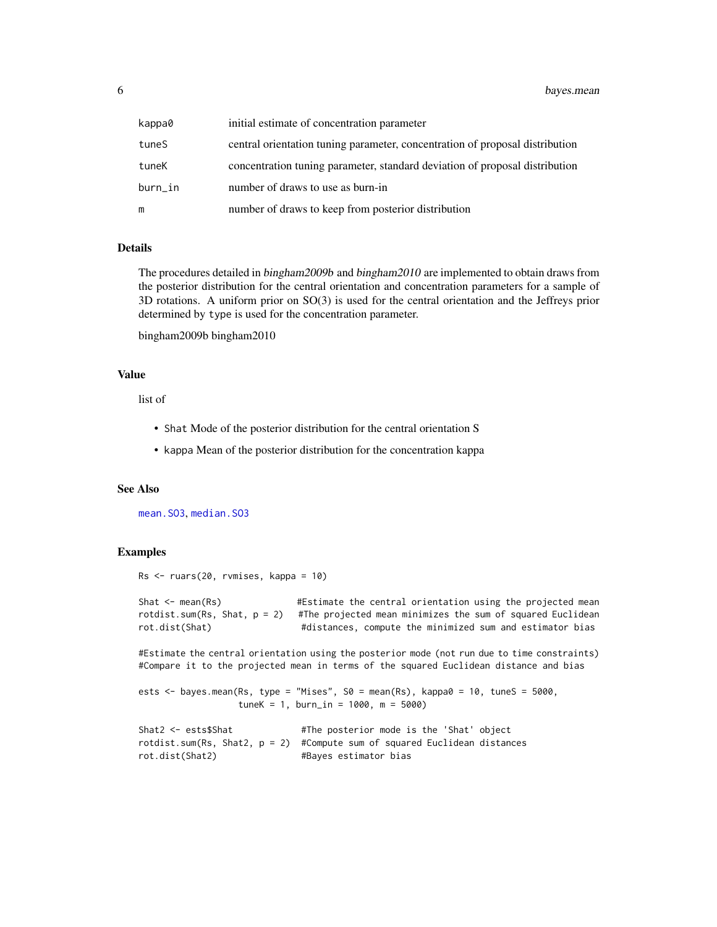<span id="page-5-0"></span>

| kappa0  | initial estimate of concentration parameter                                  |
|---------|------------------------------------------------------------------------------|
| tuneS   | central orientation tuning parameter, concentration of proposal distribution |
| tuneK   | concentration tuning parameter, standard deviation of proposal distribution  |
| burn_in | number of draws to use as burn-in                                            |
| m       | number of draws to keep from posterior distribution                          |

## Details

The procedures detailed in bingham2009b and bingham2010 are implemented to obtain draws from the posterior distribution for the central orientation and concentration parameters for a sample of 3D rotations. A uniform prior on SO(3) is used for the central orientation and the Jeffreys prior determined by type is used for the concentration parameter.

```
bingham2009b bingham2010
```
## Value

list of

- Shat Mode of the posterior distribution for the central orientation S
- kappa Mean of the posterior distribution for the concentration kappa

## See Also

[mean.SO3](#page-27-1), [median.SO3](#page-28-1)

#### Examples

```
Rs <- ruars(20, rvmises, kappa = 10)
```

```
Shat <- mean(Rs) #Estimate the central orientation using the projected mean
rotdist.sum(Rs, Shat, p = 2) #The projected mean minimizes the sum of squared Euclidean
rot.dist(Shat) #distances, compute the minimized sum and estimator bias
```
#Estimate the central orientation using the posterior mode (not run due to time constraints) #Compare it to the projected mean in terms of the squared Euclidean distance and bias

```
ests \le bayes.mean(Rs, type = "Mises", S0 = mean(Rs), kappa0 = 10, tuneS = 5000,
                   tuneK = 1, burn_in = 1000, m = 5000)
```

```
Shat2 <- ests$Shat #The posterior mode is the 'Shat' object
rotdist.sum(Rs, Shat2, p = 2) #Compute sum of squared Euclidean distances
rot.dist(Shat2) #Bayes estimator bias
```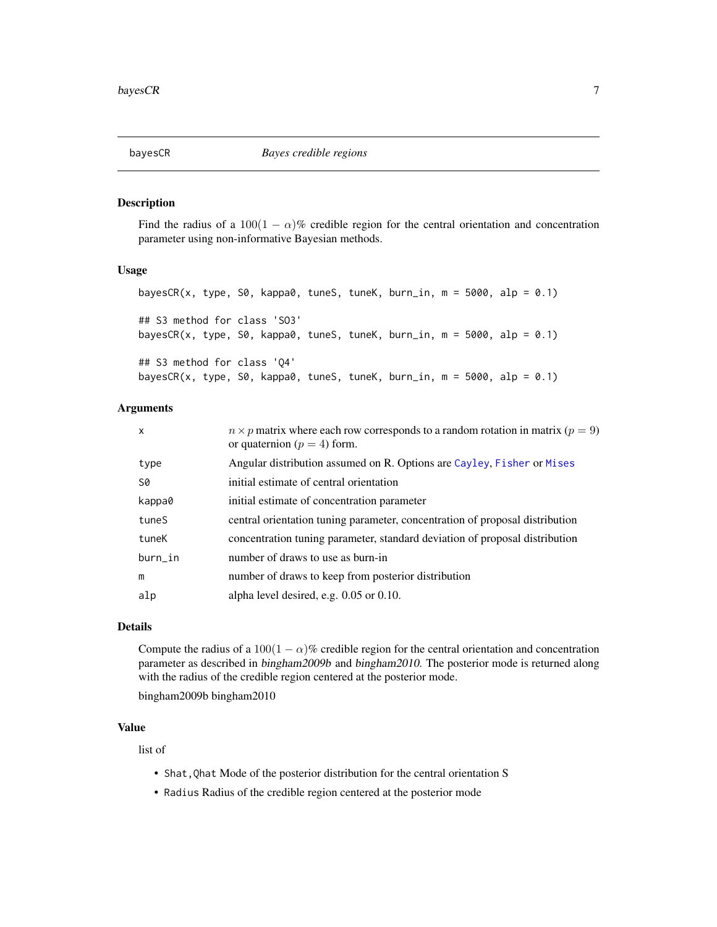<span id="page-6-1"></span><span id="page-6-0"></span>Find the radius of a 100(1 –  $\alpha$ )% credible region for the central orientation and concentration parameter using non-informative Bayesian methods.

## Usage

```
bayesCR(x, type, S0, kappa0, tuneS, tuneK, burn_in, m = 5000, alp = 0.1)
## S3 method for class 'SO3'
bayesCR(x, type, S0, kappa0, tuneS, tuneK, burn_in, m = 5000, alp = 0.1)
## S3 method for class 'Q4'
bayesCR(x, type, S0, kappa0, tuneS, tuneK, burn_in, m = 5000, alp = 0.1)
```
## Arguments

| $\mathsf{x}$ | $n \times p$ matrix where each row corresponds to a random rotation in matrix ( $p = 9$ )<br>or quaternion ( $p = 4$ ) form. |
|--------------|------------------------------------------------------------------------------------------------------------------------------|
| type         | Angular distribution assumed on R. Options are Cayley, Fisher or Mises                                                       |
| S0           | initial estimate of central orientation                                                                                      |
| kappa0       | initial estimate of concentration parameter                                                                                  |
| tuneS        | central orientation tuning parameter, concentration of proposal distribution                                                 |
| tuneK        | concentration tuning parameter, standard deviation of proposal distribution                                                  |
| burn_in      | number of draws to use as burn-in                                                                                            |
| m            | number of draws to keep from posterior distribution                                                                          |
| alp          | alpha level desired, e.g. 0.05 or 0.10.                                                                                      |

## Details

Compute the radius of a  $100(1 - \alpha)\%$  credible region for the central orientation and concentration parameter as described in bingham2009b and bingham2010. The posterior mode is returned along with the radius of the credible region centered at the posterior mode.

bingham2009b bingham2010

## Value

list of

- Shat,Qhat Mode of the posterior distribution for the central orientation S
- Radius Radius of the credible region centered at the posterior mode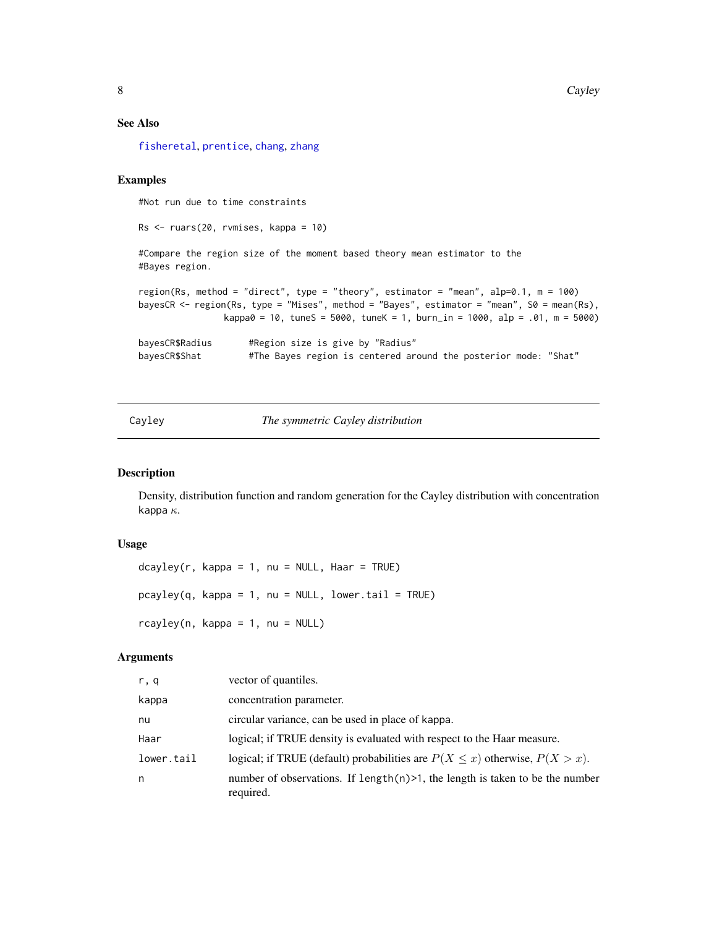## See Also

[fisheretal](#page-16-1), [prentice](#page-38-1), [chang](#page-10-1), [zhang](#page-55-1)

## Examples

#Not run due to time constraints

Rs <- ruars(20, rvmises, kappa = 10)

#Compare the region size of the moment based theory mean estimator to the #Bayes region.

```
region(Rs, method = "direct", type = "theory", estimator = "mean", alp=0.1, m = 100)
bayesCR <- region(Rs, type = "Mises", method = "Bayes", estimator = "mean", S0 = mean(Rs),
                kappa = 10, tuneS = 5000, tuneK = 1, burn_in = 1000, alp = .01, m = 5000)
bayesCR$Radius #Region size is give by "Radius"
```
bayesCR\$Shat #The Bayes region is centered around the posterior mode: "Shat"

<span id="page-7-1"></span>Cayley *The symmetric Cayley distribution*

#### Description

Density, distribution function and random generation for the Cayley distribution with concentration kappa  $\kappa$ .

#### Usage

```
dcayley(r, kappa = 1, nu = NULL, Haar = TRUE)pcayley(q, kappa = 1, nu = NULL, lowertail = TRUE)rcayley(n, kappa = 1, nu = NULL)
```
## Arguments

| r, q       | vector of quantiles.                                                                          |
|------------|-----------------------------------------------------------------------------------------------|
| kappa      | concentration parameter.                                                                      |
| nu         | circular variance, can be used in place of kappa.                                             |
| Haar       | logical; if TRUE density is evaluated with respect to the Haar measure.                       |
| lower.tail | logical; if TRUE (default) probabilities are $P(X \le x)$ otherwise, $P(X > x)$ .             |
| n          | number of observations. If length $(n)$ >1, the length is taken to be the number<br>required. |

<span id="page-7-0"></span>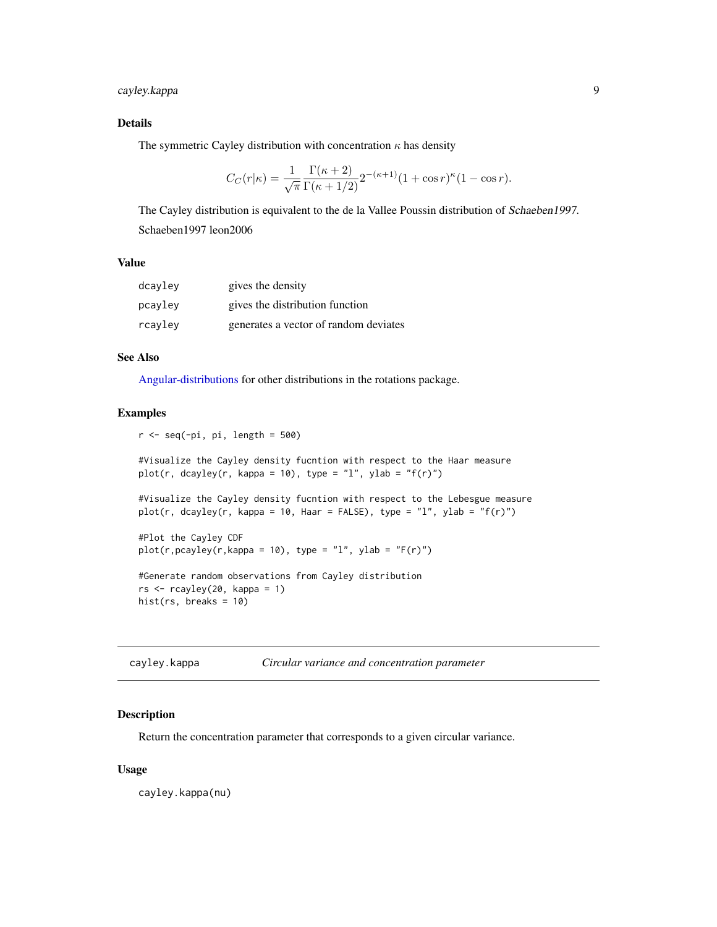## <span id="page-8-0"></span>cayley.kappa 9

## Details

The symmetric Cayley distribution with concentration  $\kappa$  has density

$$
C_C(r|\kappa) = \frac{1}{\sqrt{\pi}} \frac{\Gamma(\kappa+2)}{\Gamma(\kappa+1/2)} 2^{-(\kappa+1)} (1+\cos r)^{\kappa} (1-\cos r).
$$

The Cayley distribution is equivalent to the de la Vallee Poussin distribution of Schaeben1997. Schaeben1997 leon2006

## Value

| dcayley | gives the density                     |
|---------|---------------------------------------|
| pcayley | gives the distribution function       |
| rcayley | generates a vector of random deviates |

## See Also

[Angular-distributions](#page-2-1) for other distributions in the rotations package.

## Examples

```
r < - seq(-pi, pi, length = 500)
```
#Visualize the Cayley density fucntion with respect to the Haar measure plot(r, dcayley(r, kappa = 10), type = "l", ylab = "f(r)")

#Visualize the Cayley density fucntion with respect to the Lebesgue measure plot(r, dcayley(r, kappa = 10, Haar = FALSE), type = "l", ylab = "f(r)")

#Plot the Cayley CDF  $plot(r,pcayley(r,kappa = 10), type = "l", ylab = "F(r)")$ 

```
#Generate random observations from Cayley distribution
rs < -rcayley(20, kappa = 1)hist(rs, breaks = 10)
```

| cayley.kappa | Circular variance and concentration parameter |  |
|--------------|-----------------------------------------------|--|
|--------------|-----------------------------------------------|--|

## Description

Return the concentration parameter that corresponds to a given circular variance.

## Usage

cayley.kappa(nu)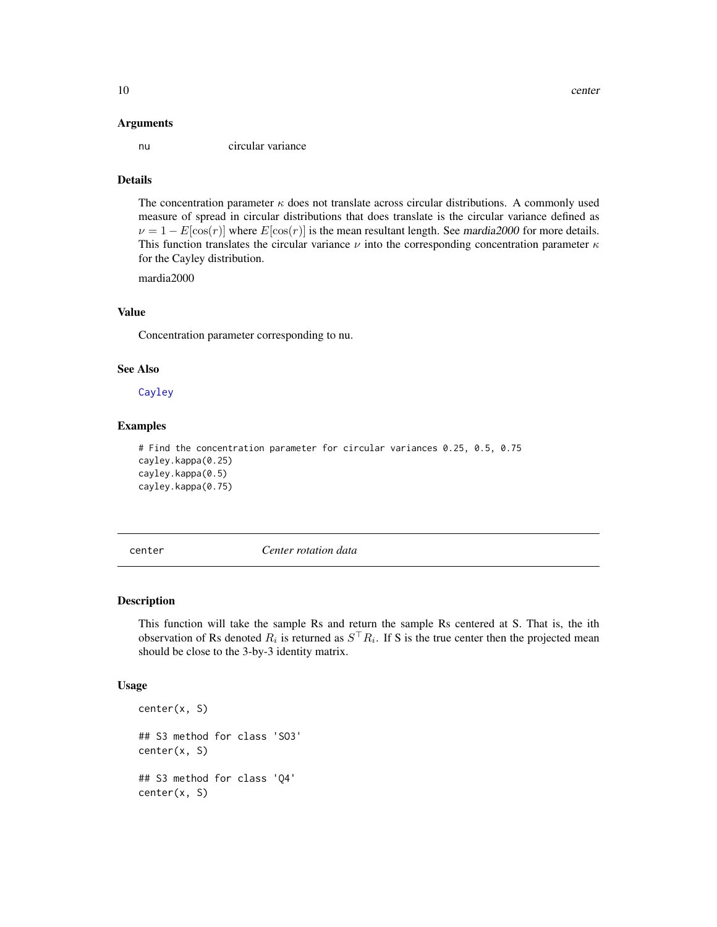#### <span id="page-9-0"></span>Arguments

nu circular variance

## Details

The concentration parameter  $\kappa$  does not translate across circular distributions. A commonly used measure of spread in circular distributions that does translate is the circular variance defined as  $\nu = 1 - E[\cos(r)]$  where  $E[\cos(r)]$  is the mean resultant length. See mardia2000 for more details. This function translates the circular variance  $\nu$  into the corresponding concentration parameter  $\kappa$ for the Cayley distribution.

mardia2000

## Value

Concentration parameter corresponding to nu.

## See Also

[Cayley](#page-7-1)

## Examples

```
# Find the concentration parameter for circular variances 0.25, 0.5, 0.75
cayley.kappa(0.25)
cayley.kappa(0.5)
cayley.kappa(0.75)
```
center *Center rotation data*

## Description

This function will take the sample Rs and return the sample Rs centered at S. That is, the ith observation of Rs denoted  $R_i$  is returned as  $S^{\top}R_i$ . If S is the true center then the projected mean should be close to the 3-by-3 identity matrix.

#### Usage

```
center(x, S)
## S3 method for class 'SO3'
center(x, S)
## S3 method for class 'Q4'
center(x, S)
```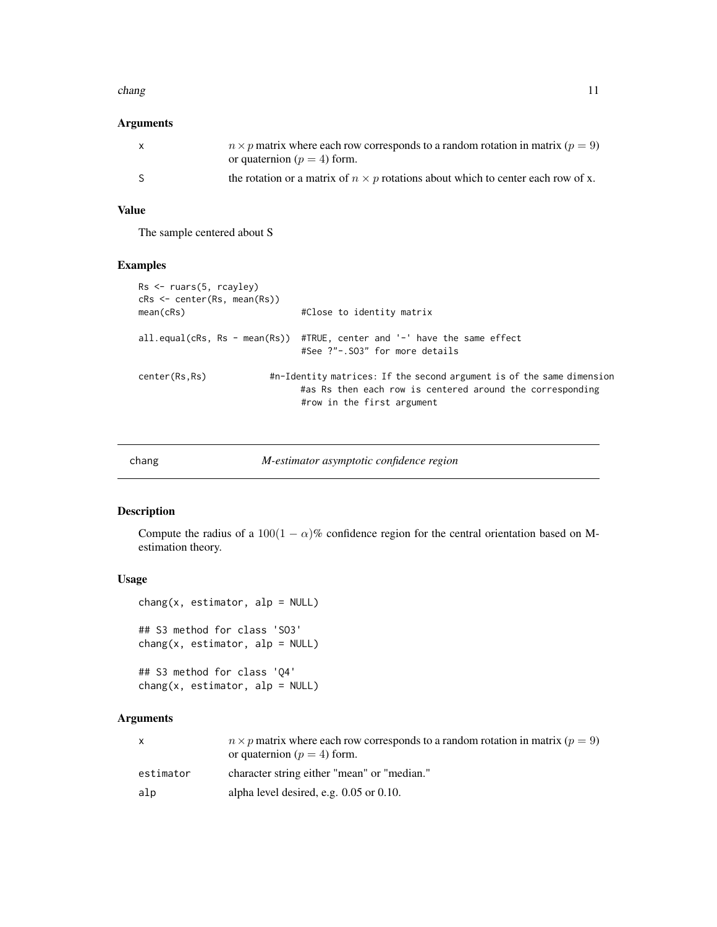#### <span id="page-10-0"></span>chang and the change of the change of the change of the change of the change of the change of the change of the change of the change of the change of the change of the change of the change of the change of the change of th

## Arguments

| X  | $n \times p$ matrix where each row corresponds to a random rotation in matrix ( $p = 9$ )<br>or quaternion ( $p = 4$ ) form. |
|----|------------------------------------------------------------------------------------------------------------------------------|
| -S | the rotation or a matrix of $n \times p$ rotations about which to center each row of x.                                      |

## Value

The sample centered about S

## Examples

```
Rs <- ruars(5, rcayley)
cRs <- center(Rs, mean(Rs))
mean(cRs) \# \text{Close to identity matrix}all.equal(cRs, Rs - mean(Rs)) #TRUE, center and '-' have the same effect
                             #See ?"-.SO3" for more details
center(Rs,Rs) #n-Identity matrices: If the second argument is of the same dimension
                             #as Rs then each row is centered around the corresponding
                             #row in the first argument
```
## <span id="page-10-1"></span>chang *M-estimator asymptotic confidence region*

## Description

Compute the radius of a 100(1 –  $\alpha$ )% confidence region for the central orientation based on Mestimation theory.

## Usage

```
change(x, estimator, alp = NULL)## S3 method for class 'SO3'
change(x, estimator, alp = NULL)## S3 method for class 'Q4'
```
 $change(x, estimate)$  alp = NULL)

## Arguments

|           | $n \times p$ matrix where each row corresponds to a random rotation in matrix ( $p = 9$ )<br>or quaternion ( $p = 4$ ) form. |
|-----------|------------------------------------------------------------------------------------------------------------------------------|
| estimator | character string either "mean" or "median."                                                                                  |
| alp       | alpha level desired, e.g. $0.05$ or $0.10$ .                                                                                 |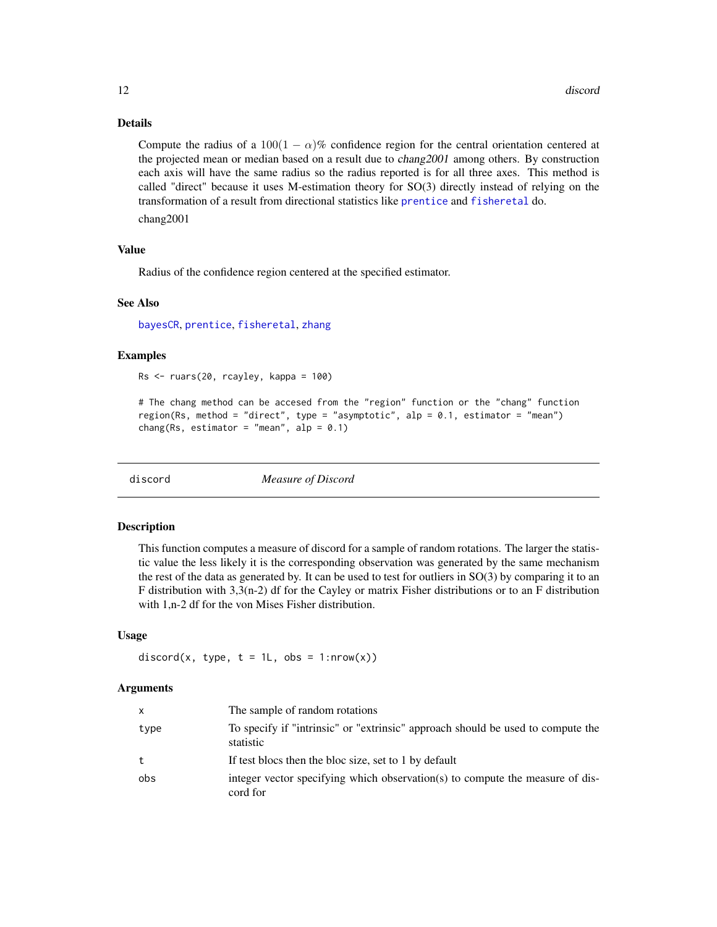## Details

Compute the radius of a  $100(1 - \alpha)\%$  confidence region for the central orientation centered at the projected mean or median based on a result due to *chang2001* among others. By construction each axis will have the same radius so the radius reported is for all three axes. This method is called "direct" because it uses M-estimation theory for SO(3) directly instead of relying on the transformation of a result from directional statistics like [prentice](#page-38-1) and [fisheretal](#page-16-1) do.

chang2001

## Value

Radius of the confidence region centered at the specified estimator.

## See Also

[bayesCR](#page-6-1), [prentice](#page-38-1), [fisheretal](#page-16-1), [zhang](#page-55-1)

## Examples

 $Rs < -rvars(20, rcayley, kappa = 100)$ 

```
# The chang method can be accesed from the "region" function or the "chang" function
region(Rs, method = "direct", type = "asymptotic", alp = 0.1, estimator = "mean")
chang(Rs, estimator = "mean", alp = 0.1)
```
discord *Measure of Discord*

## **Description**

This function computes a measure of discord for a sample of random rotations. The larger the statistic value the less likely it is the corresponding observation was generated by the same mechanism the rest of the data as generated by. It can be used to test for outliers in  $SO(3)$  by comparing it to an F distribution with 3,3(n-2) df for the Cayley or matrix Fisher distributions or to an F distribution with 1,n-2 df for the von Mises Fisher distribution.

## Usage

```
discord(x, type, t = 1L, obs = 1:nrow(x))
```
## Arguments

| x    | The sample of random rotations                                                               |
|------|----------------------------------------------------------------------------------------------|
| type | To specify if "intrinsic" or "extrinsic" approach should be used to compute the<br>statistic |
| t    | If test blocs then the bloc size, set to 1 by default                                        |
| obs  | integer vector specifying which observation(s) to compute the measure of dis-<br>cord for    |

<span id="page-11-0"></span>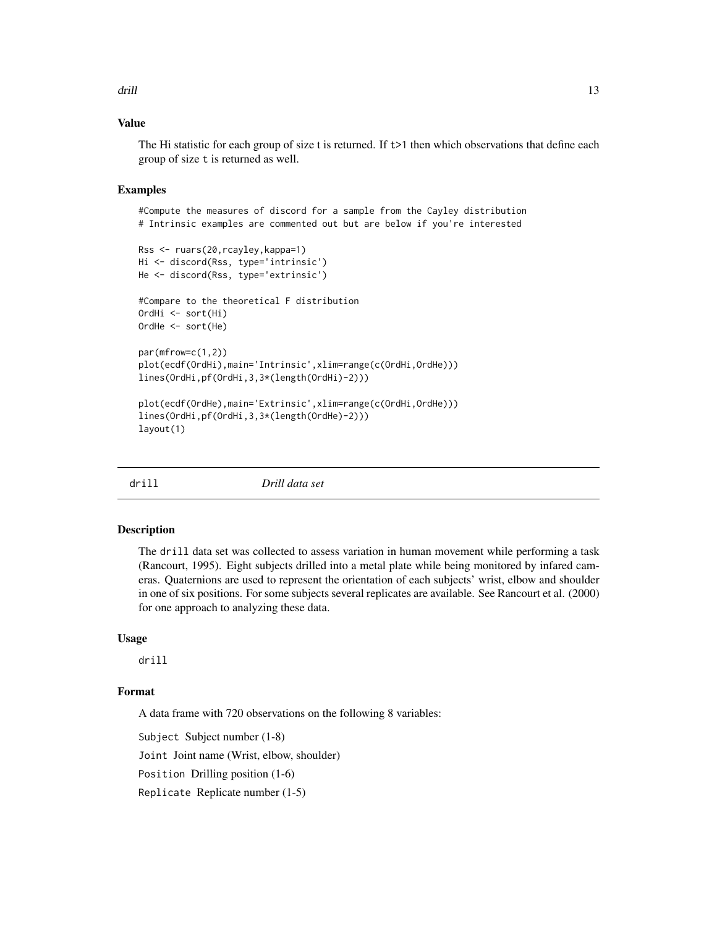<span id="page-12-0"></span>drill the contract of the contract of the contract of the contract of the contract of the contract of the contract of the contract of the contract of the contract of the contract of the contract of the contract of the cont

## Value

The Hi statistic for each group of size t is returned. If  $t>1$  then which observations that define each group of size t is returned as well.

## Examples

#Compute the measures of discord for a sample from the Cayley distribution # Intrinsic examples are commented out but are below if you're interested

```
Rss <- ruars(20,rcayley,kappa=1)
Hi <- discord(Rss, type='intrinsic')
He <- discord(Rss, type='extrinsic')
#Compare to the theoretical F distribution
OrdHi <- sort(Hi)
OrdHe <- sort(He)
par(mfrow=c(1,2))
plot(ecdf(OrdHi),main='Intrinsic',xlim=range(c(OrdHi,OrdHe)))
lines(OrdHi,pf(OrdHi,3,3*(length(OrdHi)-2)))
plot(ecdf(OrdHe),main='Extrinsic',xlim=range(c(OrdHi,OrdHe)))
lines(OrdHi,pf(OrdHi,3,3*(length(OrdHe)-2)))
layout(1)
```
drill *Drill data set*

#### Description

The drill data set was collected to assess variation in human movement while performing a task (Rancourt, 1995). Eight subjects drilled into a metal plate while being monitored by infared cameras. Quaternions are used to represent the orientation of each subjects' wrist, elbow and shoulder in one of six positions. For some subjects several replicates are available. See Rancourt et al. (2000) for one approach to analyzing these data.

## Usage

drill

## Format

A data frame with 720 observations on the following 8 variables:

Subject Subject number (1-8)

Joint Joint name (Wrist, elbow, shoulder)

Position Drilling position (1-6)

Replicate Replicate number (1-5)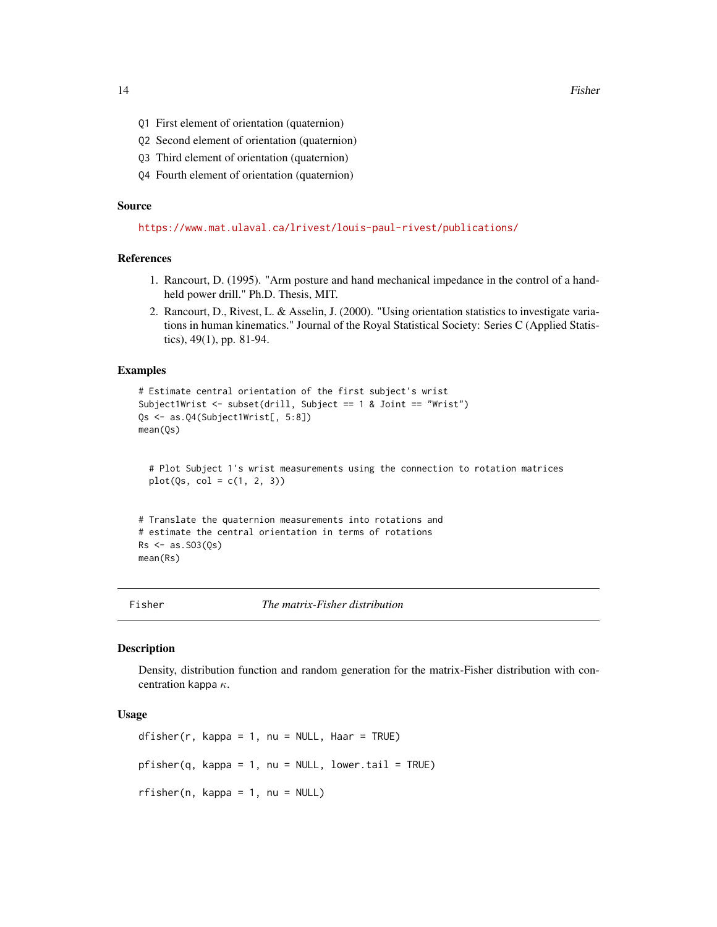<span id="page-13-0"></span>14 Fisher

- Q1 First element of orientation (quaternion)
- Q2 Second element of orientation (quaternion)
- Q3 Third element of orientation (quaternion)
- Q4 Fourth element of orientation (quaternion)

#### Source

<https://www.mat.ulaval.ca/lrivest/louis-paul-rivest/publications/>

## References

- 1. Rancourt, D. (1995). "Arm posture and hand mechanical impedance in the control of a handheld power drill." Ph.D. Thesis, MIT.
- 2. Rancourt, D., Rivest, L. & Asselin, J. (2000). "Using orientation statistics to investigate variations in human kinematics." Journal of the Royal Statistical Society: Series C (Applied Statistics), 49(1), pp. 81-94.

## Examples

```
# Estimate central orientation of the first subject's wrist
Subject1Wrist <- subset(drill, Subject == 1 & Joint == "Wrist")
Qs <- as.Q4(Subject1Wrist[, 5:8])
mean(Qs)
```

```
# Plot Subject 1's wrist measurements using the connection to rotation matrices
plot(Qs, col = c(1, 2, 3))
```

```
# Translate the quaternion measurements into rotations and
# estimate the central orientation in terms of rotations
Rs < -as.SO3(Qs)mean(Rs)
```
<span id="page-13-1"></span>Fisher *The matrix-Fisher distribution*

#### Description

Density, distribution function and random generation for the matrix-Fisher distribution with concentration kappa  $\kappa$ .

## Usage

dfisher(r, kappa = 1, nu = NULL, Haar = TRUE)  $pfisher(q, kappa = 1, nu = NULL, lower.tail = TRUE)$  $rfisher(n, kappa = 1, nu = NULL)$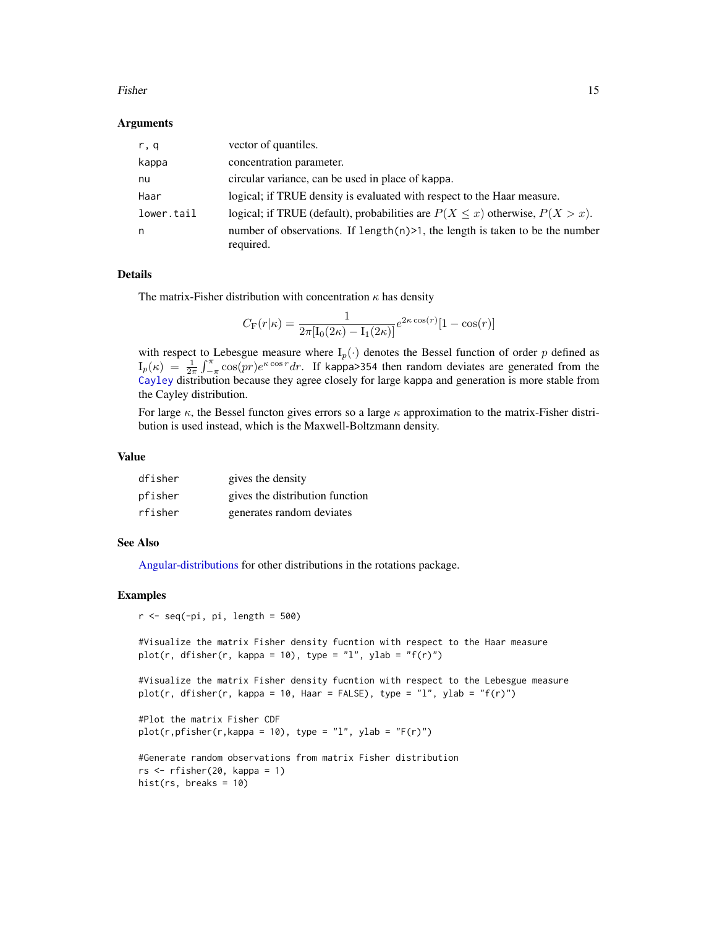#### <span id="page-14-0"></span>Fisher 15

## Arguments

| r, q       | vector of quantiles.                                                                          |
|------------|-----------------------------------------------------------------------------------------------|
| kappa      | concentration parameter.                                                                      |
| nu         | circular variance, can be used in place of kappa.                                             |
| Haar       | logical; if TRUE density is evaluated with respect to the Haar measure.                       |
| lower.tail | logical; if TRUE (default), probabilities are $P(X \le x)$ otherwise, $P(X > x)$ .            |
| n          | number of observations. If length $(n)$ >1, the length is taken to be the number<br>required. |

## Details

The matrix-Fisher distribution with concentration  $\kappa$  has density

$$
C_{\rm F}(r|\kappa) = \frac{1}{2\pi \left[ I_0(2\kappa) - I_1(2\kappa) \right]} e^{2\kappa \cos(r)} [1 - \cos(r)]
$$

with respect to Lebesgue measure where  $I_p(\cdot)$  denotes the Bessel function of order p defined as  $I_p(\kappa) = \frac{1}{2\pi} \int_{-\pi}^{\pi} \cos(pr)e^{k\cos r} dr$ . If kappa>354 then random deviates are generated from the [Cayley](#page-7-1) distribution because they agree closely for large kappa and generation is more stable from the Cayley distribution.

For large  $\kappa$ , the Bessel functon gives errors so a large  $\kappa$  approximation to the matrix-Fisher distribution is used instead, which is the Maxwell-Boltzmann density.

## Value

| dfisher | gives the density               |
|---------|---------------------------------|
| pfisher | gives the distribution function |
| rfisher | generates random deviates       |

#### See Also

[Angular-distributions](#page-2-1) for other distributions in the rotations package.

#### Examples

```
r < - seq(-pi, pi, length = 500)
```
#Visualize the matrix Fisher density fucntion with respect to the Haar measure plot(r, dfisher(r, kappa = 10), type = "l", ylab = "f(r)")

```
#Visualize the matrix Fisher density fucntion with respect to the Lebesgue measure
plot(r, dfisher(r, kappa = 10, Haar = FALSE), type = "l", ylab = "f(r)")
```

```
#Plot the matrix Fisher CDF
plot(r,pfisher(r,kappa = 10), type = "l", ylab = "F(r)")
```

```
#Generate random observations from matrix Fisher distribution
rs \leftarrow rfisher(20, kappa = 1)hist(rs, breaks = 10)
```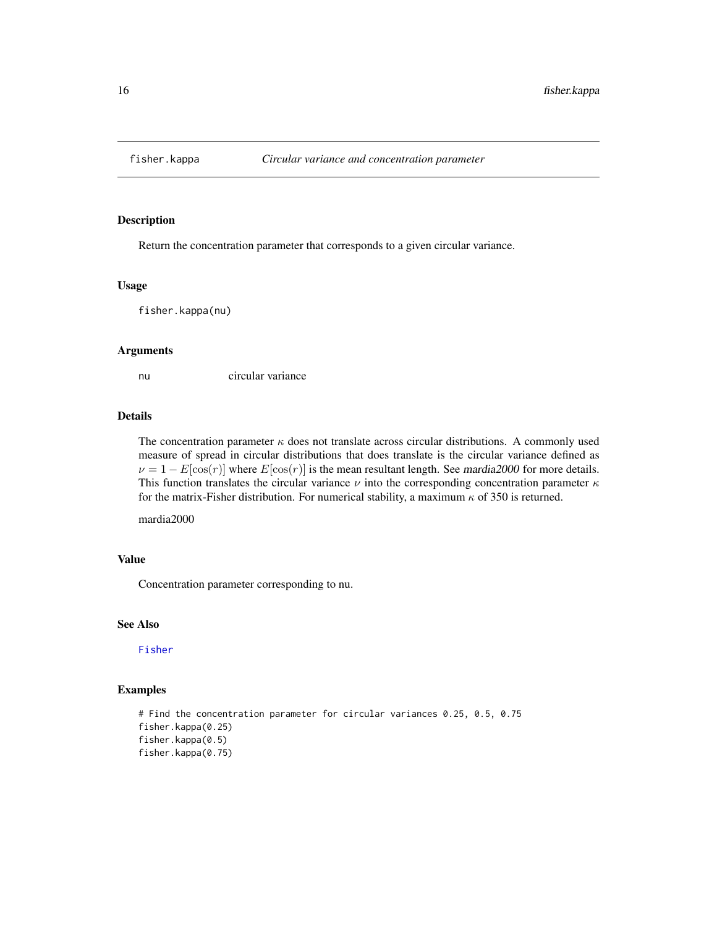<span id="page-15-0"></span>

Return the concentration parameter that corresponds to a given circular variance.

#### Usage

fisher.kappa(nu)

#### Arguments

nu circular variance

## Details

The concentration parameter  $\kappa$  does not translate across circular distributions. A commonly used measure of spread in circular distributions that does translate is the circular variance defined as  $\nu = 1 - E[\cos(r)]$  where  $E[\cos(r)]$  is the mean resultant length. See mardia2000 for more details. This function translates the circular variance  $\nu$  into the corresponding concentration parameter  $\kappa$ for the matrix-Fisher distribution. For numerical stability, a maximum  $\kappa$  of 350 is returned.

mardia2000

## Value

Concentration parameter corresponding to nu.

## See Also

[Fisher](#page-13-1)

## Examples

# Find the concentration parameter for circular variances 0.25, 0.5, 0.75 fisher.kappa(0.25) fisher.kappa(0.5) fisher.kappa(0.75)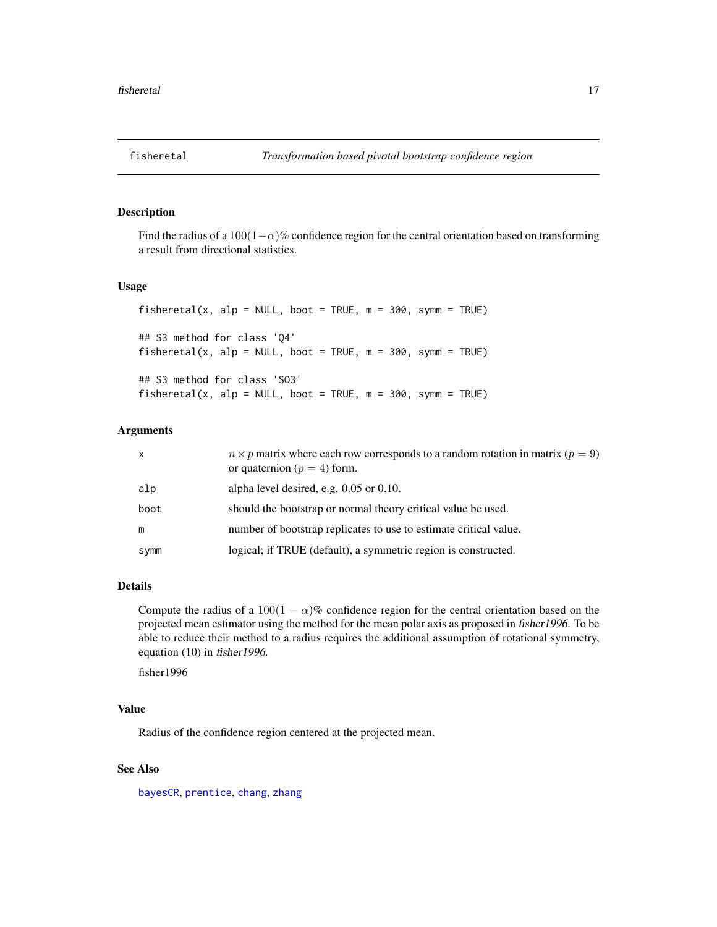<span id="page-16-1"></span><span id="page-16-0"></span>

Find the radius of a 100(1 $-\alpha$ )% confidence region for the central orientation based on transforming a result from directional statistics.

#### Usage

fisheretal(x, alp = NULL, boot = TRUE,  $m = 300$ , symm = TRUE) ## S3 method for class 'Q4' fisheretal(x, alp = NULL, boot = TRUE,  $m = 300$ , symm = TRUE) ## S3 method for class 'SO3' fisheretal(x, alp = NULL, boot = TRUE,  $m = 300$ , symm = TRUE)

## **Arguments**

| $\mathsf{x}$ | $n \times p$ matrix where each row corresponds to a random rotation in matrix ( $p = 9$ )<br>or quaternion ( $p = 4$ ) form. |
|--------------|------------------------------------------------------------------------------------------------------------------------------|
| alp          | alpha level desired, e.g. $0.05$ or $0.10$ .                                                                                 |
| boot         | should the bootstrap or normal theory critical value be used.                                                                |
| m            | number of bootstrap replicates to use to estimate critical value.                                                            |
| symm         | logical; if TRUE (default), a symmetric region is constructed.                                                               |

## Details

Compute the radius of a 100(1 –  $\alpha$ )% confidence region for the central orientation based on the projected mean estimator using the method for the mean polar axis as proposed in fisher1996. To be able to reduce their method to a radius requires the additional assumption of rotational symmetry, equation (10) in fisher1996.

fisher1996

## Value

Radius of the confidence region centered at the projected mean.

## See Also

[bayesCR](#page-6-1), [prentice](#page-38-1), [chang](#page-10-1), [zhang](#page-55-1)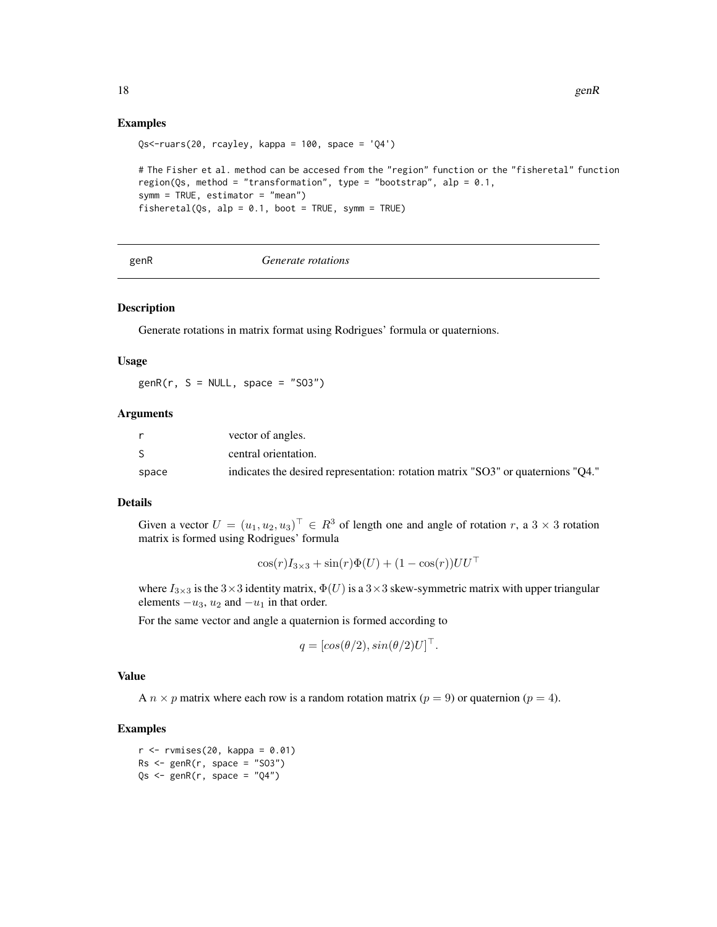## Examples

```
Qs<-ruars(20, rcayley, kappa = 100, space = 'Q4')
# The Fisher et al. method can be accesed from the "region" function or the "fisheretal" function
region(Qs, method = "transformation", type = "bootstrap", alp = 0.1,
symm = TRUE, estimator = "mean")
fisheretal(Qs, alp = 0.1, boot = TRUE, symm = TRUE)
```
#### genR *Generate rotations*

## Description

Generate rotations in matrix format using Rodrigues' formula or quaternions.

#### Usage

 $genR(r, S = NULL, space = "S03")$ 

## **Arguments**

|       | vector of angles.                                                                |
|-------|----------------------------------------------------------------------------------|
|       | central orientation.                                                             |
| space | indicates the desired representation: rotation matrix "SO3" or quaternions "O4." |

## Details

Given a vector  $U = (u_1, u_2, u_3)^{\top} \in R^3$  of length one and angle of rotation r, a  $3 \times 3$  rotation matrix is formed using Rodrigues' formula

$$
\cos(r)I_{3\times 3} + \sin(r)\Phi(U) + (1 - \cos(r))UU^{\top}
$$

where  $I_{3\times 3}$  is the  $3\times 3$  identity matrix,  $\Phi(U)$  is a  $3\times 3$  skew-symmetric matrix with upper triangular elements  $-u_3$ ,  $u_2$  and  $-u_1$  in that order.

For the same vector and angle a quaternion is formed according to

$$
q = [cos(\theta/2), sin(\theta/2)U]^\top.
$$

## Value

A  $n \times p$  matrix where each row is a random rotation matrix ( $p = 9$ ) or quaternion ( $p = 4$ ).

#### Examples

 $r$  <- rvmises(20, kappa = 0.01)  $Rs < -genR(r, space = "S03")$  $Qs \leq-genR(r, space = "Q4")$ 

<span id="page-17-0"></span>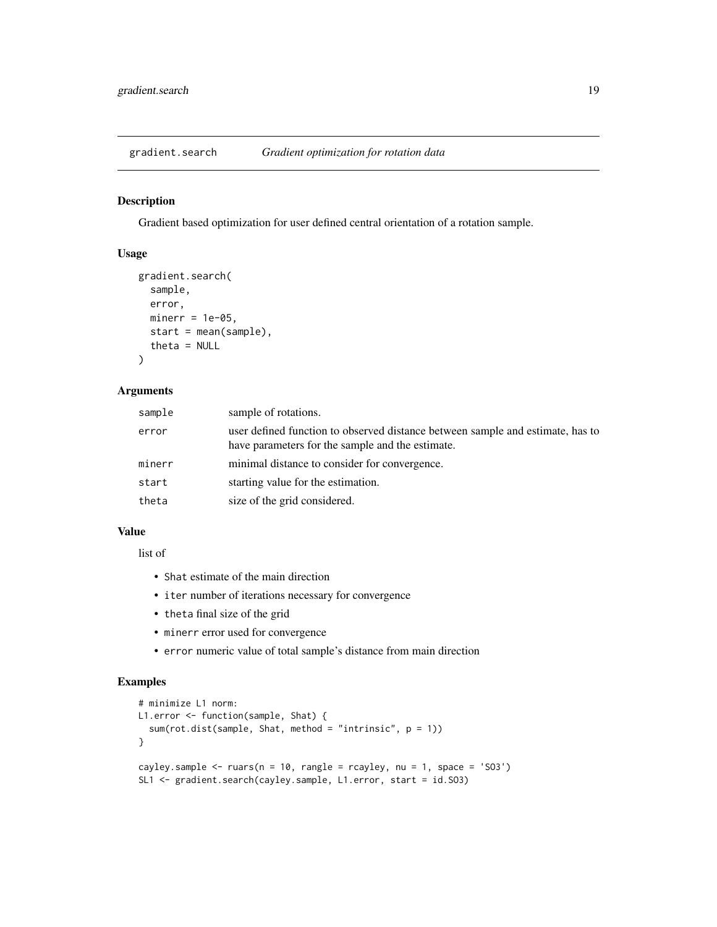<span id="page-18-0"></span>

Gradient based optimization for user defined central orientation of a rotation sample.

## Usage

```
gradient.search(
  sample,
 error,
 minerr = 1e-05,
  start = mean(sample),
  theta = NULL
)
```
## Arguments

| user defined function to observed distance between sample and estimate, has to<br>error<br>have parameters for the sample and the estimate. |  |
|---------------------------------------------------------------------------------------------------------------------------------------------|--|
| minimal distance to consider for convergence.<br>minerr                                                                                     |  |
| starting value for the estimation.<br>start                                                                                                 |  |
| size of the grid considered.<br>theta                                                                                                       |  |

#### Value

list of

- Shat estimate of the main direction
- iter number of iterations necessary for convergence
- theta final size of the grid
- minerr error used for convergence
- error numeric value of total sample's distance from main direction

## Examples

```
# minimize L1 norm:
L1.error <- function(sample, Shat) {
  sum(rot.dist(sample, Shat, method = "intrinsic", p = 1))
}
cayley.sample \leq ruars(n = 10, rangle = rcayley, nu = 1, space = 'SO3')
SL1 <- gradient.search(cayley.sample, L1.error, start = id.SO3)
```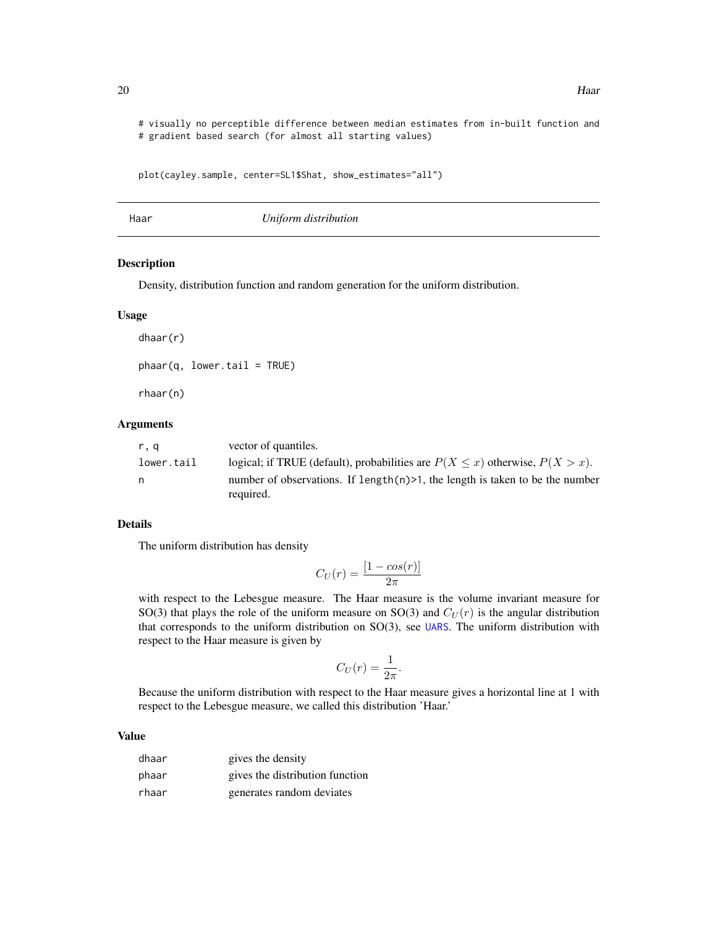# visually no perceptible difference between median estimates from in-built function and # gradient based search (for almost all starting values)

```
plot(cayley.sample, center=SL1$Shat, show_estimates="all")
```
<span id="page-19-1"></span>Haar *Uniform distribution*

## Description

Density, distribution function and random generation for the uniform distribution.

#### Usage

 $phaar(q, lower.tail = TRUE)$ 

rhaar(n)

dhaar(r)

## Arguments

| r.q        | vector of quantiles.                                                               |
|------------|------------------------------------------------------------------------------------|
| lower.tail | logical; if TRUE (default), probabilities are $P(X \le x)$ otherwise, $P(X > x)$ . |
| n.         | number of observations. If length $(n)$ >1, the length is taken to be the number   |
|            | required.                                                                          |

## Details

The uniform distribution has density

$$
C_U(r) = \frac{[1 - \cos(r)]}{2\pi}
$$

with respect to the Lebesgue measure. The Haar measure is the volume invariant measure for SO(3) that plays the role of the uniform measure on SO(3) and  $C_U(r)$  is the angular distribution that corresponds to the uniform distribution on  $SO(3)$ , see [UARS](#page-51-1). The uniform distribution with respect to the Haar measure is given by

$$
C_U(r) = \frac{1}{2\pi}.
$$

Because the uniform distribution with respect to the Haar measure gives a horizontal line at 1 with respect to the Lebesgue measure, we called this distribution 'Haar.'

## Value

| dhaar | gives the density               |
|-------|---------------------------------|
| phaar | gives the distribution function |
| rhaar | generates random deviates       |

<span id="page-19-0"></span>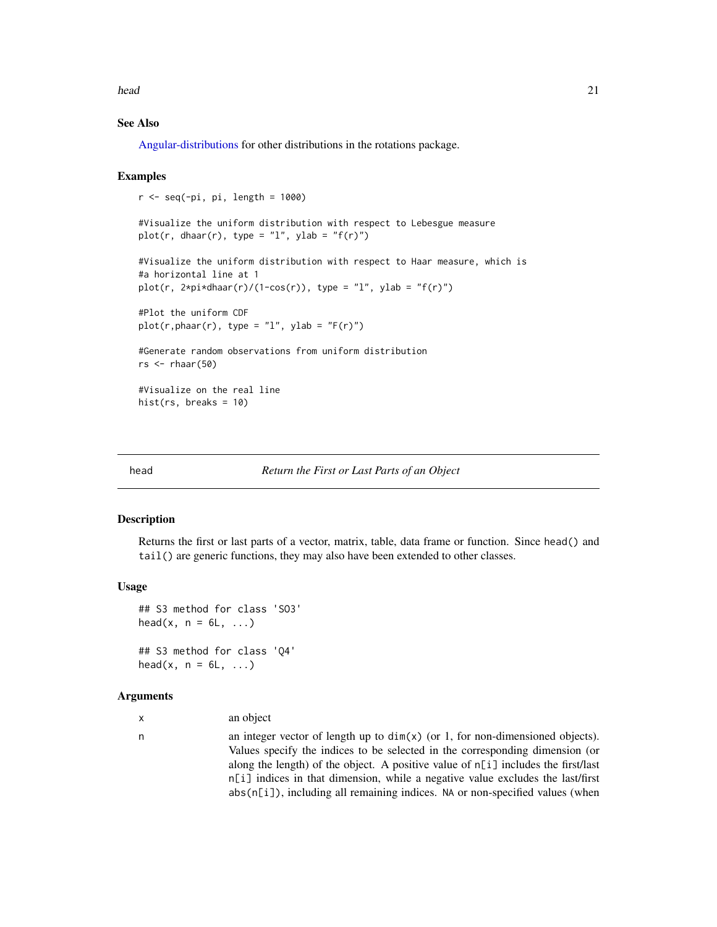<span id="page-20-0"></span>head 21 and 22 and 22 and 22 and 22 and 22 and 22 and 22 and 22 and 22 and 22 and 22 and 22 and 22 and 22 and 22 and 22 and 22 and 22 and 22 and 22 and 22 and 22 and 22 and 22 and 22 and 22 and 22 and 22 and 22 and 22 and

## See Also

[Angular-distributions](#page-2-1) for other distributions in the rotations package.

## Examples

```
r < - seq(-pi, pi, length = 1000)
#Visualize the uniform distribution with respect to Lebesgue measure
plot(r, dhaar(r), type = "l", ylab = "f(r)")
#Visualize the uniform distribution with respect to Haar measure, which is
#a horizontal line at 1
plot(r, 2*pi*dhaar(r)/(1-cos(r)), type = "l", ylab = "f(r)")
#Plot the uniform CDF
plot(r,phant(r), type = "l", ylab = "F(r)")#Generate random observations from uniform distribution
rs < - rhaar(50)#Visualize on the real line
hist(rs, breaks = 10)
```
#### head *Return the First or Last Parts of an Object*

#### Description

Returns the first or last parts of a vector, matrix, table, data frame or function. Since head() and tail() are generic functions, they may also have been extended to other classes.

#### Usage

```
## S3 method for class 'SO3'
head(x, n = 6L, ...)
## S3 method for class 'Q4'
head(x, n = 6L, ...)
```
#### Arguments

x an object

n an integer vector of length up to dim(x) (or 1, for non-dimensioned objects). Values specify the indices to be selected in the corresponding dimension (or along the length) of the object. A positive value of  $n[i]$  includes the first/last n[i] indices in that dimension, while a negative value excludes the last/first abs(n[i]), including all remaining indices. NA or non-specified values (when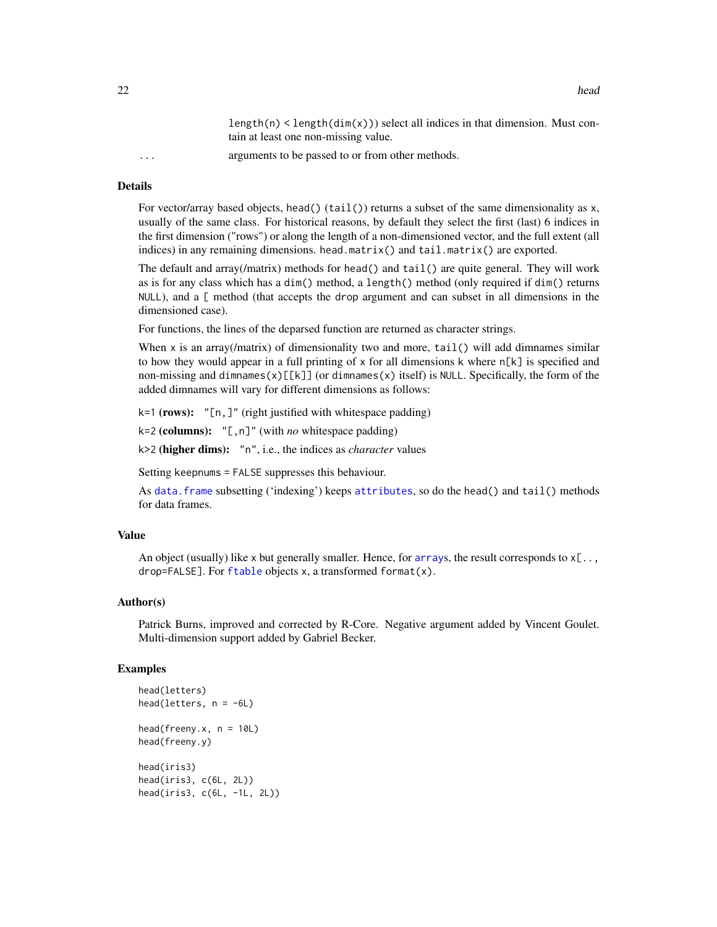$length(n) < length(dim(x))$  select all indices in that dimension. Must contain at least one non-missing value.

<span id="page-21-0"></span>... arguments to be passed to or from other methods.

## Details

For vector/array based objects, head()  $(tail()$  returns a subset of the same dimensionality as x, usually of the same class. For historical reasons, by default they select the first (last) 6 indices in the first dimension ("rows") or along the length of a non-dimensioned vector, and the full extent (all indices) in any remaining dimensions. head.matrix() and tail.matrix() are exported.

The default and array(/matrix) methods for head() and tail() are quite general. They will work as is for any class which has a dim() method, a length() method (only required if dim() returns NULL), and a [ method (that accepts the drop argument and can subset in all dimensions in the dimensioned case).

For functions, the lines of the deparsed function are returned as character strings.

When  $x$  is an array(/matrix) of dimensionality two and more,  $tail()$  will add dimnames similar to how they would appear in a full printing of  $x$  for all dimensions k where  $n[k]$  is specified and non-missing and dimnames(x)[[k]] (or dimnames(x) itself) is NULL. Specifically, the form of the added dimnames will vary for different dimensions as follows:

k=1 (rows): "[n,]" (right justified with whitespace padding)

k=2 (columns): "[,n]" (with *no* whitespace padding)

k>2 (higher dims): "n", i.e., the indices as *character* values

Setting keepnums = FALSE suppresses this behaviour.

As [data.frame](#page-0-0) subsetting ('indexing') keeps [attributes](#page-0-0), so do the head() and tail() methods for data frames.

## Value

An object (usually) like x but generally smaller. Hence, for [array](#page-0-0)s, the result corresponds to  $x[\ldots]$ , drop=FALSE]. For  $f$ table objects x, a transformed format $(x)$ .

#### Author(s)

Patrick Burns, improved and corrected by R-Core. Negative argument added by Vincent Goulet. Multi-dimension support added by Gabriel Becker.

#### Examples

```
head(letters)
head(letters, n = -6L)
head(freeny.x, n = 10L)
head(freeny.y)
head(iris3)
head(iris3, c(6L, 2L))
head(iris3, c(6L, -1L, 2L))
```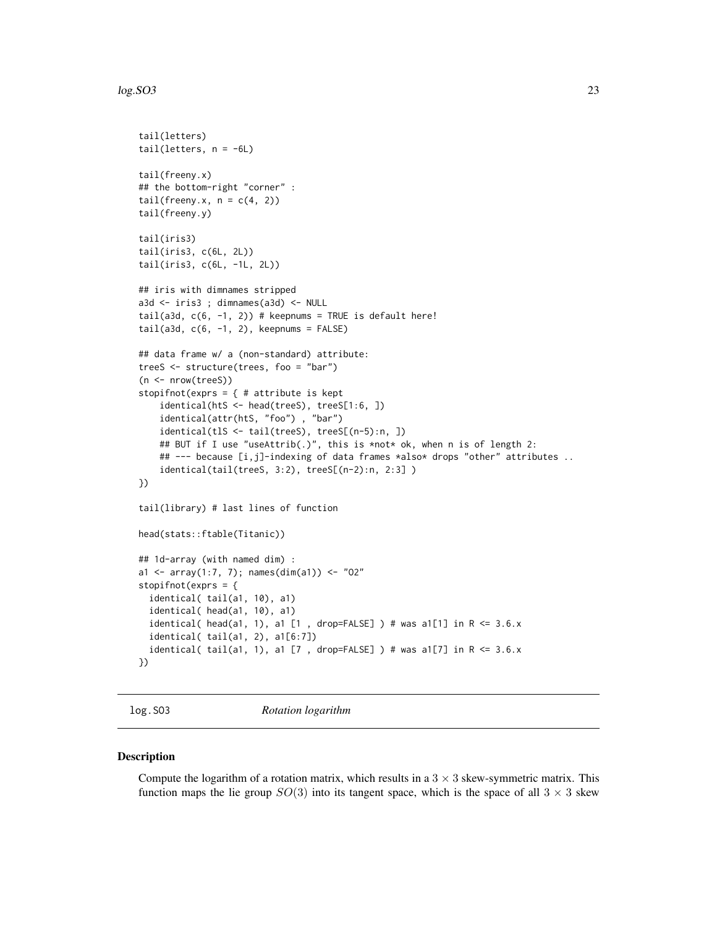#### <span id="page-22-0"></span> $log.SO3$  23

```
tail(letters)
tail(letters, n = -6L)
tail(freeny.x)
## the bottom-right "corner" :
tail(freeny.x, n = c(4, 2))
tail(freeny.y)
tail(iris3)
tail(iris3, c(6L, 2L))
tail(iris3, c(6L, -1L, 2L))
## iris with dimnames stripped
a3d <- iris3 ; dimnames(a3d) <- NULL
tail(a3d, c(6, -1, 2)) # keepnums = TRUE is default here!
tail(a3d, c(6, -1, 2), keepnums = FALSE)## data frame w/ a (non-standard) attribute:
treeS <- structure(trees, foo = "bar")
(n <- nrow(treeS))
stopifnot(exprs = { # attribute is kept
    identical(htS <- head(treeS), treeS[1:6, ])
    identical(attr(htS, "foo") , "bar")
    identical(tlS <- tail(treeS), treeS[(n-5):n, ])
    ## BUT if I use "useAttrib(.)", this is *not* ok, when n is of length 2:
    ## --- because [i,j]-indexing of data frames *also* drops "other" attributes ..
    identical(tail(treeS, 3:2), treeS[(n-2):n, 2:3] )
})
tail(library) # last lines of function
head(stats::ftable(Titanic))
## 1d-array (with named dim) :
a1 <- array(1:7, 7); names(dim(a1)) <- "02"stopifnot(exprs = {
 identical( tail(a1, 10), a1)
 identical( head(a1, 10), a1)
 identical( head(a1, 1), a1 [1 , drop=FALSE] ) # was a1[1] in R <= 3.6.xidentical( tail(a1, 2), a1[6:7])
 identical( tail(a1, 1), a1 [7 , drop=FALSE] ) # was a1[7] in R <= 3.6.x})
```
log.SO3 *Rotation logarithm*

#### Description

Compute the logarithm of a rotation matrix, which results in a  $3 \times 3$  skew-symmetric matrix. This function maps the lie group  $SO(3)$  into its tangent space, which is the space of all  $3 \times 3$  skew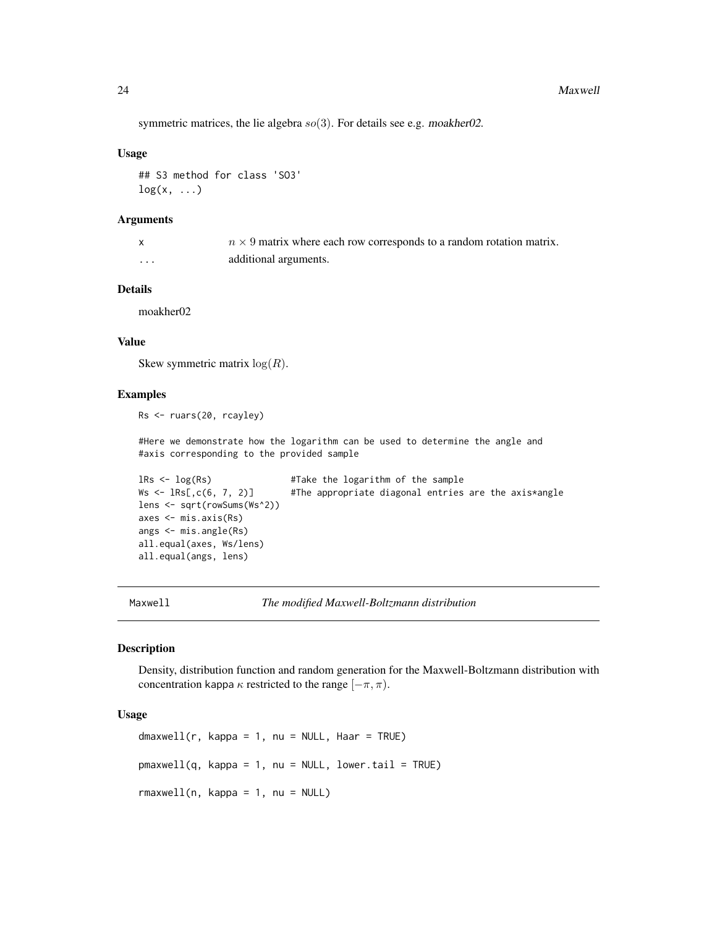<span id="page-23-0"></span>symmetric matrices, the lie algebra  $so(3)$ . For details see e.g. moakher02.

## Usage

```
## S3 method for class 'SO3'
log(x, \ldots)
```
## Arguments

|   | $n \times 9$ matrix where each row corresponds to a random rotation matrix. |
|---|-----------------------------------------------------------------------------|
| . | additional arguments.                                                       |

## Details

moakher02

## Value

Skew symmetric matrix  $log(R)$ .

## Examples

```
Rs <- ruars(20, rcayley)
```
#Here we demonstrate how the logarithm can be used to determine the angle and #axis corresponding to the provided sample

```
lRs <- log(Rs) #Take the logarithm of the sample<br>Ws <- lRs[,c(6, 7, 2)] #The appropriate diagonal entries
                                   #The appropriate diagonal entries are the axis*angle
lens <- sqrt(rowSums(Ws^2))
axes <- mis.axis(Rs)
angs <- mis.angle(Rs)
all.equal(axes, Ws/lens)
all.equal(angs, lens)
```
<span id="page-23-1"></span>Maxwell *The modified Maxwell-Boltzmann distribution*

#### Description

Density, distribution function and random generation for the Maxwell-Boltzmann distribution with concentration kappa  $\kappa$  restricted to the range  $[-\pi, \pi)$ .

## Usage

```
dmaxwell(r, kappa = 1, nu = NULL, Haar = TRUE)
pmaxwell(q, kappa = 1, nu = NULL, lower.tail = TRUE)
rmaxwell(n, kappa = 1, nu = NULL)
```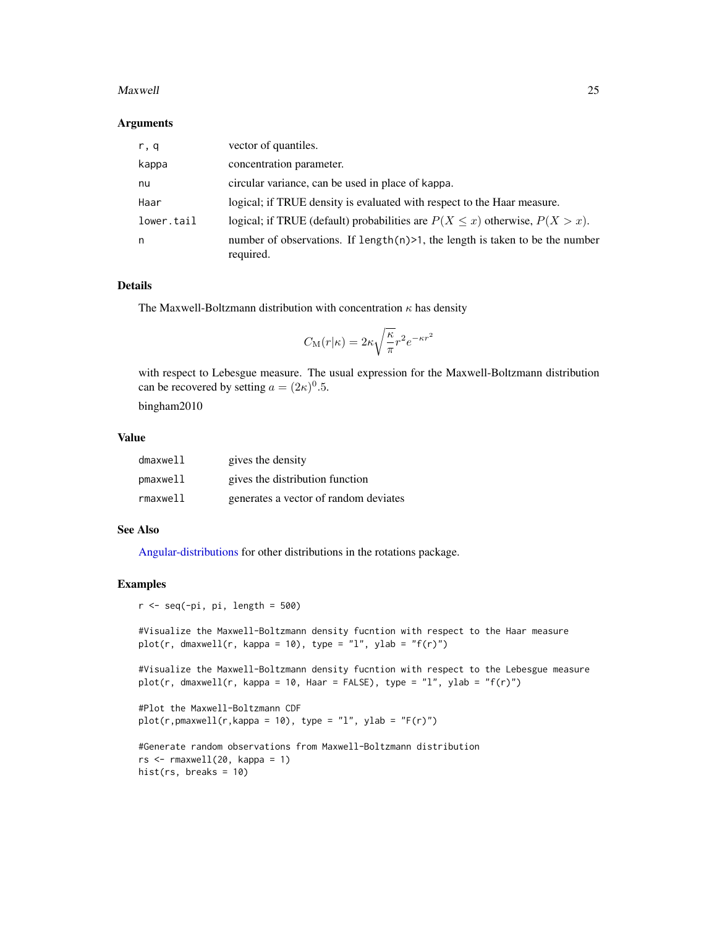#### <span id="page-24-0"></span>Maxwell 25

#### Arguments

| r, q       | vector of quantiles.                                                                          |
|------------|-----------------------------------------------------------------------------------------------|
| kappa      | concentration parameter.                                                                      |
| nu         | circular variance, can be used in place of kappa.                                             |
| Haar       | logical; if TRUE density is evaluated with respect to the Haar measure.                       |
| lower.tail | logical; if TRUE (default) probabilities are $P(X \le x)$ otherwise, $P(X > x)$ .             |
| n          | number of observations. If length $(n)$ >1, the length is taken to be the number<br>required. |

## Details

The Maxwell-Boltzmann distribution with concentration  $\kappa$  has density

$$
C_{\rm M}(r|\kappa)=2\kappa\sqrt{\frac{\kappa}{\pi}}r^2e^{-\kappa r^2}
$$

with respect to Lebesgue measure. The usual expression for the Maxwell-Boltzmann distribution can be recovered by setting  $a = (2\kappa)^0.5$ .

bingham2010

## Value

| dmaxwell    | gives the density                     |
|-------------|---------------------------------------|
| pmaxwell    | gives the distribution function       |
| $r$ maxwell | generates a vector of random deviates |

## See Also

[Angular-distributions](#page-2-1) for other distributions in the rotations package.

## Examples

```
r < - seq(-pi, pi, length = 500)
```

```
#Visualize the Maxwell-Boltzmann density fucntion with respect to the Haar measure
plot(r, dmaxwell(r, kappa = 10), type = "l", ylab = "f(r)")
```

```
#Visualize the Maxwell-Boltzmann density fucntion with respect to the Lebesgue measure
plot(r, dmaxwell(r, kappa = 10, Haar = FALSE), type = "l", ylab = "f(r)")
```

```
#Plot the Maxwell-Boltzmann CDF
plot(r, pmaxwell(r, kappa = 10), type = "l", ylab = "F(r)")
```

```
#Generate random observations from Maxwell-Boltzmann distribution
rs <- rmaxwell(20, kappa = 1)hist(rs, breaks = 10)
```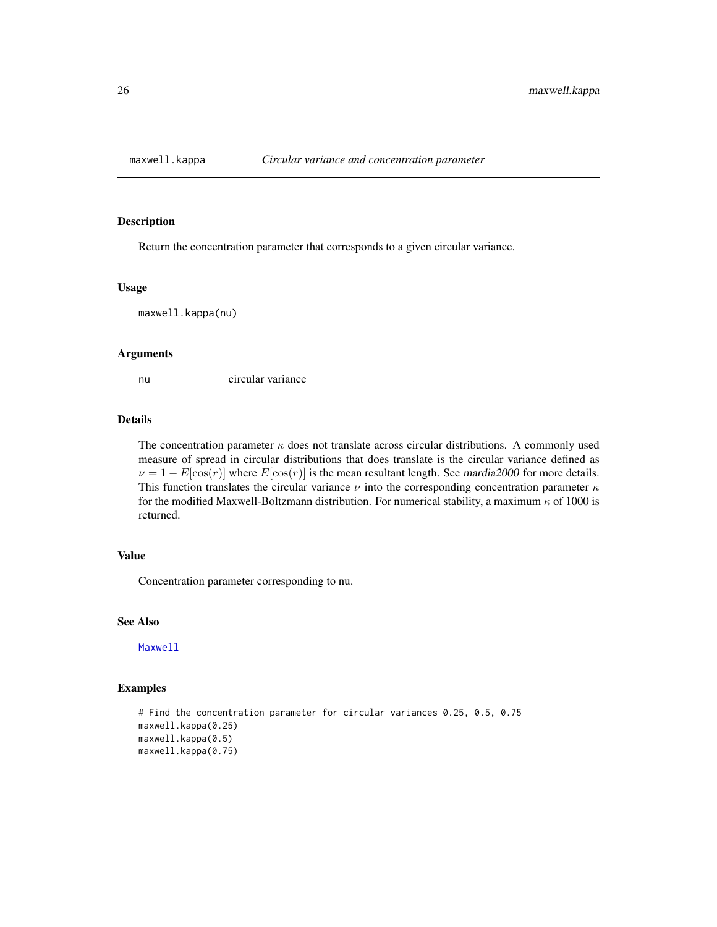<span id="page-25-0"></span>

Return the concentration parameter that corresponds to a given circular variance.

### Usage

maxwell.kappa(nu)

## Arguments

nu circular variance

## Details

The concentration parameter  $\kappa$  does not translate across circular distributions. A commonly used measure of spread in circular distributions that does translate is the circular variance defined as  $\nu = 1 - E[\cos(r)]$  where  $E[\cos(r)]$  is the mean resultant length. See mardia2000 for more details. This function translates the circular variance  $\nu$  into the corresponding concentration parameter  $\kappa$ for the modified Maxwell-Boltzmann distribution. For numerical stability, a maximum  $\kappa$  of 1000 is returned.

## Value

Concentration parameter corresponding to nu.

## See Also

[Maxwell](#page-23-1)

## Examples

```
# Find the concentration parameter for circular variances 0.25, 0.5, 0.75
maxwell.kappa(0.25)
maxwell.kappa(0.5)
maxwell.kappa(0.75)
```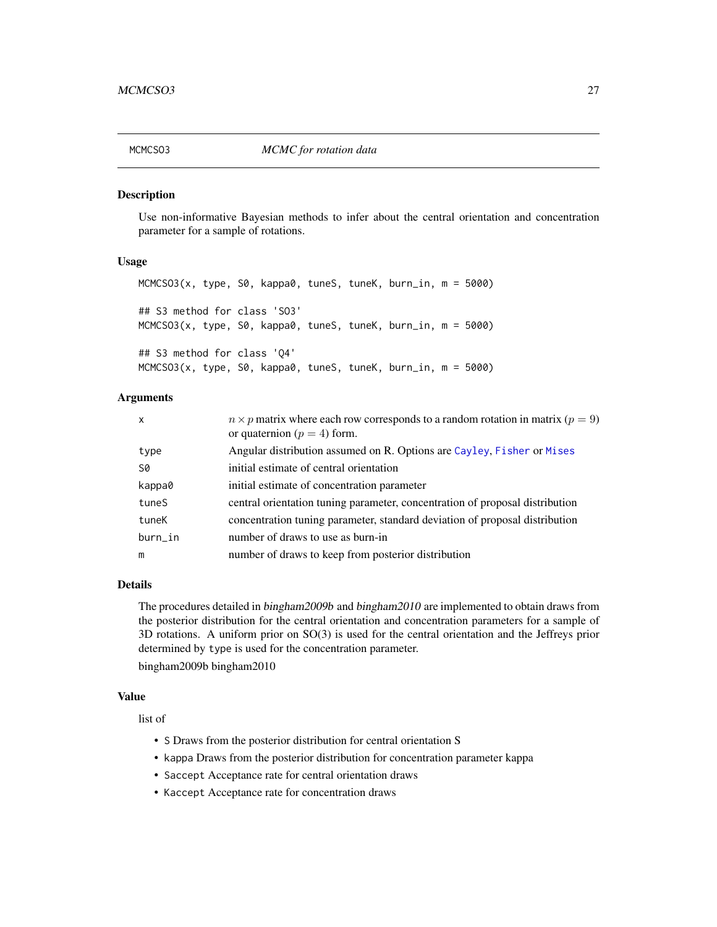<span id="page-26-0"></span>

Use non-informative Bayesian methods to infer about the central orientation and concentration parameter for a sample of rotations.

## Usage

MCMCSO3(x, type, S0, kappa0, tuneS, tuneK, burn\_in, m = 5000) ## S3 method for class 'SO3' MCMCSO3(x, type, S0, kappa0, tuneS, tuneK, burn\_in, m = 5000) ## S3 method for class 'Q4' MCMCSO3(x, type, S0, kappa0, tuneS, tuneK, burn\_in, m = 5000)

## Arguments

| $\times$ | $n \times p$ matrix where each row corresponds to a random rotation in matrix ( $p = 9$ )<br>or quaternion ( $p = 4$ ) form. |
|----------|------------------------------------------------------------------------------------------------------------------------------|
| type     | Angular distribution assumed on R. Options are Cayley, Fisher or Mises                                                       |
| S0       | initial estimate of central orientation                                                                                      |
| kappa0   | initial estimate of concentration parameter                                                                                  |
| tuneS    | central orientation tuning parameter, concentration of proposal distribution                                                 |
| tuneK    | concentration tuning parameter, standard deviation of proposal distribution                                                  |
| burn_in  | number of draws to use as burn-in                                                                                            |
| m        | number of draws to keep from posterior distribution                                                                          |

## Details

The procedures detailed in bingham2009b and bingham2010 are implemented to obtain draws from the posterior distribution for the central orientation and concentration parameters for a sample of 3D rotations. A uniform prior on SO(3) is used for the central orientation and the Jeffreys prior determined by type is used for the concentration parameter.

bingham2009b bingham2010

## Value

list of

- S Draws from the posterior distribution for central orientation S
- kappa Draws from the posterior distribution for concentration parameter kappa
- Saccept Acceptance rate for central orientation draws
- Kaccept Acceptance rate for concentration draws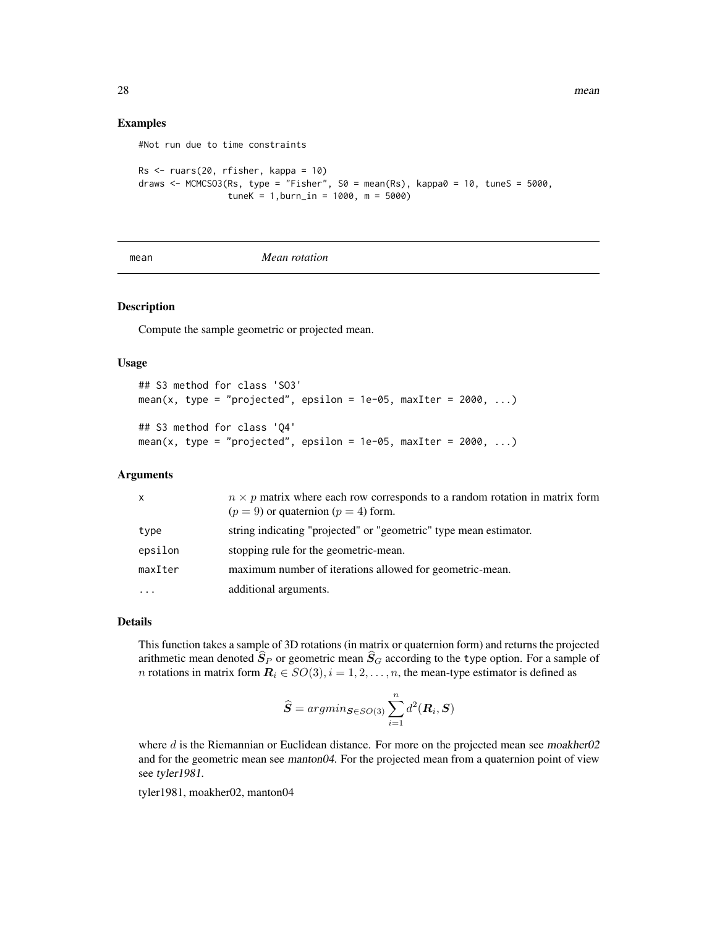28 mean was a strong of the contract of the contract of the contract of the contract of the contract of the contract of the contract of the contract of the contract of the contract of the contract of the contract of the co

## Examples

```
Rs <- ruars(20, rfisher, kappa = 10)
draws <- MCMCSO3(Rs, type = "Fisher", S0 = mean(Rs), kappa0 = 10, tuneS = 5000,
                 tuneK = 1, burn_in = 1000, m = 5000)
```
mean *Mean rotation*

## <span id="page-27-1"></span>Description

Compute the sample geometric or projected mean.

#Not run due to time constraints

## Usage

```
## S3 method for class 'SO3'
mean(x, type = "projected", epsilon = 1e-05, maxIter = 2000, ...)
## S3 method for class 'Q4'
mean(x, type = "projected", epsilon = 1e-05, maxIter = 2000, \ldots)
```
#### Arguments

| x        | $n \times p$ matrix where each row corresponds to a random rotation in matrix form<br>$(p = 9)$ or quaternion $(p = 4)$ form. |
|----------|-------------------------------------------------------------------------------------------------------------------------------|
| type     | string indicating "projected" or "geometric" type mean estimator.                                                             |
| epsilon  | stopping rule for the geometric-mean.                                                                                         |
| maxIter  | maximum number of iterations allowed for geometric-mean.                                                                      |
| $\cdots$ | additional arguments.                                                                                                         |

## Details

This function takes a sample of 3D rotations (in matrix or quaternion form) and returns the projected arithmetic mean denoted  $\hat{S}_P$  or geometric mean  $\hat{S}_G$  according to the type option. For a sample of *n* rotations in matrix form  $\mathbf{R}_i \in SO(3), i = 1, 2, \dots, n$ , the mean-type estimator is defined as

$$
\widehat{\mathbf{S}} = argmin_{\mathbf{S} \in SO(3)} \sum_{i=1}^{n} d^{2}(\mathbf{R}_{i}, \mathbf{S})
$$

where d is the Riemannian or Euclidean distance. For more on the projected mean see moakher02 and for the geometric mean see manton04. For the projected mean from a quaternion point of view see tyler1981.

tyler1981, moakher02, manton04

<span id="page-27-0"></span>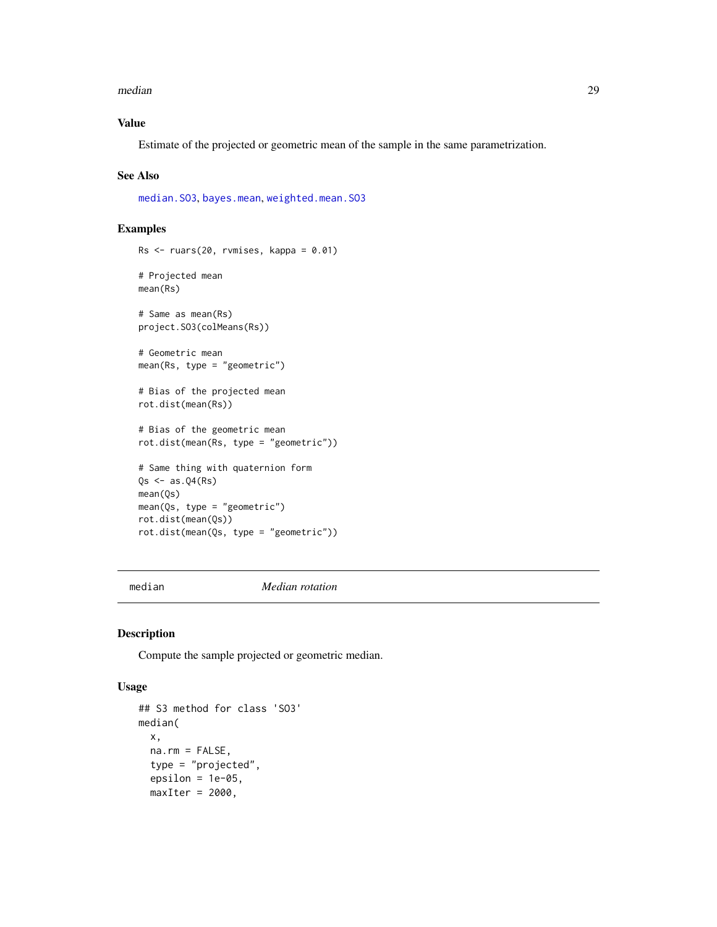#### <span id="page-28-0"></span>median 29

## Value

Estimate of the projected or geometric mean of the sample in the same parametrization.

#### See Also

[median.SO3](#page-28-1), [bayes.mean](#page-4-1), [weighted.mean.SO3](#page-53-1)

## Examples

```
Rs <- ruars(20, rvmises, kappa = 0.01)
# Projected mean
mean(Rs)
# Same as mean(Rs)
project.SO3(colMeans(Rs))
# Geometric mean
mean(Rs, type = "geometric")
# Bias of the projected mean
rot.dist(mean(Rs))
# Bias of the geometric mean
rot.dist(mean(Rs, type = "geometric"))
# Same thing with quaternion form
Qs \leftarrow as.Q4(Rs)mean(Qs)
mean(Qs, type = "geometric")
rot.dist(mean(Qs))
rot.dist(mean(Qs, type = "geometric"))
```
median *Median rotation*

#### <span id="page-28-1"></span>Description

Compute the sample projected or geometric median.

## Usage

```
## S3 method for class 'SO3'
median(
 x,
  na.rm = FALSE,
  type = "projected",
  epsilon = 1e-05,
 maxIter = 2000,
```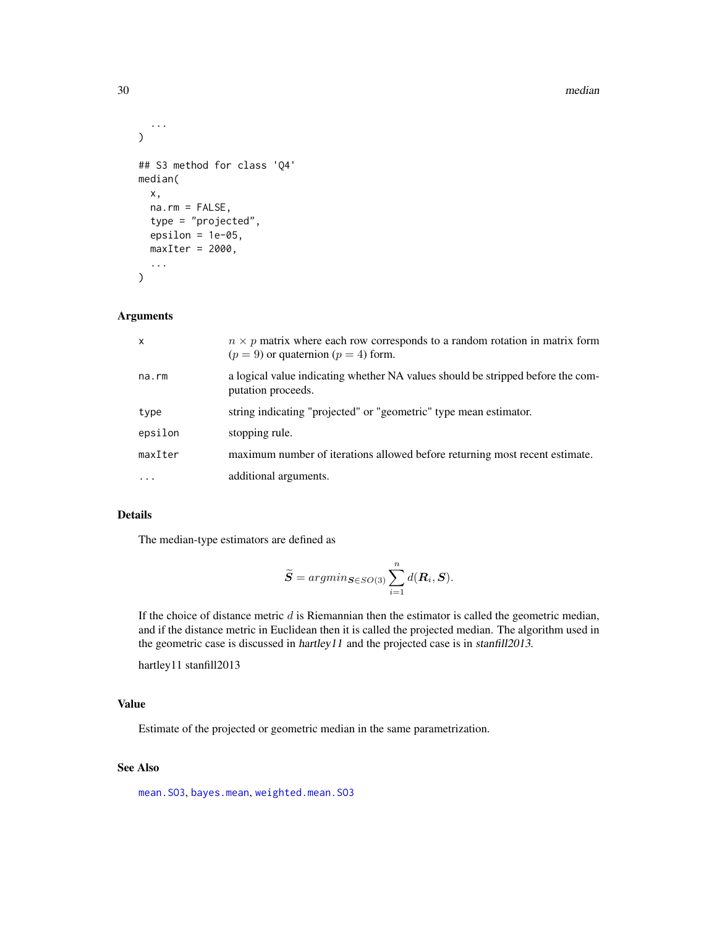#### 30 median

```
...
\mathcal{L}## S3 method for class 'Q4'
median(
  x,
  na.rm = FALSE,
  type = "projected",
  epsilon = 1e-05,
  maxIter = 2000,...
\mathcal{L}
```
## Arguments

| $\mathsf{x}$ | $n \times p$ matrix where each row corresponds to a random rotation in matrix form<br>$(p = 9)$ or quaternion $(p = 4)$ form. |
|--------------|-------------------------------------------------------------------------------------------------------------------------------|
| na.rm        | a logical value indicating whether NA values should be stripped before the com-<br>putation proceeds.                         |
| type         | string indicating "projected" or "geometric" type mean estimator.                                                             |
| epsilon      | stopping rule.                                                                                                                |
| maxIter      | maximum number of iterations allowed before returning most recent estimate.                                                   |
| $\cdots$     | additional arguments.                                                                                                         |

## Details

The median-type estimators are defined as

$$
\widetilde{S} = argmin_{\mathbf{S} \in SO(3)} \sum_{i=1}^{n} d(\mathbf{R}_{i}, \mathbf{S}).
$$

If the choice of distance metric  $d$  is Riemannian then the estimator is called the geometric median, and if the distance metric in Euclidean then it is called the projected median. The algorithm used in the geometric case is discussed in hartley11 and the projected case is in stanfill2013.

hartley11 stanfill2013

#### Value

Estimate of the projected or geometric median in the same parametrization.

## See Also

[mean.SO3](#page-27-1), [bayes.mean](#page-4-1), [weighted.mean.SO3](#page-53-1)

<span id="page-29-0"></span>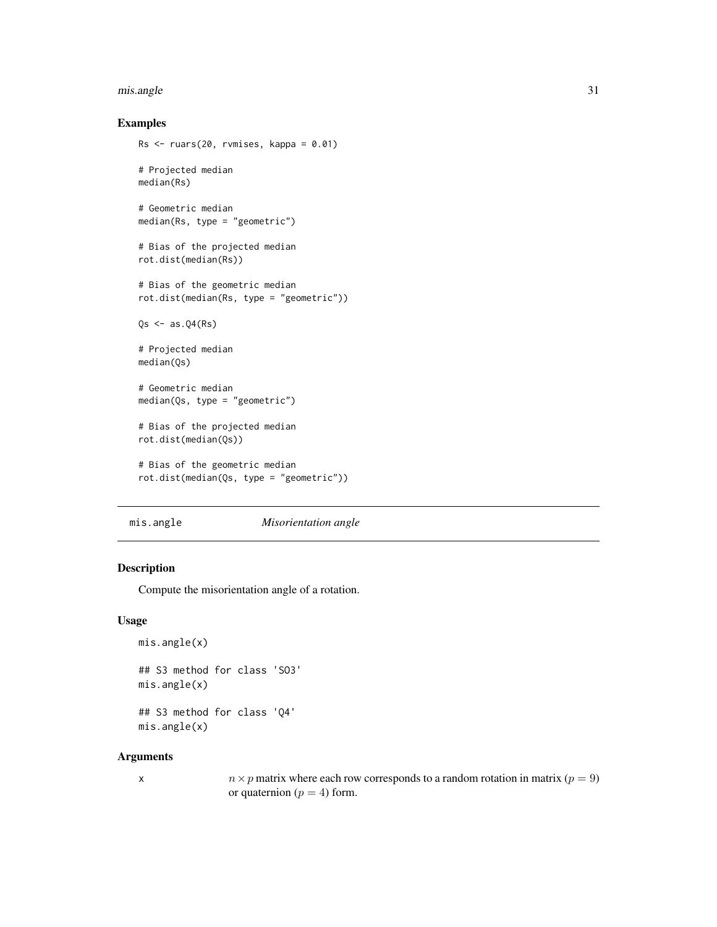#### <span id="page-30-0"></span>mis.angle 31

## Examples

```
Rs <- ruars(20, rvmises, kappa = 0.01)
# Projected median
median(Rs)
# Geometric median
median(Rs, type = "geometric")
# Bias of the projected median
rot.dist(median(Rs))
# Bias of the geometric median
rot.dist(median(Rs, type = "geometric"))
Qs \leftarrow as.Q4(Rs)# Projected median
median(Qs)
# Geometric median
median(Qs, type = "geometric")
# Bias of the projected median
rot.dist(median(Qs))
# Bias of the geometric median
rot.dist(median(Qs, type = "geometric"))
```
<span id="page-30-1"></span>mis.angle *Misorientation angle*

## Description

Compute the misorientation angle of a rotation.

#### Usage

```
mis.angle(x)
## S3 method for class 'SO3'
mis.angle(x)
## S3 method for class 'Q4'
```
mis.angle(x)

#### Arguments

x  $n \times p$  matrix where each row corresponds to a random rotation in matrix ( $p = 9$ ) or quaternion ( $p = 4$ ) form.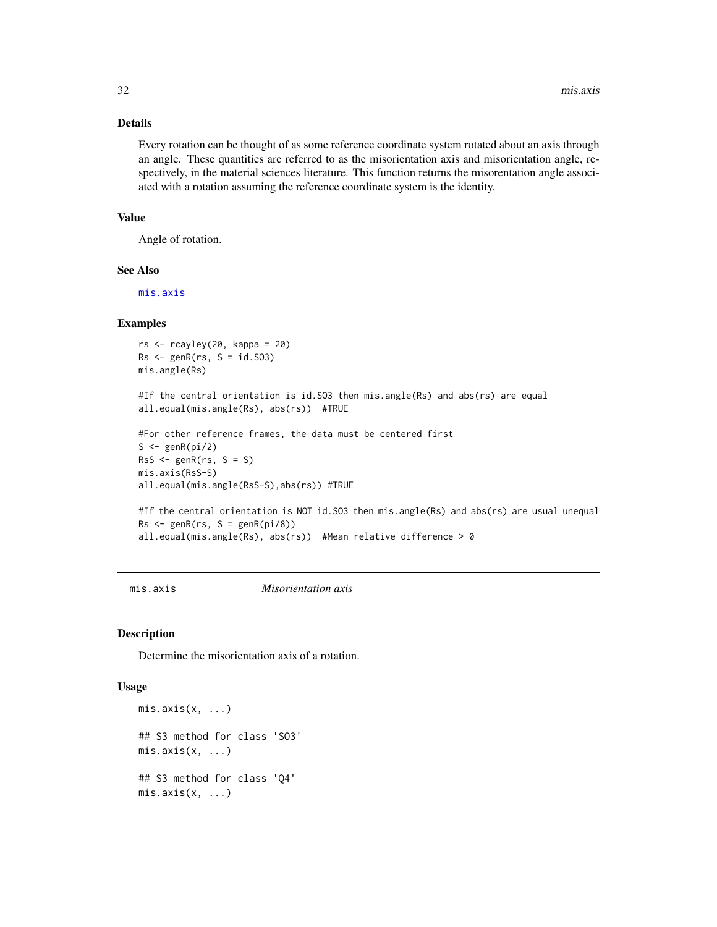## Details

Every rotation can be thought of as some reference coordinate system rotated about an axis through an angle. These quantities are referred to as the misorientation axis and misorientation angle, respectively, in the material sciences literature. This function returns the misorentation angle associated with a rotation assuming the reference coordinate system is the identity.

## Value

Angle of rotation.

## See Also

[mis.axis](#page-31-1)

## Examples

```
rs < -rcayley(20, kappa = 20)Rs < -genR(rs, S = id.S03)mis.angle(Rs)
#If the central orientation is id.SO3 then mis.angle(Rs) and abs(rs) are equal
all.equal(mis.angle(Rs), abs(rs)) #TRUE
#For other reference frames, the data must be centered first
S \leftarrow genR(pi/2)
RSS \leq-genR(rs, S = S)mis.axis(RsS-S)
all.equal(mis.angle(RsS-S),abs(rs)) #TRUE
#If the central orientation is NOT id.SO3 then mis.angle(Rs) and abs(rs) are usual unequal
Rs < -genR(rs, S = genR(pi/8))all.equal(mis.angle(Rs), abs(rs)) #Mean relative difference > 0
```
<span id="page-31-1"></span>

mis.axis *Misorientation axis*

#### Description

Determine the misorientation axis of a rotation.

## Usage

```
mis. axis(x, ...)## S3 method for class 'SO3'
mis. axis(x, ...)## S3 method for class 'Q4'
mis.axis(x, ...)
```
<span id="page-31-0"></span>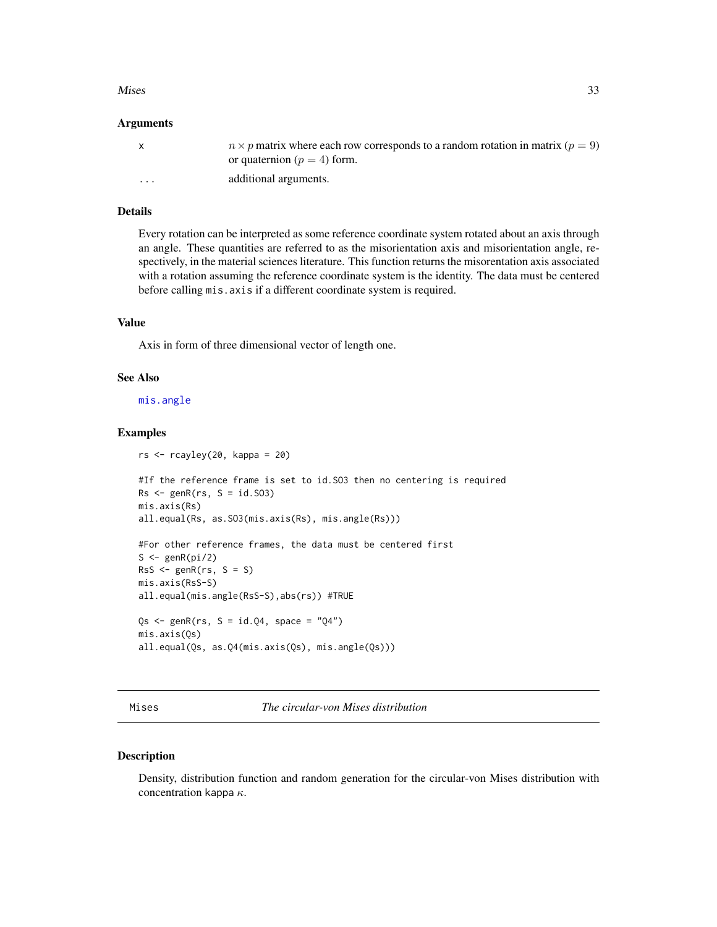#### <span id="page-32-0"></span> $Mises$  33

#### Arguments

|          | $n \times p$ matrix where each row corresponds to a random rotation in matrix ( $p = 9$ )<br>or quaternion ( $p = 4$ ) form. |
|----------|------------------------------------------------------------------------------------------------------------------------------|
| $\cdots$ | additional arguments.                                                                                                        |

## Details

Every rotation can be interpreted as some reference coordinate system rotated about an axis through an angle. These quantities are referred to as the misorientation axis and misorientation angle, respectively, in the material sciences literature. This function returns the misorentation axis associated with a rotation assuming the reference coordinate system is the identity. The data must be centered before calling mis.axis if a different coordinate system is required.

## Value

Axis in form of three dimensional vector of length one.

## See Also

[mis.angle](#page-30-1)

## Examples

```
rs < -rcayley(20, kappa = 20)#If the reference frame is set to id.SO3 then no centering is required
Rs < -genR(rs, S = id.S03)mis.axis(Rs)
all.equal(Rs, as.SO3(mis.axis(Rs), mis.angle(Rs)))
#For other reference frames, the data must be centered first
S \leftarrow genR(pi/2)
RSS \leq-genR(rs, S = S)mis.axis(RsS-S)
all.equal(mis.angle(RsS-S),abs(rs)) #TRUE
```

```
Qs \leq-genR(rs, S = id.Q4, space = "Q4")mis.axis(Qs)
all.equal(Qs, as.Q4(mis.axis(Qs), mis.angle(Qs)))
```
<span id="page-32-1"></span>Mises *The circular-von Mises distribution*

## Description

Density, distribution function and random generation for the circular-von Mises distribution with concentration kappa  $\kappa$ .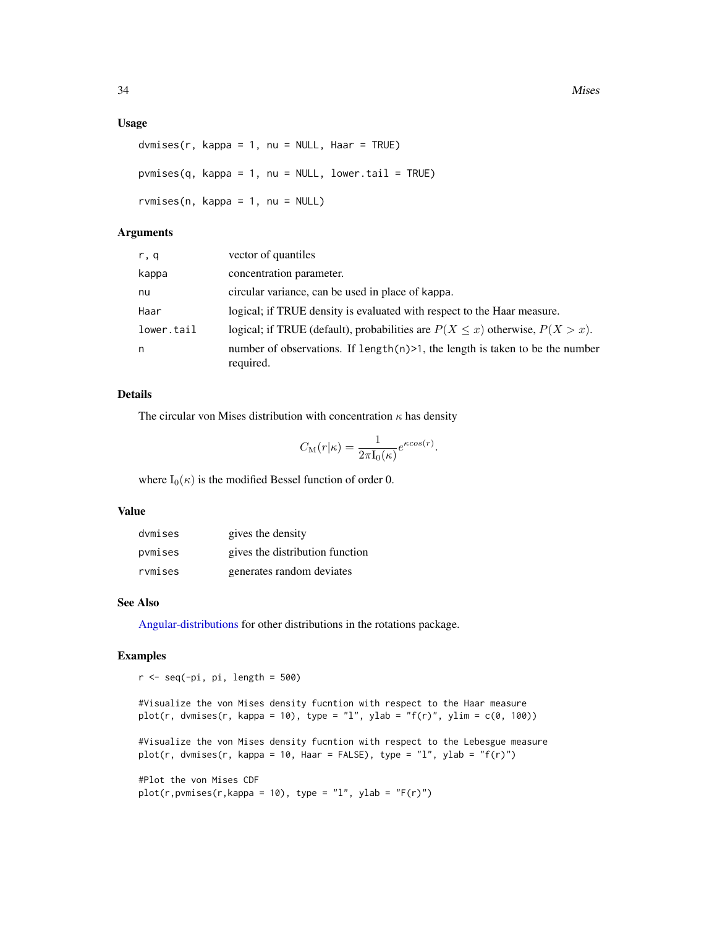#### <span id="page-33-0"></span>Usage

```
dvmises(r, kappa = 1, nu = NULL, Haar = TRUE)
pvmises(q, kappa = 1, nu = NULL, lowertail = TRUE)rvmises(n, kappa = 1, nu = NULL)
```
## Arguments

| r, q       | vector of quantiles                                                                           |
|------------|-----------------------------------------------------------------------------------------------|
| kappa      | concentration parameter.                                                                      |
| nu         | circular variance, can be used in place of kappa.                                             |
| Haar       | logical; if TRUE density is evaluated with respect to the Haar measure.                       |
| lower.tail | logical; if TRUE (default), probabilities are $P(X \le x)$ otherwise, $P(X > x)$ .            |
| n          | number of observations. If length $(n)$ >1, the length is taken to be the number<br>required. |

## Details

The circular von Mises distribution with concentration  $\kappa$  has density

$$
C_{\mathcal{M}}(r|\kappa) = \frac{1}{2\pi I_0(\kappa)} e^{\kappa \cos(r)}.
$$

where  $I_0(\kappa)$  is the modified Bessel function of order 0.

## Value

| dymises | gives the density               |
|---------|---------------------------------|
| pymises | gives the distribution function |
| rymises | generates random deviates       |

## See Also

[Angular-distributions](#page-2-1) for other distributions in the rotations package.

## Examples

```
r < - seq(-pi, pi, length = 500)
#Visualize the von Mises density fucntion with respect to the Haar measure
plot(r, \text{ dvmises}(r, \text{ kappa} = 10), \text{ type} = "1", \text{ ylab} = "f(r)", \text{ ylim} = c(0, 100))#Visualize the von Mises density fucntion with respect to the Lebesgue measure
plot(r, dvmises(r, kappa = 10, Haar = FALSE), type = "l", ylab = "f(r)")
#Plot the von Mises CDF
plot(r,pwmises(r,kappa = 10), type = "l", ylab = "F(r)")
```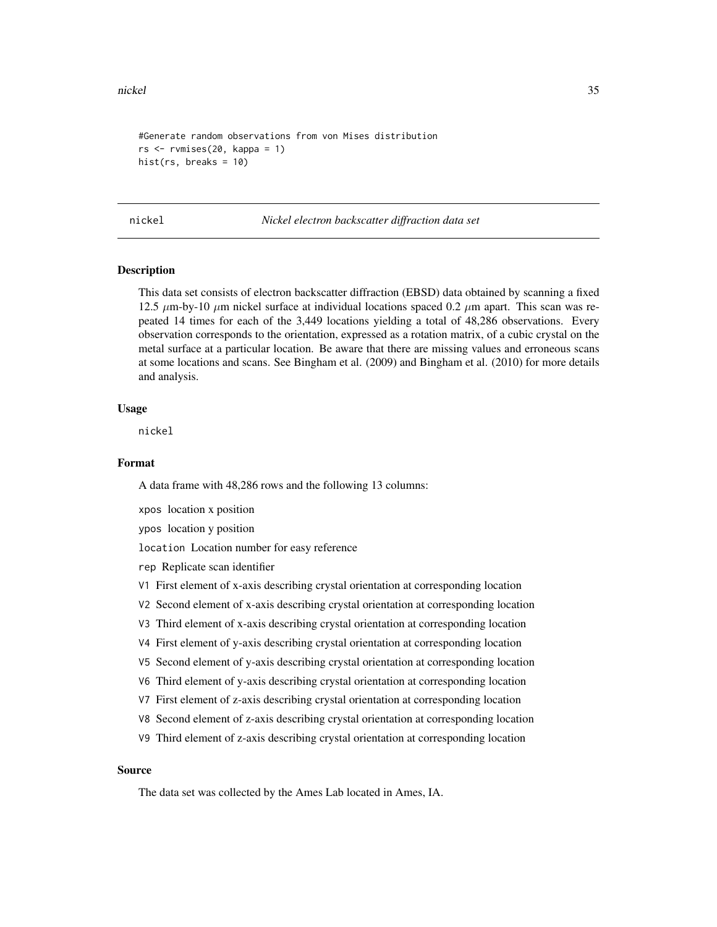```
#Generate random observations from von Mises distribution
rs <- rvmises(20, kappa = 1)
hist(rs, breaks = 10)
```
nickel *Nickel electron backscatter diffraction data set*

## Description

This data set consists of electron backscatter diffraction (EBSD) data obtained by scanning a fixed 12.5  $\mu$ m-by-10  $\mu$ m nickel surface at individual locations spaced 0.2  $\mu$ m apart. This scan was repeated 14 times for each of the 3,449 locations yielding a total of 48,286 observations. Every observation corresponds to the orientation, expressed as a rotation matrix, of a cubic crystal on the metal surface at a particular location. Be aware that there are missing values and erroneous scans at some locations and scans. See Bingham et al. (2009) and Bingham et al. (2010) for more details and analysis.

## Usage

nickel

#### Format

A data frame with 48,286 rows and the following 13 columns:

xpos location x position

ypos location y position

location Location number for easy reference

- rep Replicate scan identifier
- V1 First element of x-axis describing crystal orientation at corresponding location
- V2 Second element of x-axis describing crystal orientation at corresponding location
- V3 Third element of x-axis describing crystal orientation at corresponding location
- V4 First element of y-axis describing crystal orientation at corresponding location
- V5 Second element of y-axis describing crystal orientation at corresponding location
- V6 Third element of y-axis describing crystal orientation at corresponding location
- V7 First element of z-axis describing crystal orientation at corresponding location
- V8 Second element of z-axis describing crystal orientation at corresponding location
- V9 Third element of z-axis describing crystal orientation at corresponding location

## Source

The data set was collected by the Ames Lab located in Ames, IA.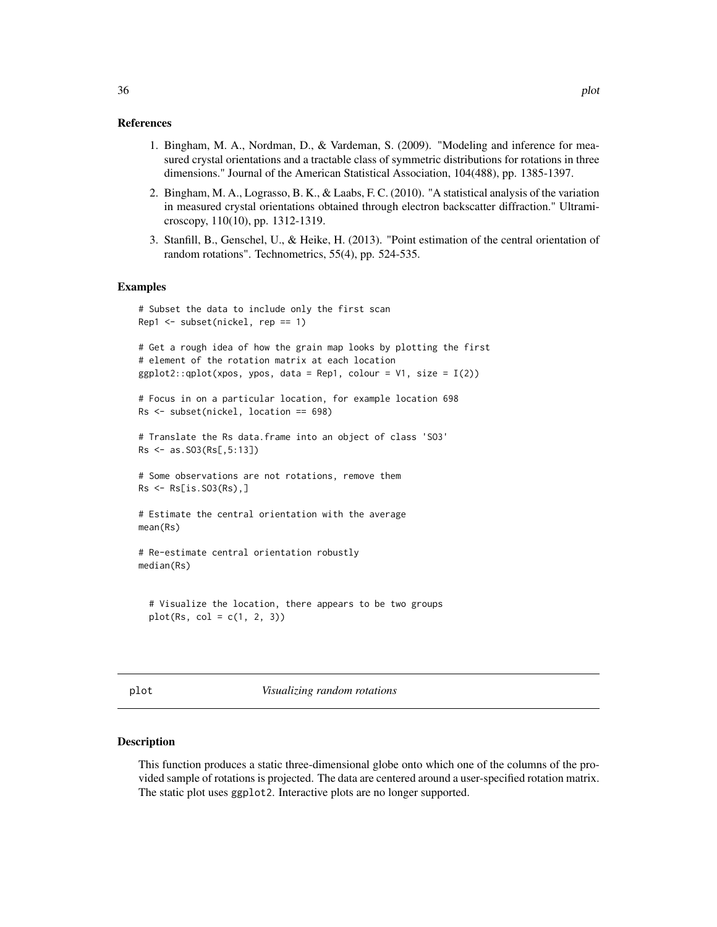- <span id="page-35-0"></span>1. Bingham, M. A., Nordman, D., & Vardeman, S. (2009). "Modeling and inference for measured crystal orientations and a tractable class of symmetric distributions for rotations in three dimensions." Journal of the American Statistical Association, 104(488), pp. 1385-1397.
- 2. Bingham, M. A., Lograsso, B. K., & Laabs, F. C. (2010). "A statistical analysis of the variation in measured crystal orientations obtained through electron backscatter diffraction." Ultramicroscopy, 110(10), pp. 1312-1319.
- 3. Stanfill, B., Genschel, U., & Heike, H. (2013). "Point estimation of the central orientation of random rotations". Technometrics, 55(4), pp. 524-535.

#### Examples

```
# Subset the data to include only the first scan
Rep1 <- subset(nickel, rep == 1)
```

```
# Get a rough idea of how the grain map looks by plotting the first
# element of the rotation matrix at each location
ggplot2::qplot(xpos, ypos, data = Rep1, colour = V1, size = I(2))
```

```
# Focus in on a particular location, for example location 698
Rs <- subset(nickel, location == 698)
```

```
# Translate the Rs data.frame into an object of class 'SO3'
Rs <- as.SO3(Rs[,5:13])
```

```
# Some observations are not rotations, remove them
Rs <- Rs[is.SO3(Rs),]
```

```
# Estimate the central orientation with the average
mean(Rs)
```

```
# Re-estimate central orientation robustly
median(Rs)
```

```
# Visualize the location, there appears to be two groups
plot(Rs, col = c(1, 2, 3))
```

```
plot Visualizing random rotations
```
#### Description

This function produces a static three-dimensional globe onto which one of the columns of the provided sample of rotations is projected. The data are centered around a user-specified rotation matrix. The static plot uses ggplot2. Interactive plots are no longer supported.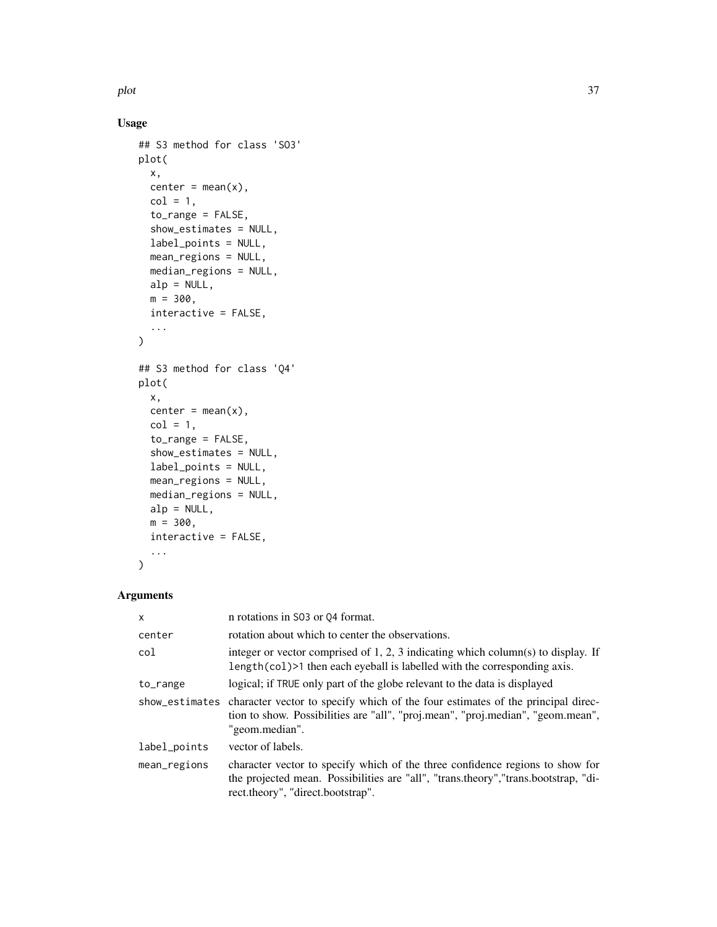## Usage

```
## S3 method for class 'SO3'
plot(
  x,
 center = mean(x),
 col = 1,
  to_range = FALSE,
  show_estimates = NULL,
  label_points = NULL,
 mean_regions = NULL,
 median_regions = NULL,
 a1p = NULL,m = 300,interactive = FALSE,
  ...
)
## S3 method for class 'Q4'
plot(
 x,
 center = mean(x),
 col = 1,
  to_range = FALSE,
  show_estimates = NULL,
 label_points = NULL,
 mean_regions = NULL,
 median_regions = NULL,
 a1p = NULL,m = 300,interactive = FALSE,
  ...
)
```
## Arguments

| $\mathsf{x}$   | n rotations in S03 or 04 format.                                                                                                                                                                          |
|----------------|-----------------------------------------------------------------------------------------------------------------------------------------------------------------------------------------------------------|
| center         | rotation about which to center the observations.                                                                                                                                                          |
| col            | integer or vector comprised of 1, 2, 3 indicating which column(s) to display. If<br>length(col) >1 then each eyeball is labelled with the corresponding axis.                                             |
| to_range       | logical; if TRUE only part of the globe relevant to the data is displayed                                                                                                                                 |
| show_estimates | character vector to specify which of the four estimates of the principal direc-<br>tion to show. Possibilities are "all", "proj.mean", "proj.median", "geom.mean",<br>"geom.median".                      |
| label_points   | vector of labels.                                                                                                                                                                                         |
| mean_regions   | character vector to specify which of the three confidence regions to show for<br>the projected mean. Possibilities are "all", "trans.theory", "trans.bootstrap, "di-<br>rect.theory", "direct.bootstrap". |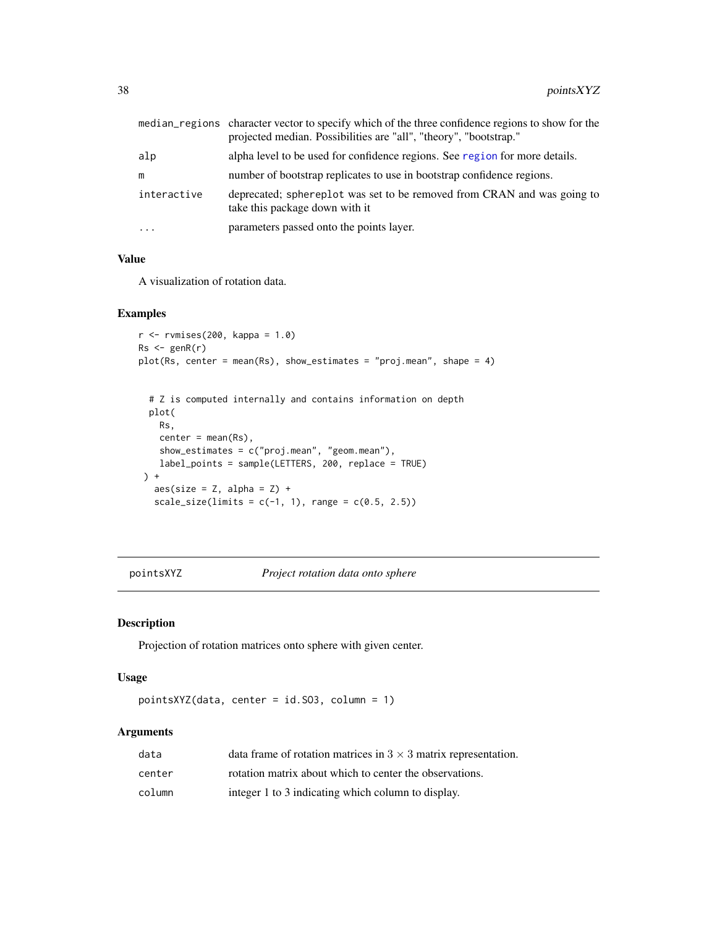<span id="page-37-0"></span>

|             | median_regions character vector to specify which of the three confidence regions to show for the<br>projected median. Possibilities are "all", "theory", "bootstrap." |
|-------------|-----------------------------------------------------------------------------------------------------------------------------------------------------------------------|
| alp         | alpha level to be used for confidence regions. See region for more details.                                                                                           |
| m           | number of bootstrap replicates to use in bootstrap confidence regions.                                                                                                |
| interactive | deprecated; sphereplot was set to be removed from CRAN and was going to<br>take this package down with it                                                             |
| $\cdots$    | parameters passed onto the points layer.                                                                                                                              |

## Value

A visualization of rotation data.

#### Examples

```
r <- rvmises(200, kappa = 1.0)
Rs < -genR(r)plot(Rs, center = mean(Rs), show_estimates = "proj.mean", shape = 4)
```

```
# Z is computed internally and contains information on depth
 plot(
  Rs,
  center = mean(Rs),
  show_estimates = c("proj.mean", "geom.mean"),
  label_points = sample(LETTERS, 200, replace = TRUE)
) +aes(size = Z, alpha = Z) +scale\_size(limits = c(-1, 1), range = c(0.5, 2.5))
```
pointsXYZ *Project rotation data onto sphere*

## Description

Projection of rotation matrices onto sphere with given center.

## Usage

pointsXYZ(data, center = id.SO3, column = 1)

#### Arguments

| data   | data frame of rotation matrices in $3 \times 3$ matrix representation. |
|--------|------------------------------------------------------------------------|
| center | rotation matrix about which to center the observations.                |
| column | integer 1 to 3 indicating which column to display.                     |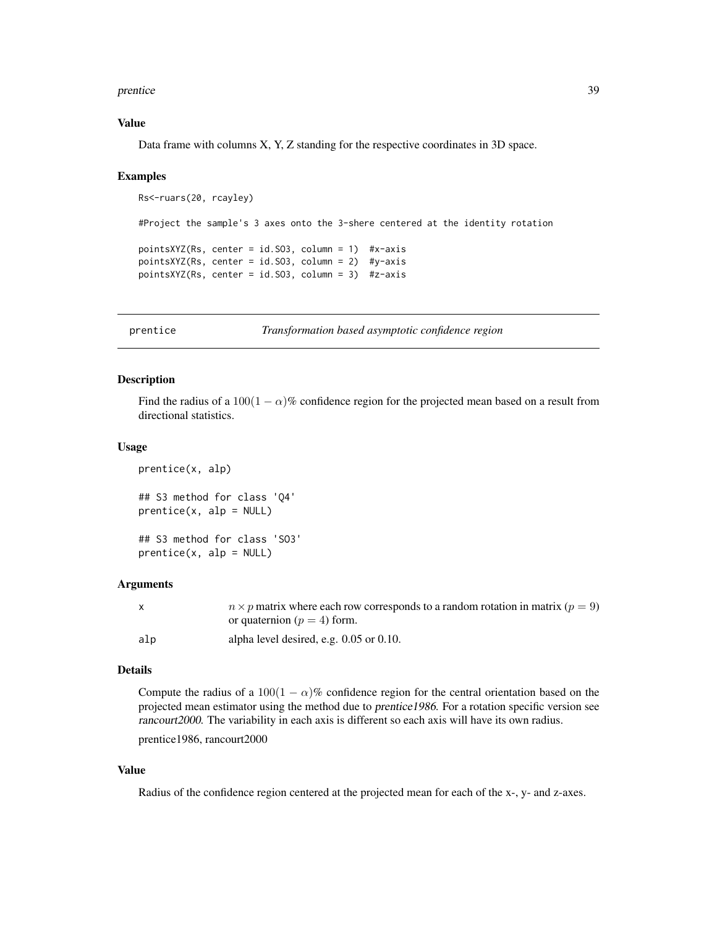#### <span id="page-38-0"></span>prentice 39

## Value

Data frame with columns X, Y, Z standing for the respective coordinates in 3D space.

#### Examples

```
Rs<-ruars(20, rcayley)
#Project the sample's 3 axes onto the 3-shere centered at the identity rotation
pointsXYZ(Rs, center = id.SO3, column = 1) #x-axis
pointsXYZ(Rs, center = id.SO3, column = 2) #y-axis
pointsXYZ(Rs, center = id.SO3, column = 3) #z-axis
```
<span id="page-38-1"></span>prentice *Transformation based asymptotic confidence region*

## Description

Find the radius of a  $100(1 - \alpha)$ % confidence region for the projected mean based on a result from directional statistics.

#### Usage

```
prentice(x, alp)
## S3 method for class 'Q4'
prentice(x, alp = NULL)
```
## S3 method for class 'SO3'  $prentice(x, alp = NULL)$ 

#### Arguments

| X   | $n \times p$ matrix where each row corresponds to a random rotation in matrix ( $p = 9$ ) |
|-----|-------------------------------------------------------------------------------------------|
|     | or quaternion ( $p = 4$ ) form.                                                           |
| alp | alpha level desired, e.g. $0.05$ or $0.10$ .                                              |

#### Details

Compute the radius of a  $100(1 - \alpha)\%$  confidence region for the central orientation based on the projected mean estimator using the method due to prentice1986. For a rotation specific version see rancourt2000. The variability in each axis is different so each axis will have its own radius.

prentice1986, rancourt2000

## Value

Radius of the confidence region centered at the projected mean for each of the x-, y- and z-axes.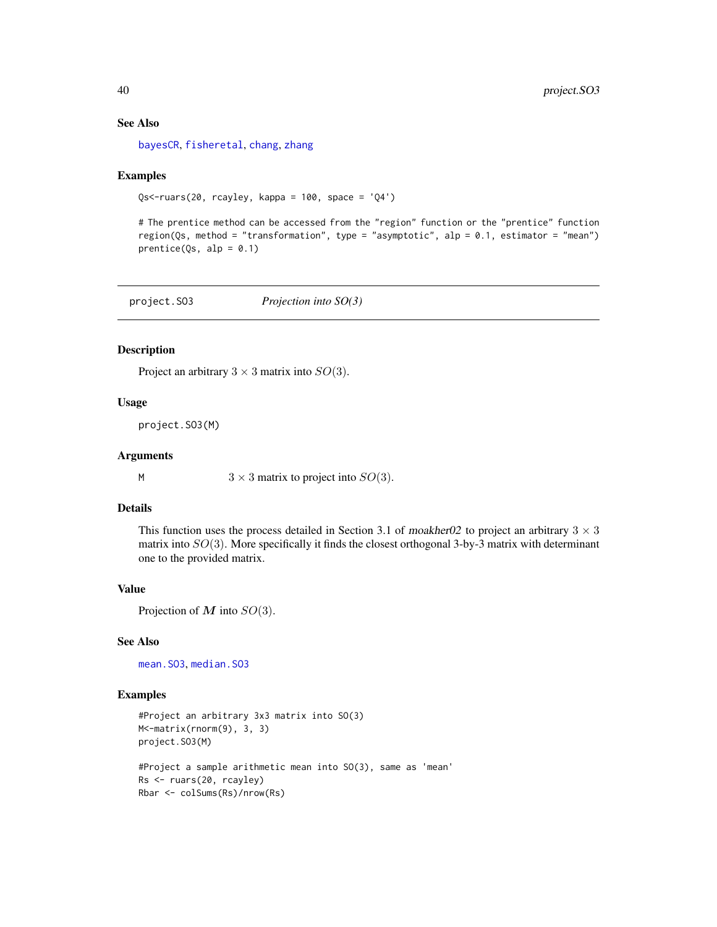## See Also

[bayesCR](#page-6-1), [fisheretal](#page-16-1), [chang](#page-10-1), [zhang](#page-55-1)

## Examples

Qs<-ruars(20, rcayley, kappa = 100, space = 'Q4')

# The prentice method can be accessed from the "region" function or the "prentice" function region(Qs, method = "transformation", type = "asymptotic", alp = 0.1, estimator = "mean")  $prentice(Qs, alp = 0.1)$ 

<span id="page-39-1"></span>project.SO3 *Projection into SO(3)*

## Description

Project an arbitrary  $3 \times 3$  matrix into  $SO(3)$ .

## Usage

project.SO3(M)

#### **Arguments**

M  $3 \times 3$  matrix to project into  $SO(3)$ .

## Details

This function uses the process detailed in Section 3.1 of moakher02 to project an arbitrary  $3 \times 3$ matrix into  $SO(3)$ . More specifically it finds the closest orthogonal 3-by-3 matrix with determinant one to the provided matrix.

#### Value

Projection of  $M$  into  $SO(3)$ .

## See Also

[mean.SO3](#page-27-1), [median.SO3](#page-28-1)

## Examples

```
#Project an arbitrary 3x3 matrix into SO(3)
M<-matrix(rnorm(9), 3, 3)
project.SO3(M)
#Project a sample arithmetic mean into SO(3), same as 'mean'
Rs <- ruars(20, rcayley)
Rbar <- colSums(Rs)/nrow(Rs)
```
<span id="page-39-0"></span>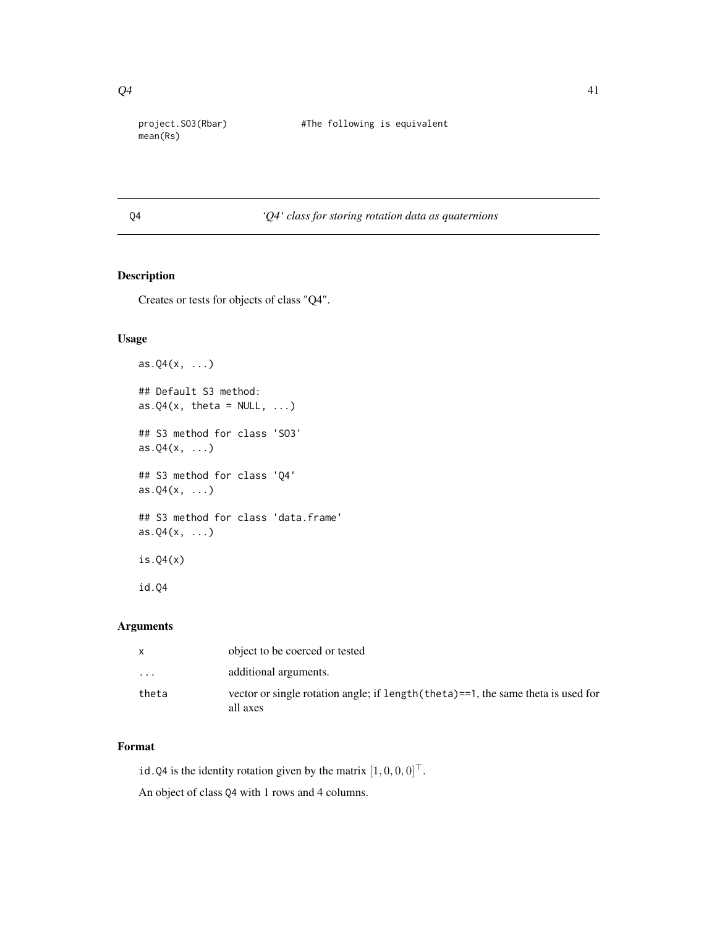mean(Rs)

<span id="page-40-0"></span>project.SO3(Rbar) #The following is equivalent

<span id="page-40-1"></span>

## Q4 *'Q4' class for storing rotation data as quaternions*

## Description

Creates or tests for objects of class "Q4".

## Usage

```
as.Q4(x, \ldots)## Default S3 method:
as.Q4(x, \text{ theta} = NULL, ...)## S3 method for class 'SO3'
as.Q4(x, \ldots)## S3 method for class 'Q4'
as.Q4(x, \ldots)## S3 method for class 'data.frame'
as.Q4(x, \ldots)is.Q4(x)
id.Q4
```
## Arguments

| X        | object to be coerced or tested                                                                |
|----------|-----------------------------------------------------------------------------------------------|
| $\cdots$ | additional arguments.                                                                         |
| theta    | vector or single rotation angle; if length (theta)==1, the same theta is used for<br>all axes |

## Format

id.Q4 is the identity rotation given by the matrix  $[1, 0, 0, 0]^\top$ .

An object of class Q4 with 1 rows and 4 columns.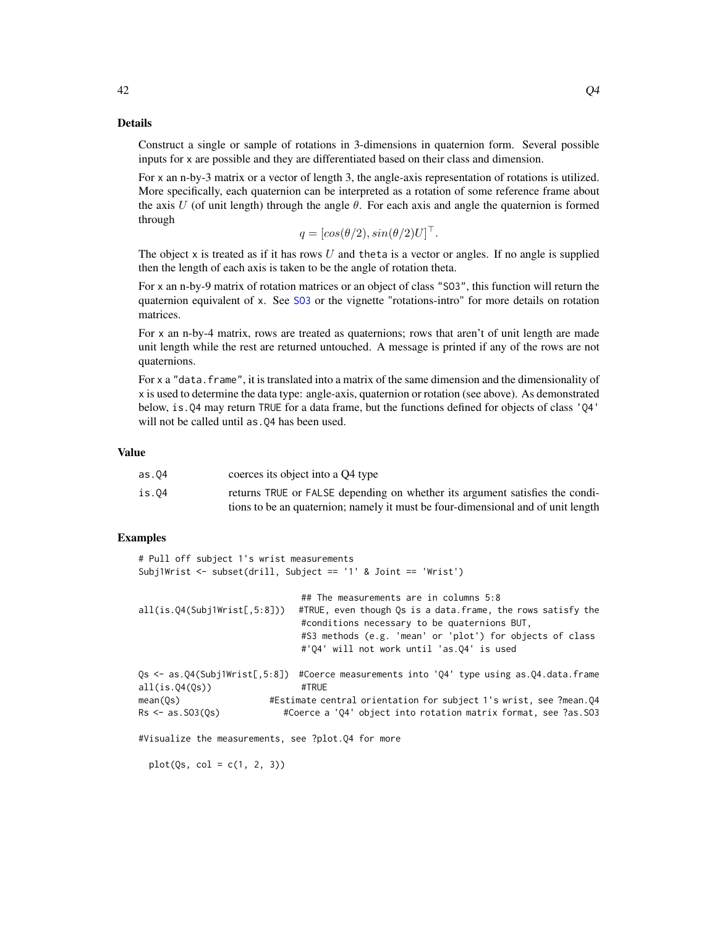Details

Construct a single or sample of rotations in 3-dimensions in quaternion form. Several possible inputs for x are possible and they are differentiated based on their class and dimension.

For x an n-by-3 matrix or a vector of length 3, the angle-axis representation of rotations is utilized. More specifically, each quaternion can be interpreted as a rotation of some reference frame about the axis U (of unit length) through the angle  $\theta$ . For each axis and angle the quaternion is formed through

 $q = [cos(\theta/2), sin(\theta/2)U]^\top$ .

The object x is treated as if it has rows  $U$  and theta is a vector or angles. If no angle is supplied then the length of each axis is taken to be the angle of rotation theta.

For x an n-by-9 matrix of rotation matrices or an object of class "SO3", this function will return the quaternion equivalent of x. See [SO3](#page-46-1) or the vignette "rotations-intro" for more details on rotation matrices.

For x an n-by-4 matrix, rows are treated as quaternions; rows that aren't of unit length are made unit length while the rest are returned untouched. A message is printed if any of the rows are not quaternions.

For x a "data. frame", it is translated into a matrix of the same dimension and the dimensionality of x is used to determine the data type: angle-axis, quaternion or rotation (see above). As demonstrated below, is.Q4 may return TRUE for a data frame, but the functions defined for objects of class 'Q4' will not be called until as . Q4 has been used.

## Value

| as.04 | coerces its object into a Q4 type                                                |
|-------|----------------------------------------------------------------------------------|
| is.O4 | returns TRUE or FALSE depending on whether its argument satisfies the condi-     |
|       | tions to be an quaternion; namely it must be four-dimensional and of unit length |

## Examples

```
# Pull off subject 1's wrist measurements
Subj1Wrist <- subset(drill, Subject == '1' & Joint == 'Wrist')
                             ## The measurements are in columns 5:8
all(is.Q4(Subj1Wrist[,5:8])) #TRUE, even though Qs is a data.frame, the rows satisfy the
                             #conditions necessary to be quaternions BUT,
                             #S3 methods (e.g. 'mean' or 'plot') for objects of class
                             #'Q4' will not work until 'as.Q4' is used
Qs <- as.Q4(Subj1Wrist[,5:8]) #Coerce measurements into 'Q4' type using as.Q4.data.frame
all(is.Q4(Qs)) #TRUE
mean(Qs) #Estimate central orientation for subject 1's wrist, see ?mean.Q4
Rs <- as.SO3(Qs) #Coerce a 'Q4' object into rotation matrix format, see ?as.SO3
#Visualize the measurements, see ?plot.Q4 for more
```
 $plot(Qs, col = c(1, 2, 3))$ 

<span id="page-41-0"></span> $42$  Q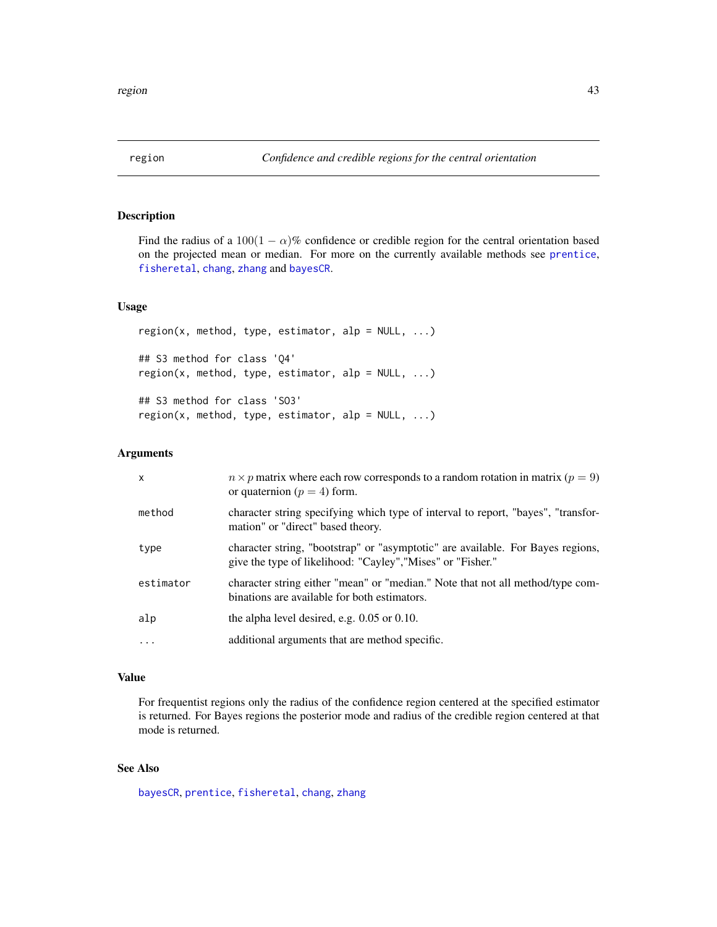<span id="page-42-1"></span><span id="page-42-0"></span>Find the radius of a  $100(1 - \alpha)\%$  confidence or credible region for the central orientation based on the projected mean or median. For more on the currently available methods see [prentice](#page-38-1), [fisheretal](#page-16-1), [chang](#page-10-1), [zhang](#page-55-1) and [bayesCR](#page-6-1).

## Usage

```
region(x, method, type, estimator, alp = NULL, ...)## S3 method for class 'Q4'
region(x, method, type, estimator, alp = NULL, ...)## S3 method for class 'SO3'
region(x, method, type, estimator, alp = NULL, ...)
```
## Arguments

| $\mathsf{x}$ | $n \times p$ matrix where each row corresponds to a random rotation in matrix ( $p = 9$ )<br>or quaternion ( $p = 4$ ) form.                   |
|--------------|------------------------------------------------------------------------------------------------------------------------------------------------|
| method       | character string specifying which type of interval to report, "bayes", "transfor-<br>mation" or "direct" based theory.                         |
| type         | character string, "bootstrap" or "asymptotic" are available. For Bayes regions,<br>give the type of likelihood: "Cayley", "Mises" or "Fisher." |
| estimator    | character string either "mean" or "median." Note that not all method/type com-<br>binations are available for both estimators.                 |
| alp          | the alpha level desired, e.g. $0.05$ or $0.10$ .                                                                                               |
| .            | additional arguments that are method specific.                                                                                                 |

## Value

For frequentist regions only the radius of the confidence region centered at the specified estimator is returned. For Bayes regions the posterior mode and radius of the credible region centered at that mode is returned.

## See Also

[bayesCR](#page-6-1), [prentice](#page-38-1), [fisheretal](#page-16-1), [chang](#page-10-1), [zhang](#page-55-1)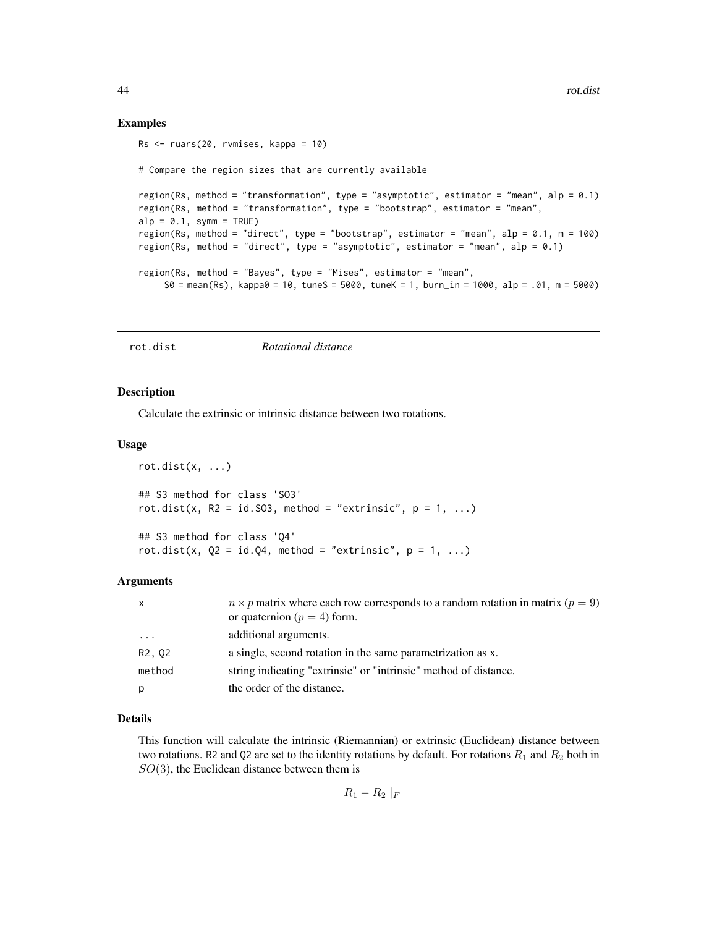## Examples

```
Rs <- ruars(20, rvmises, kappa = 10)
# Compare the region sizes that are currently available
region(Rs, method = "transformation", type = "asymptotic", estimator = "mean", alp = 0.1)
region(Rs, method = "transformation", type = "bootstrap", estimator = "mean",
alp = 0.1, symm = TRUE)
region(Rs, method = "direct", type = "bootstrap", estimator = "mean", alp = 0.1, m = 100)
region(Rs, method = "direct", type = "asymptotic", estimator = "mean", alp = 0.1)
region(Rs, method = "Bayes", type = "Mises", estimator = "mean",
    S0 = \text{mean}(Rs), kappa0 = 10, tuneS = 5000, tuneK = 1, burn_in = 1000, alp = .01, m = 5000)
```
## <span id="page-43-1"></span>rot.dist *Rotational distance*

#### Description

Calculate the extrinsic or intrinsic distance between two rotations.

#### Usage

```
rot.dist(x, \ldots)## S3 method for class 'SO3'
rot.dist(x, R2 = id.S03, method = "extrinsic", p = 1, ...)
## S3 method for class 'Q4'
rot.dist(x, Q2 = id.Q4, method = "extrinsic", p = 1, ...)
```
## Arguments

| $\mathsf{x}$ | $n \times p$ matrix where each row corresponds to a random rotation in matrix ( $p = 9$ )<br>or quaternion ( $p = 4$ ) form. |
|--------------|------------------------------------------------------------------------------------------------------------------------------|
| $\ddotsc$    | additional arguments.                                                                                                        |
| R2, 02       | a single, second rotation in the same parametrization as x.                                                                  |
| method       | string indicating "extrinsic" or "intrinsic" method of distance.                                                             |
| p            | the order of the distance.                                                                                                   |

## Details

This function will calculate the intrinsic (Riemannian) or extrinsic (Euclidean) distance between two rotations. R2 and Q2 are set to the identity rotations by default. For rotations  $R_1$  and  $R_2$  both in  $SO(3)$ , the Euclidean distance between them is

 $||R_1 - R_2||_F$ 

<span id="page-43-0"></span>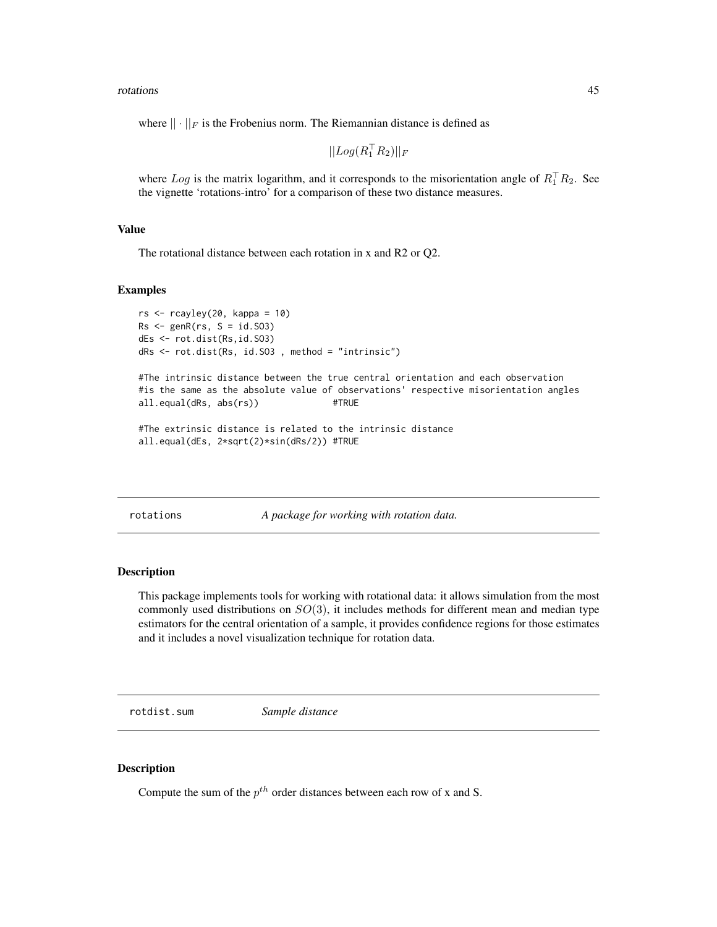<span id="page-44-0"></span>rotations and the control of the control of the control of the control of the control of the control of the control of the control of the control of the control of the control of the control of the control of the control o

where  $|| \cdot ||_F$  is the Frobenius norm. The Riemannian distance is defined as

 $||Log(R_1^\top R_2)||_F$ 

where Log is the matrix logarithm, and it corresponds to the misorientation angle of  $R_1^{\top}R_2$ . See the vignette 'rotations-intro' for a comparison of these two distance measures.

## Value

The rotational distance between each rotation in x and R2 or Q2.

#### Examples

```
rs < -rcayley(20, kappa = 10)Rs < -genR(rs, S = id.S03)dEs <- rot.dist(Rs,id.SO3)
dRs <- rot.dist(Rs, id.SO3 , method = "intrinsic")
```
#The intrinsic distance between the true central orientation and each observation #is the same as the absolute value of observations' respective misorientation angles all.equal(dRs, abs(rs)) #TRUE

#The extrinsic distance is related to the intrinsic distance all.equal(dEs, 2\*sqrt(2)\*sin(dRs/2)) #TRUE

rotations *A package for working with rotation data.*

## **Description**

This package implements tools for working with rotational data: it allows simulation from the most commonly used distributions on  $SO(3)$ , it includes methods for different mean and median type estimators for the central orientation of a sample, it provides confidence regions for those estimates and it includes a novel visualization technique for rotation data.

rotdist.sum *Sample distance*

#### **Description**

Compute the sum of the  $p^{th}$  order distances between each row of x and S.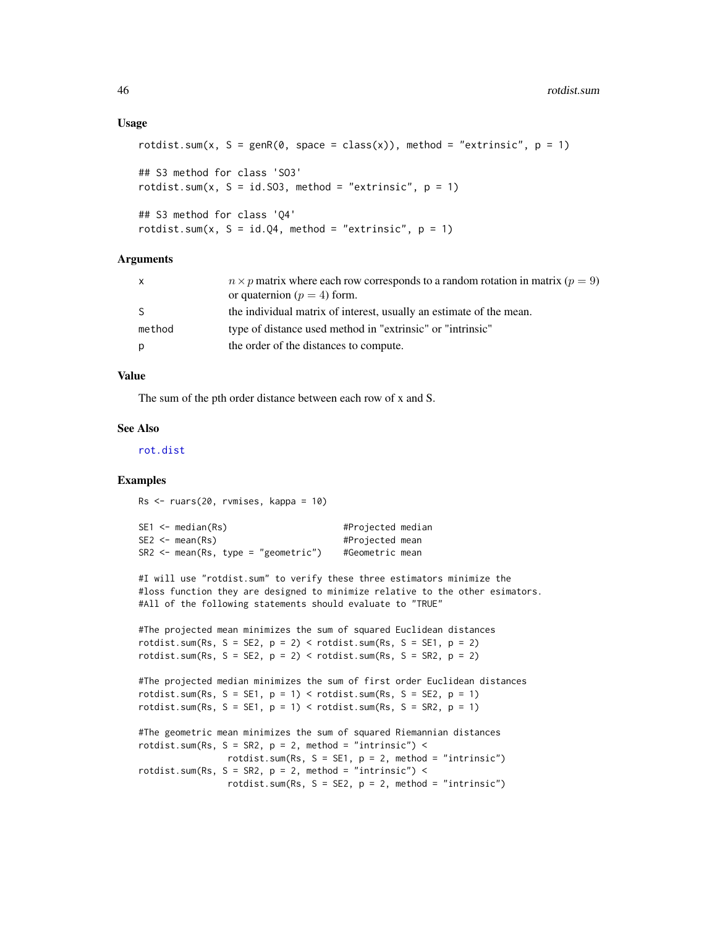#### <span id="page-45-0"></span>Usage

```
rotdist.sum(x, S = genR(0, space = class(x)), method = "extrinsic", p = 1)
## S3 method for class 'SO3'
rotdist.sum(x, S = id.S03, method = "extrinsic", p = 1)## S3 method for class 'Q4'
rotdist.sum(x, S = id.Q4, method = "extrinsic", p = 1)
```
## **Arguments**

| $n \times p$ matrix where each row corresponds to a random rotation in matrix ( $p = 9$ )<br>or quaternion ( $p = 4$ ) form. |
|------------------------------------------------------------------------------------------------------------------------------|
| the individual matrix of interest, usually an estimate of the mean.                                                          |
| type of distance used method in "extrinsic" or "intrinsic"                                                                   |
| the order of the distances to compute.                                                                                       |
|                                                                                                                              |

## Value

The sum of the pth order distance between each row of x and S.

## See Also

[rot.dist](#page-43-1)

## Examples

Rs <- ruars(20, rvmises, kappa = 10)

|  | SE1 <- median(Rs)                   | #Projected median |  |
|--|-------------------------------------|-------------------|--|
|  | SE2 <- mean(Rs)                     | #Projected mean   |  |
|  | SR2 <- mean(Rs, type = "geometric") | #Geometric mean   |  |

#I will use "rotdist.sum" to verify these three estimators minimize the #loss function they are designed to minimize relative to the other esimators. #All of the following statements should evaluate to "TRUE"

```
#The projected mean minimizes the sum of squared Euclidean distances
rotdist.sum(Rs, S = SE2, p = 2) < rotdist.sum(Rs, S = SE1, p = 2)
rotdist.sum(Rs, S = SE2, p = 2) < rotdist.sum(Rs, S = SR2, p = 2)
```

```
#The projected median minimizes the sum of first order Euclidean distances
rotdist.sum(Rs, S = SE1, p = 1) < rotdist.sum(Rs, S = SE2, p = 1)
rotdist.sum(Rs, S = SE1, p = 1) < rotdist.sum(Rs, S = SR2, p = 1)
```

```
#The geometric mean minimizes the sum of squared Riemannian distances
rotdist.sum(Rs, S = SR2, p = 2, method = "intrinsic") <
                rotdist.sum(Rs, S = SE1, p = 2, method = "intrinsic")
rotdist.sum(Rs, S = SR2, p = 2, method = "intrinsic") <
                 rotdist.sum(Rs, S = SE2, p = 2, method = "intrinsic")
```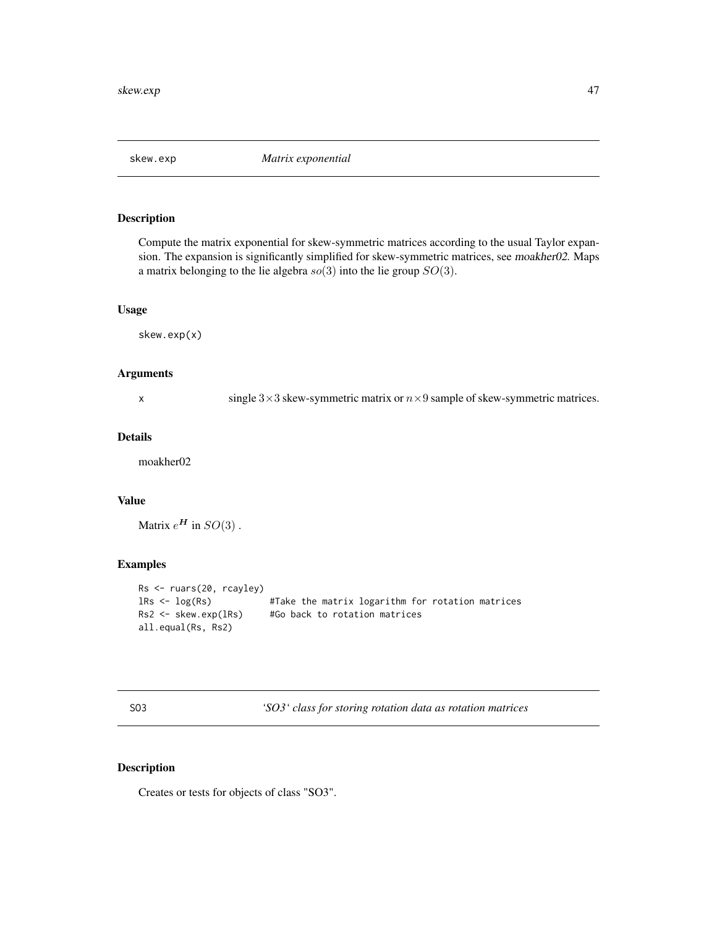<span id="page-46-0"></span>

Compute the matrix exponential for skew-symmetric matrices according to the usual Taylor expansion. The expansion is significantly simplified for skew-symmetric matrices, see moakher02. Maps a matrix belonging to the lie algebra  $so(3)$  into the lie group  $SO(3)$ .

## Usage

skew.exp(x)

## Arguments

x single  $3\times3$  skew-symmetric matrix or  $n\times9$  sample of skew-symmetric matrices.

## Details

moakher02

## Value

Matrix  $e^{\mathbf{H}}$  in  $SO(3)$ .

## Examples

```
Rs <- ruars(20, rcayley)
lRs <- log(Rs) #Take the matrix logarithm for rotation matrices
Rs2 <- skew.exp(lRs) #Go back to rotation matrices
all.equal(Rs, Rs2)
```
<span id="page-46-1"></span>SO3 *'SO3' class for storing rotation data as rotation matrices*

## Description

Creates or tests for objects of class "SO3".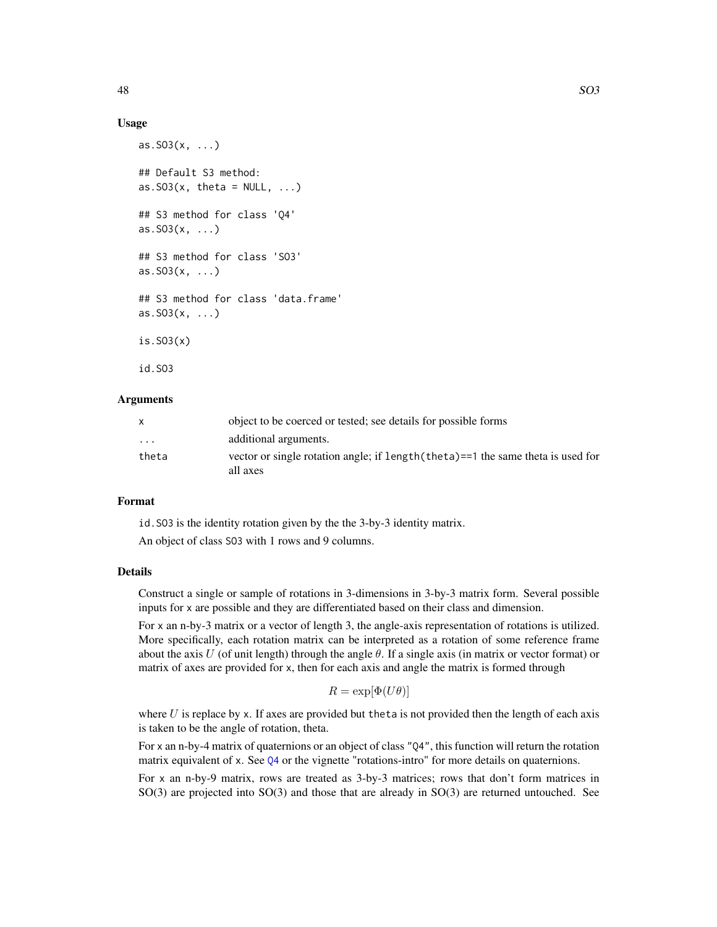#### <span id="page-47-0"></span>Usage

```
as.503(x, ...)## Default S3 method:
as.SO3(x, \text{theta} = \text{NULL}, \dots)## S3 method for class 'Q4'
as.SO3(x, ...)
## S3 method for class 'SO3'
as. S03(x, \ldots)## S3 method for class 'data.frame'
as.SO3(x, ...)
is.SO3(x)
id.SO3
```
## Arguments

| X        | object to be coerced or tested; see details for possible forms                               |
|----------|----------------------------------------------------------------------------------------------|
| $\cdots$ | additional arguments.                                                                        |
| theta    | vector or single rotation angle; if length (theta)==1 the same theta is used for<br>all axes |

## Format

id.SO3 is the identity rotation given by the the 3-by-3 identity matrix.

An object of class SO3 with 1 rows and 9 columns.

## Details

Construct a single or sample of rotations in 3-dimensions in 3-by-3 matrix form. Several possible inputs for x are possible and they are differentiated based on their class and dimension.

For x an n-by-3 matrix or a vector of length 3, the angle-axis representation of rotations is utilized. More specifically, each rotation matrix can be interpreted as a rotation of some reference frame about the axis U (of unit length) through the angle  $\theta$ . If a single axis (in matrix or vector format) or matrix of axes are provided for x, then for each axis and angle the matrix is formed through

$$
R = \exp[\Phi(U\theta)]
$$

where  $U$  is replace by x. If axes are provided but theta is not provided then the length of each axis is taken to be the angle of rotation, theta.

For x an n-by-4 matrix of quaternions or an object of class "Q4", this function will return the rotation matrix equivalent of x. See [Q4](#page-40-1) or the vignette "rotations-intro" for more details on quaternions.

For x an n-by-9 matrix, rows are treated as 3-by-3 matrices; rows that don't form matrices in SO(3) are projected into SO(3) and those that are already in SO(3) are returned untouched. See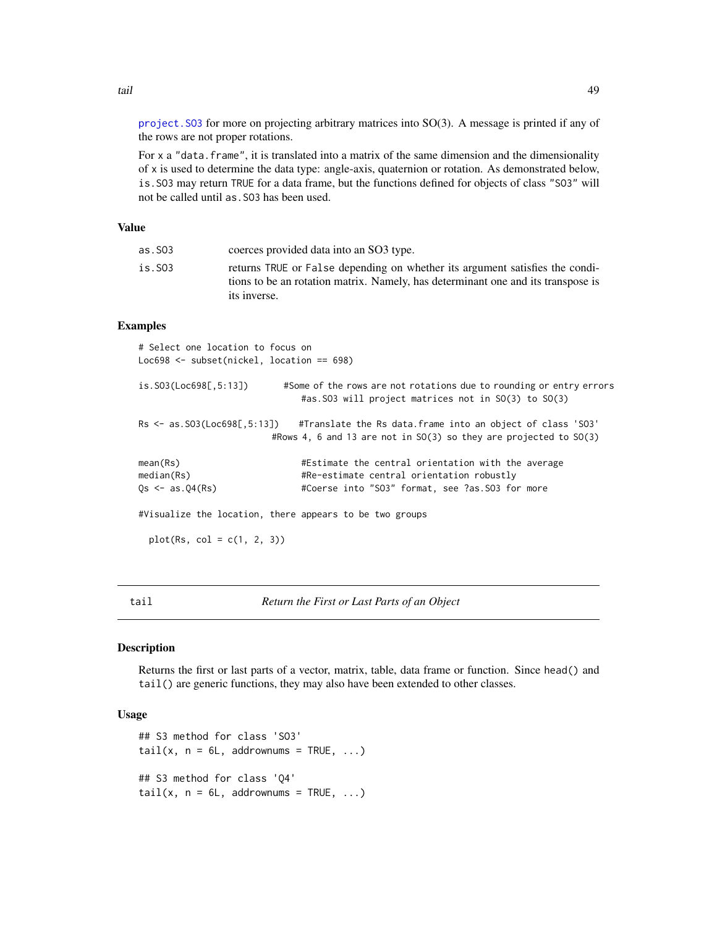[project.SO3](#page-39-1) for more on projecting arbitrary matrices into SO(3). A message is printed if any of the rows are not proper rotations.

For x a "data.frame", it is translated into a matrix of the same dimension and the dimensionality of x is used to determine the data type: angle-axis, quaternion or rotation. As demonstrated below, is.SO3 may return TRUE for a data frame, but the functions defined for objects of class "SO3" will not be called until as.SO3 has been used.

## Value

| is.SO3<br>its inverse. | as.S03 | coerces provided data into an SO3 type.                                                                                                                          |
|------------------------|--------|------------------------------------------------------------------------------------------------------------------------------------------------------------------|
|                        |        | returns TRUE or False depending on whether its argument satisfies the condi-<br>tions to be an rotation matrix. Namely, has determinant one and its transpose is |

## Examples

| # Select one location to focus on<br>Loc698 $\le$ subset(nickel, location == 698) |                                                                                                                                                                       |
|-----------------------------------------------------------------------------------|-----------------------------------------------------------------------------------------------------------------------------------------------------------------------|
| is.S03(Loc698[, 5:13])                                                            | #Some of the rows are not rotations due to rounding or entry errors<br>#as. SO3 will project matrices not in SO(3) to SO(3)                                           |
|                                                                                   | Rs $\leq$ as. SO3(Loc698[,5:13]) #Translate the Rs data. frame into an object of class 'SO3'<br>#Rows 4, 6 and 13 are not in $SO(3)$ so they are projected to $SO(3)$ |
| mean(Rs)<br>median(Rs)                                                            | #Estimate the central orientation with the average<br>#Re-estimate central orientation robustly                                                                       |
| $0s \leq -as.04(Rs)$                                                              | #Coerse into "SO3" format, see ?as.SO3 for more                                                                                                                       |
| #Visualize the location, there appears to be two groups                           |                                                                                                                                                                       |
| $plot(Rs, col = c(1, 2, 3))$                                                      |                                                                                                                                                                       |
|                                                                                   |                                                                                                                                                                       |

tail *Return the First or Last Parts of an Object*

## Description

Returns the first or last parts of a vector, matrix, table, data frame or function. Since head() and tail() are generic functions, they may also have been extended to other classes.

## Usage

```
## S3 method for class 'SO3'
tail(x, n = 6L, addrownums = TRUE, ...)
## S3 method for class 'Q4'
tail(x, n = 6L, addrownums = TRUE, ...)
```
<span id="page-48-0"></span>tail 49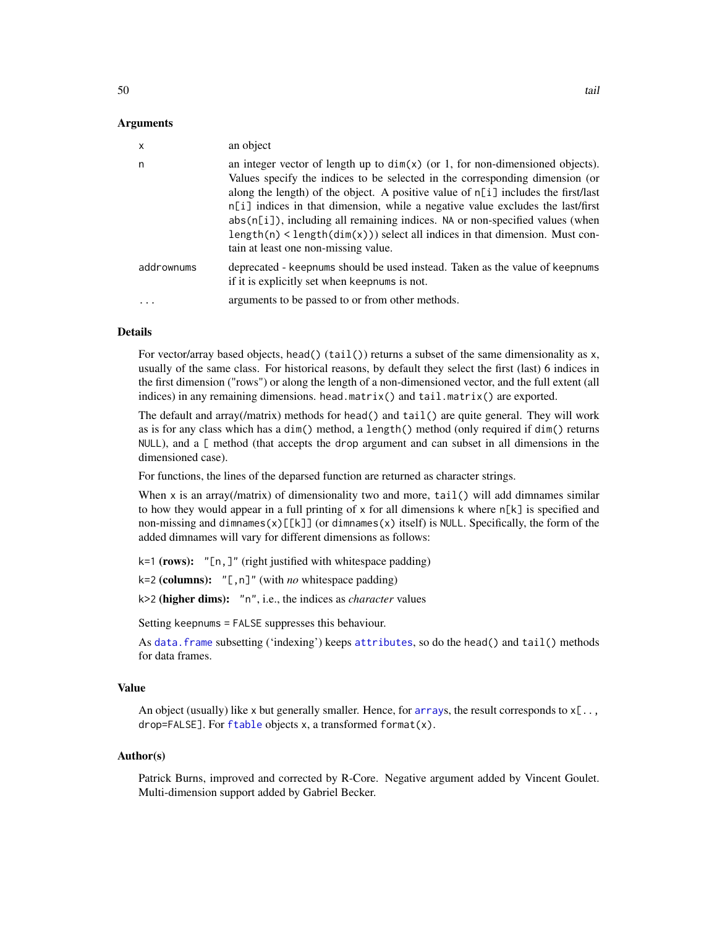#### <span id="page-49-0"></span>Arguments

| $\boldsymbol{\mathsf{x}}$ | an object                                                                                                                                                                                                                                                                                                                                                                                                                                                                                                                                        |
|---------------------------|--------------------------------------------------------------------------------------------------------------------------------------------------------------------------------------------------------------------------------------------------------------------------------------------------------------------------------------------------------------------------------------------------------------------------------------------------------------------------------------------------------------------------------------------------|
| n                         | an integer vector of length up to $dim(x)$ (or 1, for non-dimensioned objects).<br>Values specify the indices to be selected in the corresponding dimension (or<br>along the length) of the object. A positive value of n[i] includes the first/last<br>$n[i]$ indices in that dimension, while a negative value excludes the last/first<br>abs(n[i]), including all remaining indices. NA or non-specified values (when<br>$length(n) < length(dim(x))$ select all indices in that dimension. Must con-<br>tain at least one non-missing value. |
| addrownums                | deprecated - keepnums should be used instead. Taken as the value of keepnums<br>if it is explicitly set when keepnums is not.                                                                                                                                                                                                                                                                                                                                                                                                                    |
| .                         | arguments to be passed to or from other methods.                                                                                                                                                                                                                                                                                                                                                                                                                                                                                                 |
|                           |                                                                                                                                                                                                                                                                                                                                                                                                                                                                                                                                                  |

## Details

For vector/array based objects, head() (tail()) returns a subset of the same dimensionality as x, usually of the same class. For historical reasons, by default they select the first (last) 6 indices in the first dimension ("rows") or along the length of a non-dimensioned vector, and the full extent (all indices) in any remaining dimensions. head.matrix() and tail.matrix() are exported.

The default and array(/matrix) methods for head() and tail() are quite general. They will work as is for any class which has a dim() method, a length() method (only required if dim() returns NULL), and a [ method (that accepts the drop argument and can subset in all dimensions in the dimensioned case).

For functions, the lines of the deparsed function are returned as character strings.

When  $x$  is an array(/matrix) of dimensionality two and more,  $tail()$  will add dimnames similar to how they would appear in a full printing of  $x$  for all dimensions k where  $n[k]$  is specified and non-missing and dimnames(x)[[k]] (or dimnames(x) itself) is NULL. Specifically, the form of the added dimnames will vary for different dimensions as follows:

k=1 (rows): "[n,]" (right justified with whitespace padding)

k=2 (columns): "[,n]" (with *no* whitespace padding)

k>2 (higher dims): "n", i.e., the indices as *character* values

Setting keepnums = FALSE suppresses this behaviour.

As [data.frame](#page-0-0) subsetting ('indexing') keeps [attributes](#page-0-0), so do the head() and tail() methods for data frames.

## Value

An object (usually) like x but generally smaller. Hence, for [array](#page-0-0)s, the result corresponds to  $x[\ldots]$ , drop=FALSE]. For [ftable](#page-0-0) objects x, a transformed format(x).

#### Author(s)

Patrick Burns, improved and corrected by R-Core. Negative argument added by Vincent Goulet. Multi-dimension support added by Gabriel Becker.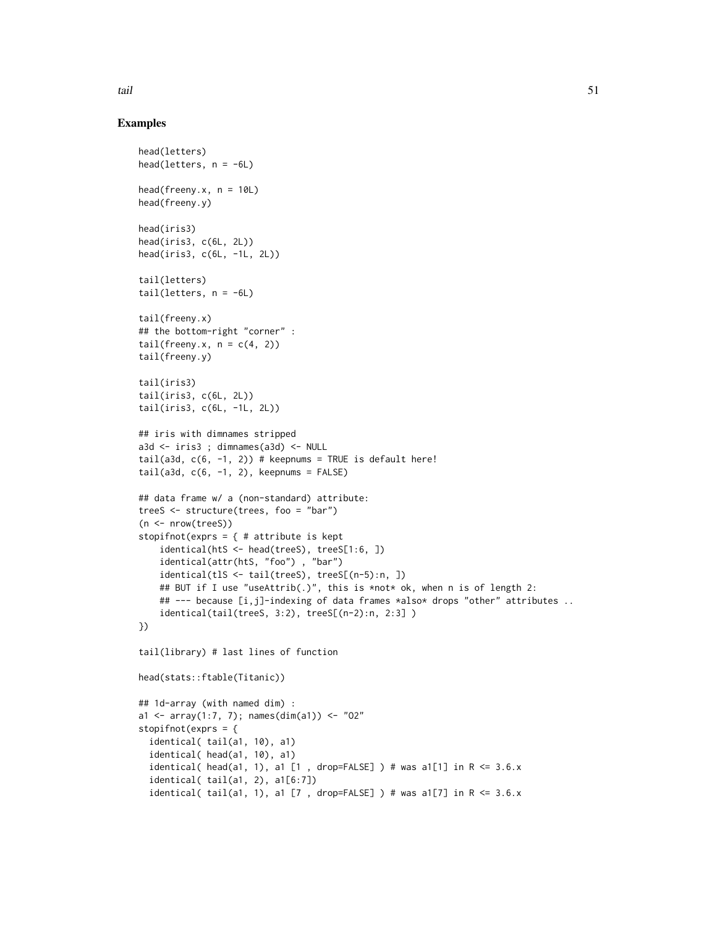#### tail 51

## Examples

```
head(letters)
head(letters, n = -6L)
head(freeny.x, n = 10L)
head(freeny.y)
head(iris3)
head(iris3, c(6L, 2L))
head(iris3, c(6L, -1L, 2L))
tail(letters)
tail(letters, n = -6L)
tail(freeny.x)
## the bottom-right "corner" :
tail(freeny.x, n = c(4, 2))
tail(freeny.y)
tail(iris3)
tail(iris3, c(6L, 2L))
tail(iris3, c(6L, -1L, 2L))
## iris with dimnames stripped
a3d <- iris3 ; dimnames(a3d) <- NULL
tail(a3d, c(6, -1, 2)) # keepnums = TRUE is default here!
tail(a3d, c(6, -1, 2), keepnums = FALSE)## data frame w/ a (non-standard) attribute:
treeS <- structure(trees, foo = "bar")
(n <- nrow(treeS))
stopifnot(exprs = \{ # attribute is kept
    identical(htS <- head(treeS), treeS[1:6, ])
    identical(attr(htS, "foo") , "bar")
    identical(tlS <- tail(treeS), treeS[(n-5):n, ])
    ## BUT if I use "useAttrib(.)", this is *not* ok, when n is of length 2:
    ## --- because [i,j]-indexing of data frames *also* drops "other" attributes ..
    identical(tail(treeS, 3:2), treeS[(n-2):n, 2:3] )
})
tail(library) # last lines of function
head(stats::ftable(Titanic))
## 1d-array (with named dim) :
a1 <- array(1:7, 7); names(dim(a1)) <- "02"stopifnot(exprs = {
  identical( tail(a1, 10), a1)
  identical( head(a1, 10), a1)
  identical( head(a1, 1), a1 [1 , drop=FALSE] ) # was a1[1] in R <= 3.6.x
  identical( tail(a1, 2), a1[6:7])
  identical( tail(a1, 1), a1 [7 , drop=FALSE] ) # was a1[7] in R \le 3.6.x
```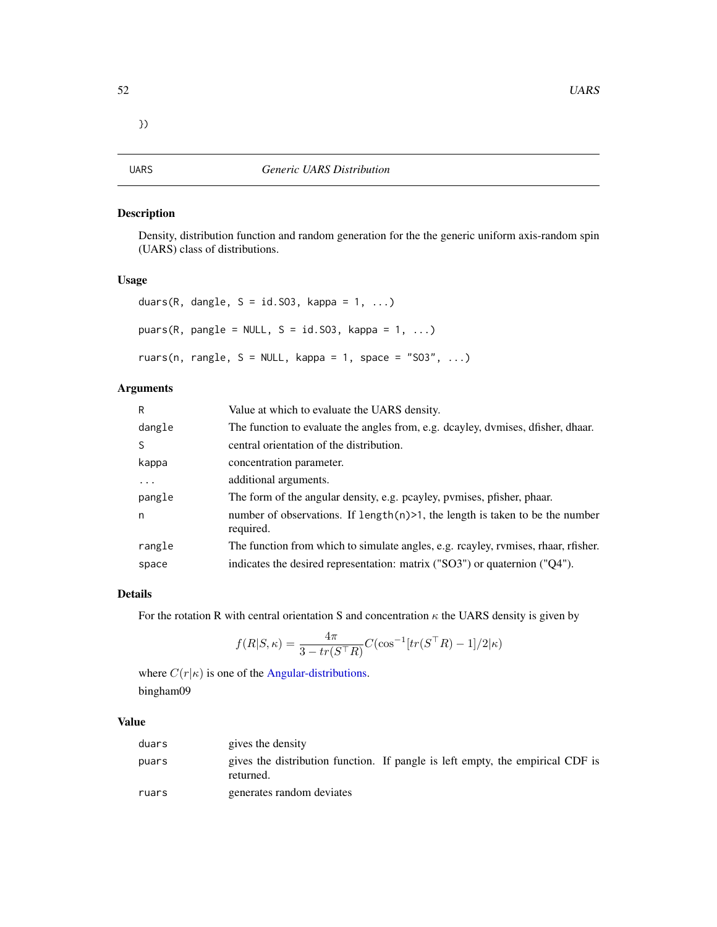<span id="page-51-1"></span><span id="page-51-0"></span>

Density, distribution function and random generation for the the generic uniform axis-random spin (UARS) class of distributions.

## Usage

```
duars(R, dangle, S = id.S03, kappa = 1, ...)
puars(R, pangle = NULL, S = id.S03, kappa = 1, ...)
ruars(n, rangle, S = NULL, kappa = 1, space = "SO3", ...)
```
## Arguments

| R        | Value at which to evaluate the UARS density.                                                  |
|----------|-----------------------------------------------------------------------------------------------|
| dangle   | The function to evaluate the angles from, e.g. dcayley, dvmises, dfisher, dhaar.              |
| S        | central orientation of the distribution.                                                      |
| kappa    | concentration parameter.                                                                      |
| $\ddots$ | additional arguments.                                                                         |
| pangle   | The form of the angular density, e.g. pcayley, pymises, pfisher, phaar.                       |
| n        | number of observations. If length $(n)$ >1, the length is taken to be the number<br>required. |
| rangle   | The function from which to simulate angles, e.g. rcayley, rvmises, rhaar, rfisher.            |
| space    | indicates the desired representation: matrix ("SO3") or quaternion ("Q4").                    |

## Details

For the rotation R with central orientation S and concentration  $\kappa$  the UARS density is given by

$$
f(R|S,\kappa) = \frac{4\pi}{3 - tr(S^{\top}R)}C(\cos^{-1}[tr(S^{\top}R) - 1]/2|\kappa)
$$

where  $C(r|\kappa)$  is one of the [Angular-distributions.](#page-2-1) bingham09

## Value

| duars | gives the density                                                                           |
|-------|---------------------------------------------------------------------------------------------|
| puars | gives the distribution function. If pangle is left empty, the empirical CDF is<br>returned. |
| ruars | generates random deviates                                                                   |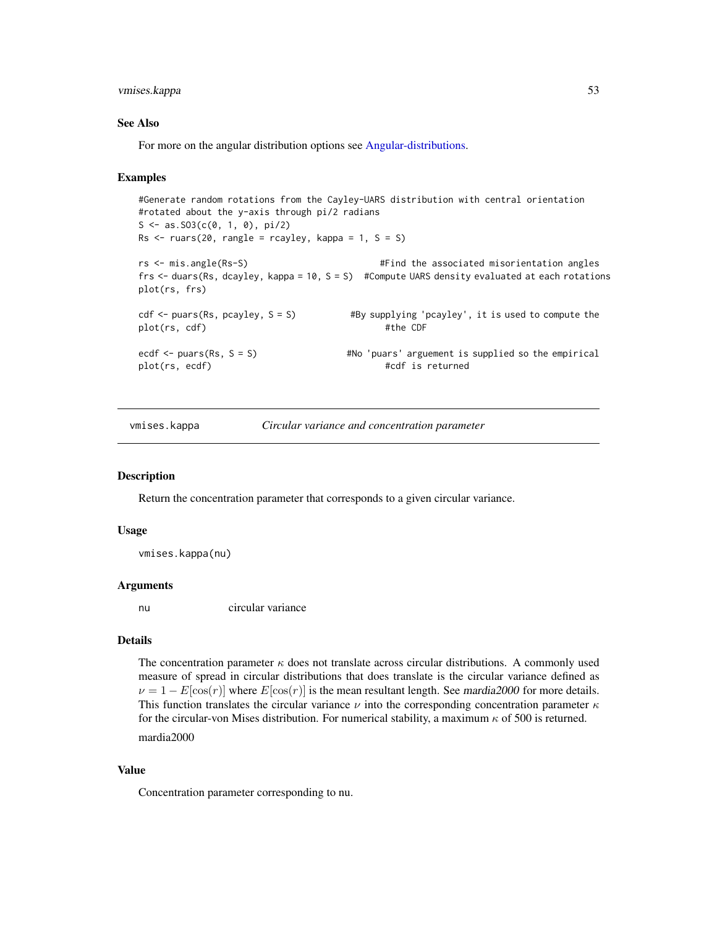## <span id="page-52-0"></span>vmises.kappa 53

#### See Also

For more on the angular distribution options see [Angular-distributions.](#page-2-1)

#### Examples

```
#Generate random rotations from the Cayley-UARS distribution with central orientation
#rotated about the y-axis through pi/2 radians
S \leq -as.S03(c(0, 1, 0), pi/2)Rs < - ruars(20, rangle = rcayley, kappa = 1, S = S)
rs <- mis.angle(Rs-S) #Find the associated misorientation angles
frs <- duars(Rs, dcayley, kappa = 10, S = S) #Compute UARS density evaluated at each rotations
plot(rs, frs)
cdf \le- puars(Rs, pcayley, S = S) #By supplying 'pcayley', it is used to compute the
plot(rs, cdf) #the CDF
ecdf <- puars(Rs, S = S) #No 'puars' arguement is supplied so the empirical
plot(rs, ecdf) \#cdf is returned
```
vmises.kappa *Circular variance and concentration parameter*

## Description

Return the concentration parameter that corresponds to a given circular variance.

#### Usage

vmises.kappa(nu)

#### Arguments

nu circular variance

## Details

The concentration parameter  $\kappa$  does not translate across circular distributions. A commonly used measure of spread in circular distributions that does translate is the circular variance defined as  $\nu = 1 - E[\cos(r)]$  where  $E[\cos(r)]$  is the mean resultant length. See mardia2000 for more details. This function translates the circular variance  $\nu$  into the corresponding concentration parameter  $\kappa$ for the circular-von Mises distribution. For numerical stability, a maximum  $\kappa$  of 500 is returned. mardia2000

#### Value

Concentration parameter corresponding to nu.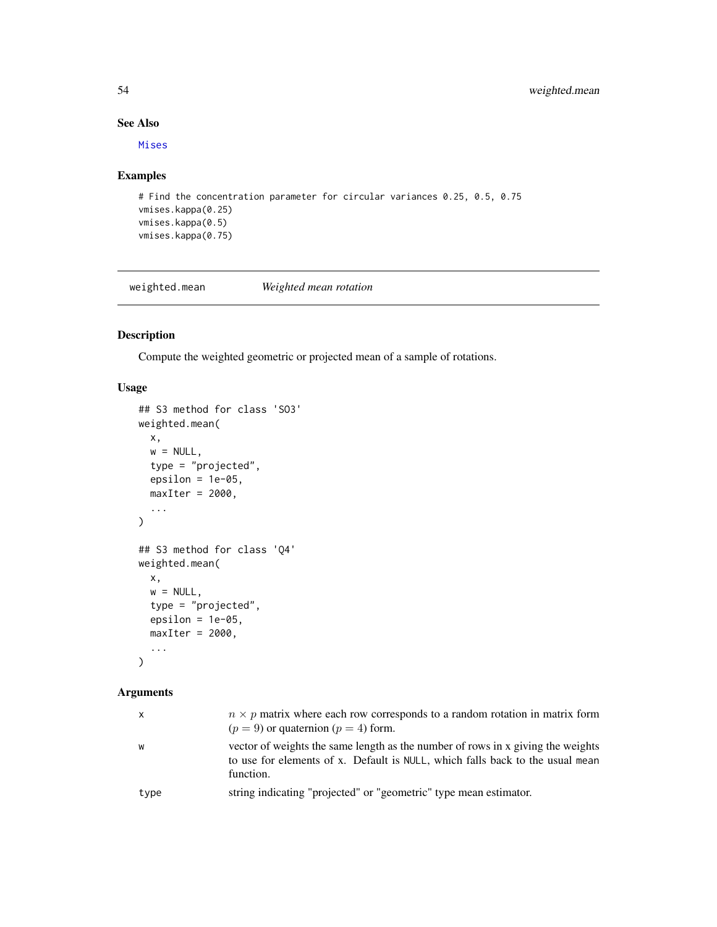## See Also

[Mises](#page-32-1)

## Examples

```
# Find the concentration parameter for circular variances 0.25, 0.5, 0.75
vmises.kappa(0.25)
vmises.kappa(0.5)
vmises.kappa(0.75)
```
weighted.mean *Weighted mean rotation*

## <span id="page-53-1"></span>Description

Compute the weighted geometric or projected mean of a sample of rotations.

## Usage

```
## S3 method for class 'SO3'
weighted.mean(
 x,
 w = NULL,type = "projected",
 epsilon = 1e-05,
 maxIter = 2000,...
\mathcal{L}## S3 method for class 'Q4'
weighted.mean(
 x,
 w = NULL,type = "projected",
 epsilon = 1e-05,
 maxIter = 2000,...
)
```
## Arguments

| x    | $n \times p$ matrix where each row corresponds to a random rotation in matrix form<br>$(p = 9)$ or quaternion $(p = 4)$ form.                                                 |
|------|-------------------------------------------------------------------------------------------------------------------------------------------------------------------------------|
| w    | vector of weights the same length as the number of rows in x giving the weights<br>to use for elements of x. Default is NULL, which falls back to the usual mean<br>function. |
| type | string indicating "projected" or "geometric" type mean estimator.                                                                                                             |
|      |                                                                                                                                                                               |

<span id="page-53-0"></span>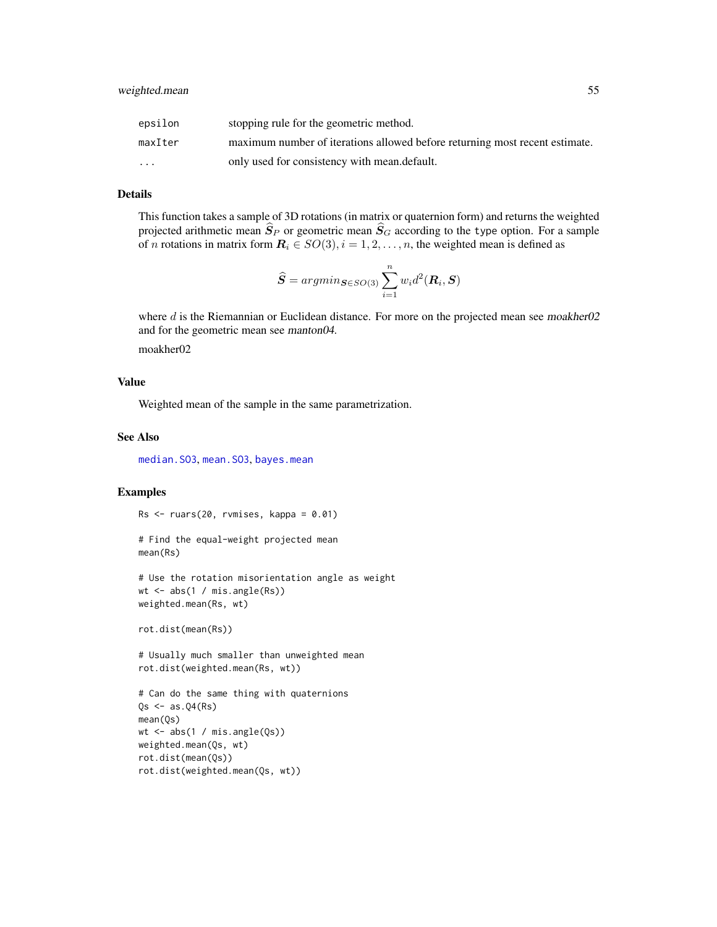<span id="page-54-0"></span>

| epsilon                 | stopping rule for the geometric method.                                     |
|-------------------------|-----------------------------------------------------------------------------|
| maxIter                 | maximum number of iterations allowed before returning most recent estimate. |
| $\cdot$ $\cdot$ $\cdot$ | only used for consistency with mean.default.                                |

## Details

This function takes a sample of 3D rotations (in matrix or quaternion form) and returns the weighted projected arithmetic mean  $\hat{S}_P$  or geometric mean  $\hat{S}_G$  according to the type option. For a sample of *n* rotations in matrix form  $\mathbf{R}_i \in SO(3), i = 1, 2, \dots, n$ , the weighted mean is defined as

$$
\widehat{S} = argmin_{\mathbf{S} \in SO(3)} \sum_{i=1}^{n} w_i d^2(\mathbf{R}_i, \mathbf{S})
$$

where  $d$  is the Riemannian or Euclidean distance. For more on the projected mean see moakher02 and for the geometric mean see manton04.

moakher02

## Value

Weighted mean of the sample in the same parametrization.

## See Also

[median.SO3](#page-28-1), [mean.SO3](#page-27-1), [bayes.mean](#page-4-1)

## Examples

 $Rs < -rvars(20, rvmises, kappa = 0.01)$ 

```
# Find the equal-weight projected mean
mean(Rs)
```

```
# Use the rotation misorientation angle as weight
wt \leftarrow abs(1 / miss.angle(Rs))weighted.mean(Rs, wt)
```
rot.dist(mean(Rs))

# Usually much smaller than unweighted mean rot.dist(weighted.mean(Rs, wt))

```
# Can do the same thing with quaternions
Qs \leftarrow as.Q4(Rs)mean(Qs)
wt <- abs(1 / mis.angle(Qs))
weighted.mean(Qs, wt)
rot.dist(mean(Qs))
rot.dist(weighted.mean(Qs, wt))
```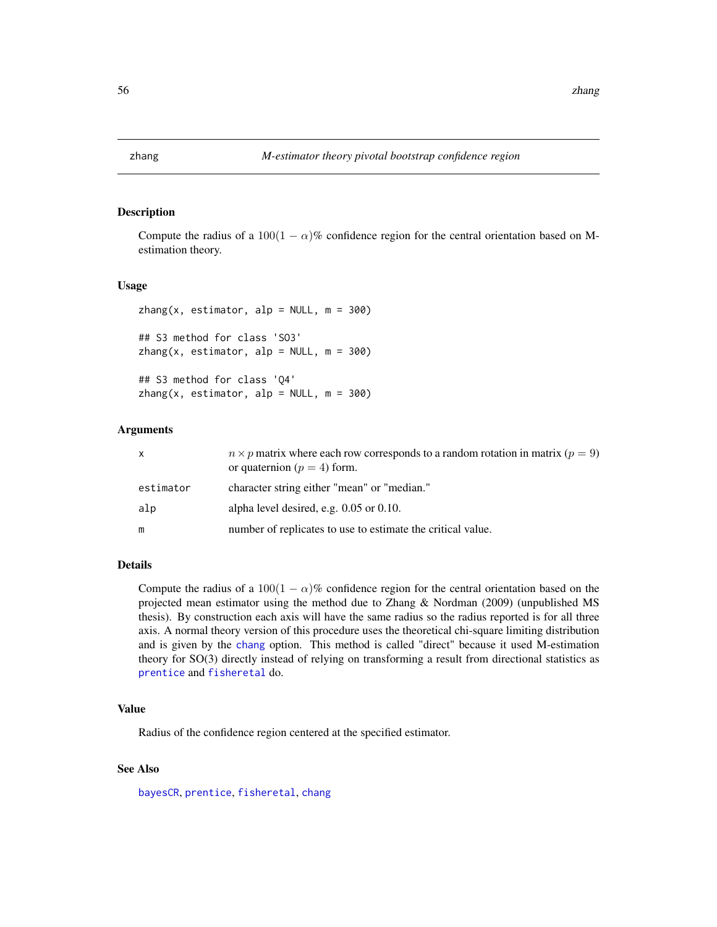<span id="page-55-1"></span><span id="page-55-0"></span>

Compute the radius of a 100(1 –  $\alpha$ )% confidence region for the central orientation based on Mestimation theory.

#### Usage

```
zhang(x, estimator, alp = NULL, m = 300)## S3 method for class 'SO3'
zhang(x, estimator, alp = NULL, m = 300)## S3 method for class 'Q4'
zhang(x, estimator, alp = NULL, m = 300)
```
#### Arguments

| X         | $n \times p$ matrix where each row corresponds to a random rotation in matrix ( $p = 9$ )<br>or quaternion ( $p = 4$ ) form. |
|-----------|------------------------------------------------------------------------------------------------------------------------------|
| estimator | character string either "mean" or "median."                                                                                  |
| alp       | alpha level desired, e.g. $0.05$ or $0.10$ .                                                                                 |
| m         | number of replicates to use to estimate the critical value.                                                                  |

## Details

Compute the radius of a  $100(1 - \alpha)\%$  confidence region for the central orientation based on the projected mean estimator using the method due to Zhang & Nordman (2009) (unpublished MS thesis). By construction each axis will have the same radius so the radius reported is for all three axis. A normal theory version of this procedure uses the theoretical chi-square limiting distribution and is given by the [chang](#page-10-1) option. This method is called "direct" because it used M-estimation theory for SO(3) directly instead of relying on transforming a result from directional statistics as [prentice](#page-38-1) and [fisheretal](#page-16-1) do.

## Value

Radius of the confidence region centered at the specified estimator.

## See Also

[bayesCR](#page-6-1), [prentice](#page-38-1), [fisheretal](#page-16-1), [chang](#page-10-1)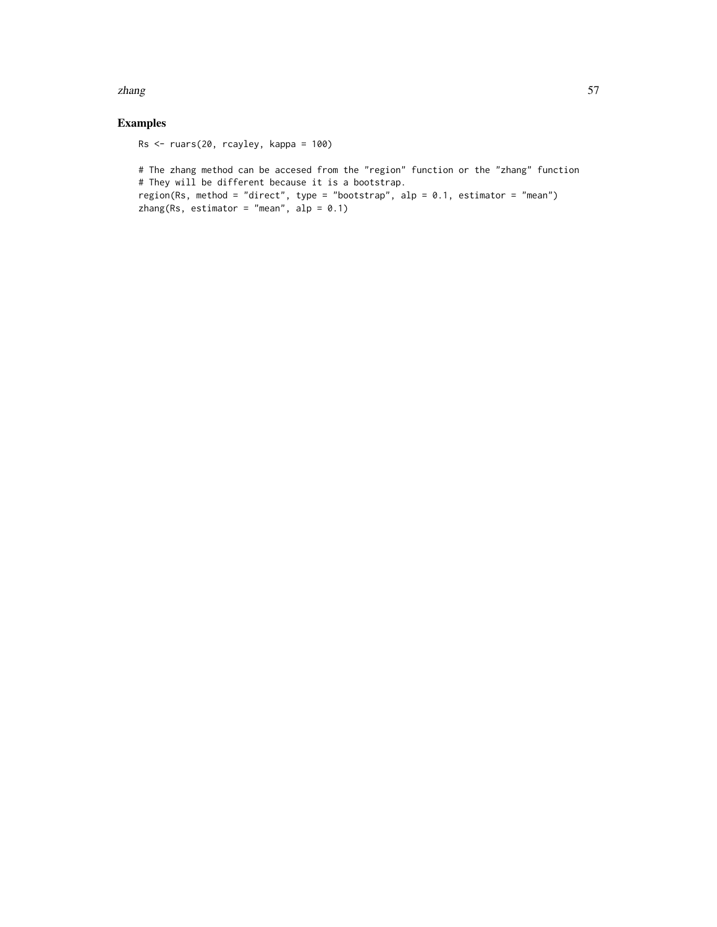#### zhang  $\sim$  57

## Examples

Rs <- ruars(20, rcayley, kappa = 100)

# The zhang method can be accesed from the "region" function or the "zhang" function # They will be different because it is a bootstrap. region(Rs, method = "direct", type = "bootstrap", alp = 0.1, estimator = "mean") zhang(Rs, estimator = "mean",  $alp = 0.1$ )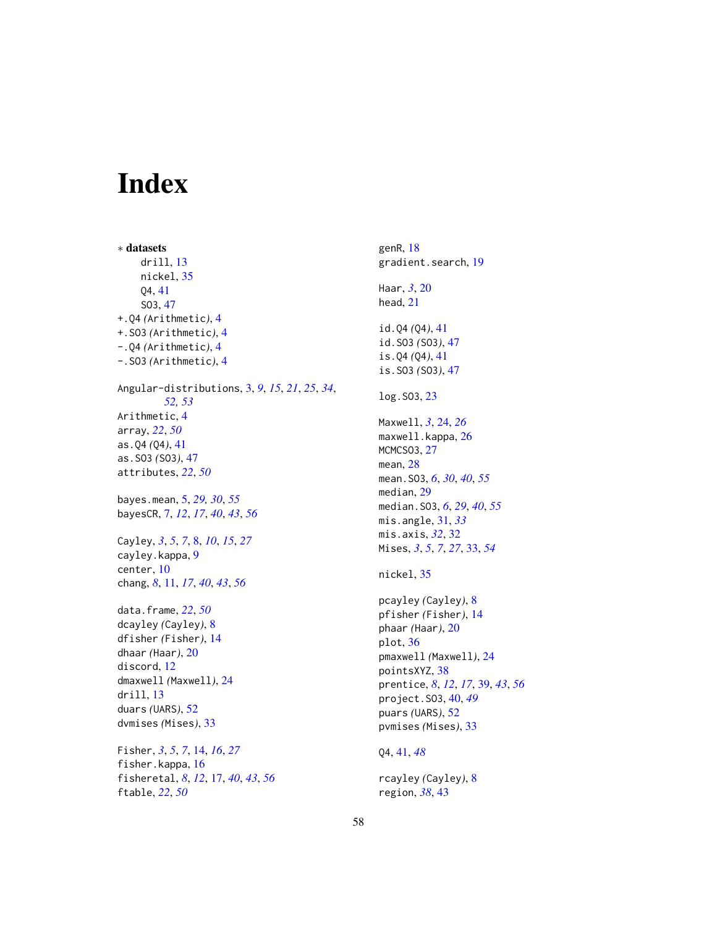# <span id="page-57-0"></span>Index

∗ datasets drill, [13](#page-12-0) nickel, [35](#page-34-0) Q4, [41](#page-40-0) SO3, [47](#page-46-0) +.Q4 *(*Arithmetic*)*, [4](#page-3-0) +.SO3 *(*Arithmetic*)*, [4](#page-3-0) -.Q4 *(*Arithmetic*)*, [4](#page-3-0) -.SO3 *(*Arithmetic*)*, [4](#page-3-0) Angular-distributions, [3,](#page-2-0) *[9](#page-8-0)*, *[15](#page-14-0)*, *[21](#page-20-0)*, *[25](#page-24-0)*, *[34](#page-33-0)*, *[52,](#page-51-0) [53](#page-52-0)* Arithmetic, [4](#page-3-0) array, *[22](#page-21-0)*, *[50](#page-49-0)* as.Q4 *(*Q4*)*, [41](#page-40-0) as.SO3 *(*SO3*)*, [47](#page-46-0) attributes, *[22](#page-21-0)*, *[50](#page-49-0)* bayes.mean, [5,](#page-4-0) *[29,](#page-28-0) [30](#page-29-0)*, *[55](#page-54-0)* bayesCR, [7,](#page-6-0) *[12](#page-11-0)*, *[17](#page-16-0)*, *[40](#page-39-0)*, *[43](#page-42-0)*, *[56](#page-55-0)* Cayley, *[3](#page-2-0)*, *[5](#page-4-0)*, *[7](#page-6-0)*, [8,](#page-7-0) *[10](#page-9-0)*, *[15](#page-14-0)*, *[27](#page-26-0)* cayley.kappa, [9](#page-8-0) center, [10](#page-9-0) chang, *[8](#page-7-0)*, [11,](#page-10-0) *[17](#page-16-0)*, *[40](#page-39-0)*, *[43](#page-42-0)*, *[56](#page-55-0)* data.frame, *[22](#page-21-0)*, *[50](#page-49-0)* dcayley *(*Cayley*)*, [8](#page-7-0) dfisher *(*Fisher*)*, [14](#page-13-0) dhaar *(*Haar*)*, [20](#page-19-0) discord, [12](#page-11-0) dmaxwell *(*Maxwell*)*, [24](#page-23-0) drill, [13](#page-12-0) duars *(*UARS*)*, [52](#page-51-0) dvmises *(*Mises*)*, [33](#page-32-0) Fisher, *[3](#page-2-0)*, *[5](#page-4-0)*, *[7](#page-6-0)*, [14,](#page-13-0) *[16](#page-15-0)*, *[27](#page-26-0)* fisher.kappa, [16](#page-15-0) fisheretal, *[8](#page-7-0)*, *[12](#page-11-0)*, [17,](#page-16-0) *[40](#page-39-0)*, *[43](#page-42-0)*, *[56](#page-55-0)* ftable, *[22](#page-21-0)*, *[50](#page-49-0)*

genR, [18](#page-17-0) gradient.search, [19](#page-18-0) Haar, *[3](#page-2-0)*, [20](#page-19-0) head, [21](#page-20-0) id.Q4 *(*Q4*)*, [41](#page-40-0) id.SO3 *(*SO3*)*, [47](#page-46-0) is.Q4 *(*Q4*)*, [41](#page-40-0) is.SO3 *(*SO3*)*, [47](#page-46-0) log.SO3, [23](#page-22-0) Maxwell, *[3](#page-2-0)*, [24,](#page-23-0) *[26](#page-25-0)* maxwell.kappa, [26](#page-25-0) MCMCSO3, [27](#page-26-0) mean, [28](#page-27-0) mean.SO3, *[6](#page-5-0)*, *[30](#page-29-0)*, *[40](#page-39-0)*, *[55](#page-54-0)* median, [29](#page-28-0) median.SO3, *[6](#page-5-0)*, *[29](#page-28-0)*, *[40](#page-39-0)*, *[55](#page-54-0)* mis.angle, [31,](#page-30-0) *[33](#page-32-0)* mis.axis, *[32](#page-31-0)*, [32](#page-31-0) Mises, *[3](#page-2-0)*, *[5](#page-4-0)*, *[7](#page-6-0)*, *[27](#page-26-0)*, [33,](#page-32-0) *[54](#page-53-0)* nickel, [35](#page-34-0) pcayley *(*Cayley*)*, [8](#page-7-0) pfisher *(*Fisher*)*, [14](#page-13-0) phaar *(*Haar*)*, [20](#page-19-0) plot, [36](#page-35-0) pmaxwell *(*Maxwell*)*, [24](#page-23-0) pointsXYZ, [38](#page-37-0) prentice, *[8](#page-7-0)*, *[12](#page-11-0)*, *[17](#page-16-0)*, [39,](#page-38-0) *[43](#page-42-0)*, *[56](#page-55-0)* project.SO3, [40,](#page-39-0) *[49](#page-48-0)* puars *(*UARS*)*, [52](#page-51-0) pvmises *(*Mises*)*, [33](#page-32-0) Q4, [41,](#page-40-0) *[48](#page-47-0)* rcayley *(*Cayley*)*, [8](#page-7-0) region, *[38](#page-37-0)*, [43](#page-42-0)